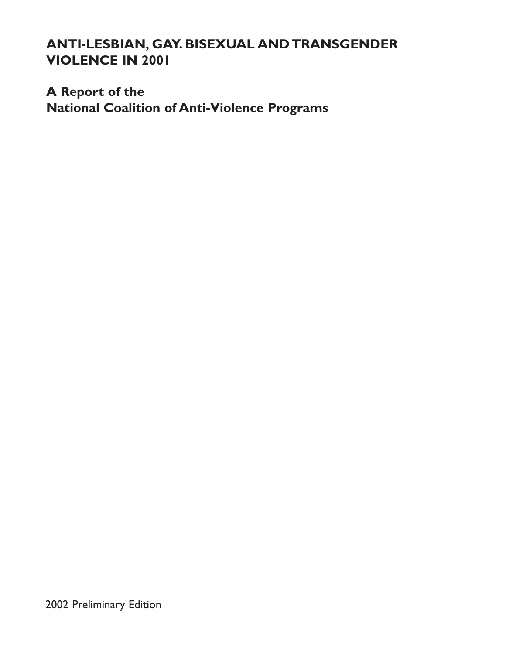# ANTI-LESBIAN, GAY. BISEXUAL AND TRANSGENDER VIOLENCE IN 2001

# A Report of the National Coalition of Anti-Violence Programs

2002 Preliminary Edition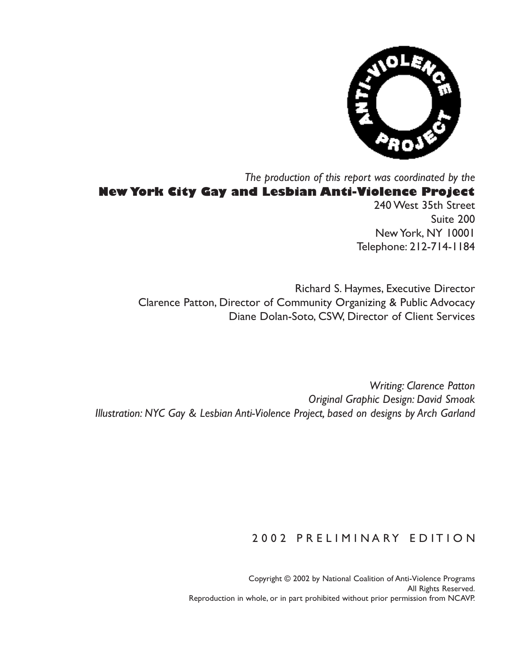

# The production of this report was coordinated by the New York City Gay and Lesbian Anti-Violence Project

240 West 35th Street Suite 200 New York, NY 10001 Telephone: 212-714-1184

Richard S. Haymes, Executive Director Clarence Patton, Director of Community Organizing & Public Advocacy Diane Dolan-Soto, CSW, Director of Client Services

Writing: Clarence Patton Original Graphic Design: David Smoak Illustration: NYC Gay & Lesbian Anti-Violence Project, based on designs by Arch Garland

### 2002 PRELIMINARY EDITION

Copyright © 2002 by National Coalition of Anti-Violence Programs All Rights Reserved. Reproduction in whole, or in part prohibited without prior permission from NCAVP.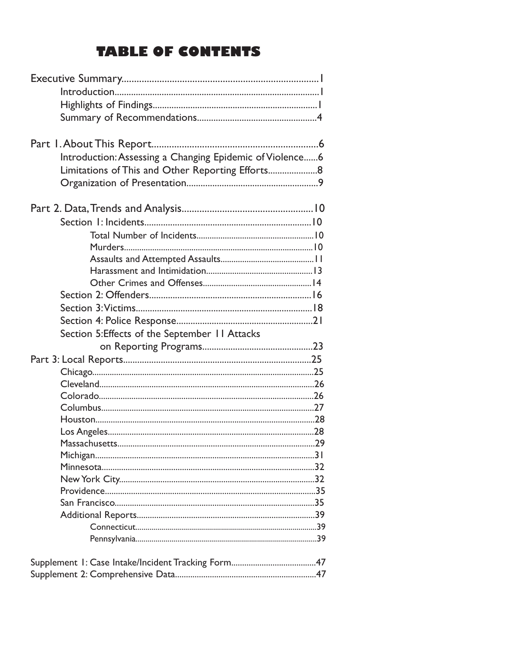# **TABLE OF CONTENTS**

| Introduction: Assessing a Changing Epidemic of Violence6 |  |
|----------------------------------------------------------|--|
| Limitations of This and Other Reporting Efforts          |  |
|                                                          |  |
|                                                          |  |
|                                                          |  |
|                                                          |  |
|                                                          |  |
|                                                          |  |
|                                                          |  |
|                                                          |  |
|                                                          |  |
|                                                          |  |
|                                                          |  |
|                                                          |  |
|                                                          |  |
|                                                          |  |
| Section 5: Effects of the September 11 Attacks           |  |
|                                                          |  |
|                                                          |  |
|                                                          |  |
|                                                          |  |
|                                                          |  |
|                                                          |  |
|                                                          |  |
|                                                          |  |
|                                                          |  |
|                                                          |  |
|                                                          |  |
|                                                          |  |
|                                                          |  |
|                                                          |  |
|                                                          |  |
|                                                          |  |
|                                                          |  |
|                                                          |  |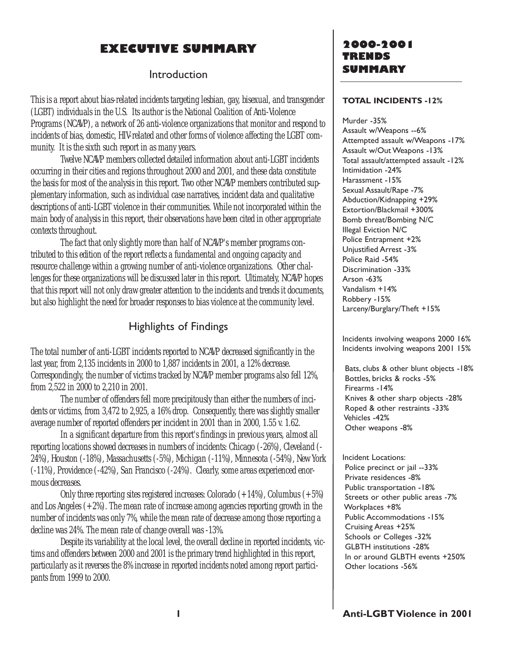## EXECUTIVE SUMMARY

### Introduction

This is a report about bias-related incidents targeting lesbian, gay, bisexual, and transgender (LGBT) individuals in the U.S. Its author is the National Coalition of Anti-Violence Programs (NCAVP), a network of 26 anti-violence organizations that monitor and respond to incidents of bias, domestic, HIV-related and other forms of violence affecting the LGBT community. It is the sixth such report in as many years.

Twelve NCAVP members collected detailed information about anti-LGBT incidents occurring in their cities and regions throughout 2000 and 2001, and these data constitute the basis for most of the analysis in this report. Two other NCAVP members contributed supplementary information, such as individual case narratives, incident data and qualitative descriptions of anti-LGBT violence in their communities. While not incorporated within the main body of analysis in this report, their observations have been cited in other appropriate contexts throughout.

The fact that only slightly more than half of NCAVP's member programs contributed to this edition of the report reflects a fundamental and ongoing capacity and resource challenge within a growing number of anti-violence organizations. Other challenges for these organizations will be discussed later in this report. Ultimately, NCAVP hopes that this report will not only draw greater attention to the incidents and trends it documents, but also highlight the need for broader responses to bias violence at the community level.

### Highlights of Findings

The total number of anti-LGBT incidents reported to NCAVP decreased significantly in the last year, from 2,135 incidents in 2000 to 1,887 incidents in 2001, a 12% decrease. Correspondingly, the number of victims tracked by NCAVP member programs also fell 12%, from 2,522 in 2000 to 2,210 in 2001.

The number of offenders fell more precipitously than either the numbers of incidents or victims, from 3,472 to 2,925, a 16% drop. Consequently, there was slightly smaller average number of reported offenders per incident in 2001 than in 2000, 1.55 v. 1.62.

In a significant departure from this report's findings in previous years, almost all reporting locations showed decreases in numbers of incidents: Chicago (-26%), Cleveland (- 24%), Houston (-18%), Massachusetts (-5%), Michigan (-11%), Minnesota (-54%), New York (-11%), Providence (-42%), San Francisco (-24%). Clearly, some areas experienced enormous decreases.

Only three reporting sites registered increases: Colorado  $(+14%)$ , Columbus  $(+5%)$ and Los Angeles  $(+2%)$ . The mean rate of increase among agencies reporting growth in the number of incidents was only 7%, while the mean rate of decrease among those reporting a decline was 24%. The mean rate of change overall was -13%.

Despite its variability at the local level, the overall decline in reported incidents, victims and offenders between 2000 and 2001 is the primary trend highlighted in this report, particularly as it reverses the 8% increase in reported incidents noted among report participants from 1999 to 2000.

### 2000-2001 TRENDS SUMMARY

#### TOTAL INCIDENTS -12%

Murder -35% Assault w/Weapons --6% Attempted assault w/Weapons -17% Assault w/Out Weapons -13% Total assault/attempted assault -12% Intimidation -24% Harassment -15% Sexual Assault/Rape -7% Abduction/Kidnapping +29% Extortion/Blackmail +300% Bomb threat/Bombing N/C Illegal Eviction N/C Police Entrapment +2% Unjustified Arrest -3% Police Raid -54% Discrimination -33% Arson -63% Vandalism +14% Robbery -15% Larceny/Burglary/Theft +15%

Incidents involving weapons 2000 16% Incidents involving weapons 2001 15%

Bats, clubs & other blunt objects -18% Bottles, bricks & rocks -5% Firearms -14% Knives & other sharp objects -28% Roped & other restraints -33% Vehicles -42% Other weapons -8%

Incident Locations: Police precinct or jail --33% Private residences -8% Public transportation -18% Streets or other public areas -7% Workplaces +8% Public Accommodations -15% Cruising Areas +25% Schools or Colleges -32% GLBTH institutions -28% In or around GLBTH events +250% Other locations -56%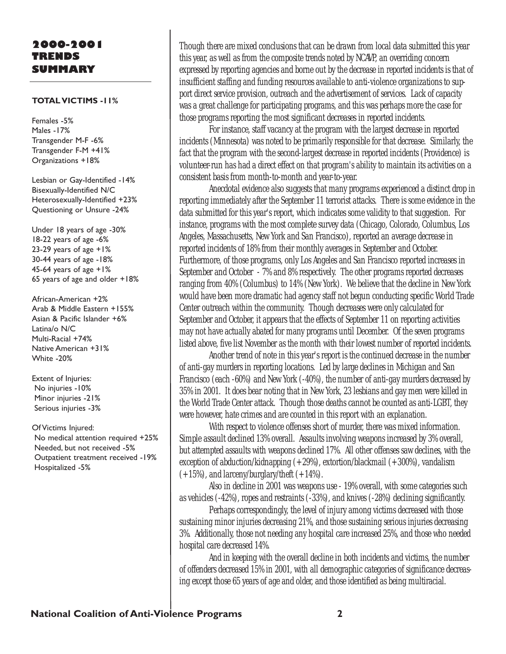### 2000-2001 TRENDS SUMMARY

#### TOTAL VICTIMS -11%

Females -5% Males -17% Transgender M-F -6% Transgender F-M +41% Organizations +18%

Lesbian or Gay-Identified -14% Bisexually-Identified N/C Heterosexually-Identified +23% Questioning or Unsure -24%

Under 18 years of age -30% 18-22 years of age -6% 23-29 years of age +1% 30-44 years of age -18% 45-64 years of age +1% 65 years of age and older +18%

African-American +2% Arab & Middle Eastern +155% Asian & Pacific Islander +6% Latina/o N/C Multi-Racial +74% Native American +31% White -20%

Extent of Injuries: No injuries -10% Minor injuries -21% Serious injuries -3%

Of Victims Injured: No medical attention required +25% Needed, but not received -5% Outpatient treatment received -19% Hospitalized -5%

Though there are mixed conclusions that can be drawn from local data submitted this year this year, as well as from the composite trends noted by NCAVP, an overriding concern expressed by reporting agencies and borne out by the decrease in reported incidents is that of insufficient staffing and funding resources available to anti-violence organizations to support direct service provision, outreach and the advertisement of services. Lack of capacity was a great challenge for participating programs, and this was perhaps more the case for those programs reporting the most significant decreases in reported incidents.

For instance, staff vacancy at the program with the largest decrease in reported incidents (Minnesota) was noted to be primarily responsible for that decrease. Similarly, the fact that the program with the second-largest decrease in reported incidents (Providence) is volunteer-run has had a direct effect on that program's ability to maintain its activities on a consistent basis from month-to-month and year-to-year.

Anecdotal evidence also suggests that many programs experienced a distinct drop in reporting immediately after the September 11 terrorist attacks. There is some evidence in the data submitted for this year's report, which indicates some validity to that suggestion. For instance, programs with the most complete survey data (Chicago, Colorado, Columbus, Los Angeles, Massachusetts, New York and San Francisco), reported an average decrease in reported incidents of 18% from their monthly averages in September and October. Furthermore, of those programs, only Los Angeles and San Francisco reported increases in September and October - 7% and 8% respectively. The other programs reported decreases ranging from 40% (Columbus) to 14% (New York). We believe that the decline in New York would have been more dramatic had agency staff not begun conducting specific World Trade Center outreach within the community. Though decreases were only calculated for September and October, it appears that the effects of September 11 on reporting activities may not have actually abated for many programs until December. Of the seven programs listed above, five list November as the month with their lowest number of reported incidents.

Another trend of note in this year's report is the continued decrease in the number of anti-gay murders in reporting locations. Led by large declines in Michigan and San Francisco (each -60%) and New York (-40%), the number of anti-gay murders decreased by 35% in 2001. It does bear noting that in New York, 23 lesbians and gay men were killed in the World Trade Center attack. Though those deaths cannot be counted as anti-LGBT, they were however, hate crimes and are counted in this report with an explanation.

With respect to violence offenses short of murder, there was mixed information. Simple assault declined 13% overall. Assaults involving weapons increased by 3% overall, but attempted assaults with weapons declined 17%. All other offenses saw declines, with the exception of abduction/kidnapping (+29%), extortion/blackmail (+300%), vandalism  $(+15%)$ , and larceny/burglary/theft  $(+14%)$ .

Also in decline in 2001 was weapons use - 19% overall, with some categories such as vehicles (-42%), ropes and restraints (-33%), and knives (-28%) declining significantly.

Perhaps correspondingly, the level of injury among victims decreased with those sustaining minor injuries decreasing 21%, and those sustaining serious injuries decreasing 3%. Additionally, those not needing any hospital care increased 25%, and those who needed hospital care decreased 14%.

And in keeping with the overall decline in both incidents and victims, the number of offenders decreased 15% in 2001, with all demographic categories of significance decreasing except those 65 years of age and older, and those identified as being multiracial.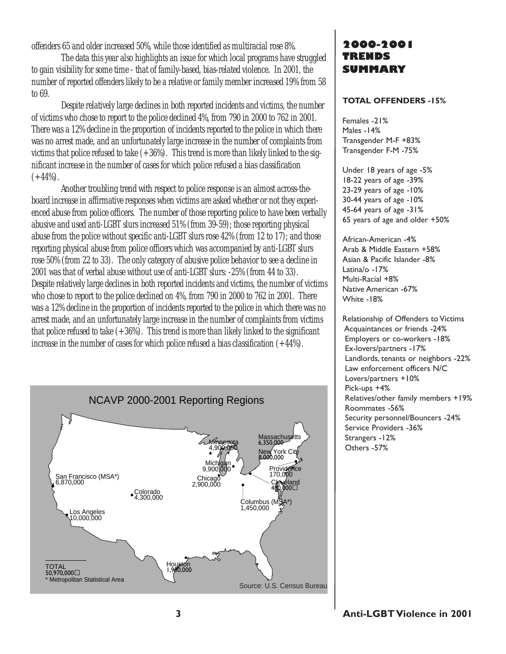offenders 65 and older increased 50%, while those identified as multiracial rose 8%.

The data this year also highlights an issue for which local programs have struggled to gain visibility for some time - that of family-based, bias-related violence. In 2001, the number of reported offenders likely to be a relative or family member increased 19% from 58 to 69.

Despite relatively large declines in both reported incidents and victims, the number of victims who chose to report to the police declined 4%, from 790 in 2000 to 762 in 2001. There was a 12% decline in the proportion of incidents reported to the police in which there was no arrest made, and an unfortunately large increase in the number of complaints from victims that police refused to take  $(+36%)$ . This trend is more than likely linked to the significant increase in the number of cases for which police refused a bias classification  $(+44\%).$ 

Another troubling trend with respect to police response is an almost across-theboard increase in affirmative responses when victims are asked whether or not they experienced abuse from police officers. The number of those reporting police to have been verbally abusive and used anti-LGBT slurs increased 51% (from 39-59); those reporting physical abuse from the police without specific anti-LGBT slurs rose 42% (from 12 to 17); and those reporting physical abuse from police officers which was accompanied by anti-LGBT slurs rose 50% (from 22 to 33). The only category of abusive police behavior to see a decline in 2001 was that of verbal abuse without use of anti-LGBT slurs: -25% (from 44 to 33). Despite relatively large declines in both reported incidents and victims, the number of victims who chose to report to the police declined on 4%, from 790 in 2000 to 762 in 2001. There was a 12% decline in the proportion of incidents reported to the police in which there was no arrest made, and an unfortunately large increase in the number of complaints from victims that police refused to take  $(+36%)$ . This trend is more than likely linked to the significant increase in the number of cases for which police refused a bias classification (+44%).



### 2000-2001 TRENDS SUMMARY

#### TOTAL OFFENDERS -15%

Females -21% Males -14% Transgender M-F +83% Transgender F-M -75%

Under 18 years of age -5% 18-22 years of age -39% 23-29 years of age -10% 30-44 years of age -10% 45-64 years of age -31% 65 years of age and older +50%

African-American -4% Arab & Middle Eastern +58% Asian & Pacific Islander -8% Latina/o -17% Multi-Racial +8% Native American -67% White -18%

Relationship of Offenders to Victims Acquaintances or friends -24% Employers or co-workers -18% Ex-lovers/partners -17% Landlords, tenants or neighbors -22% Law enforcement officers N/C Lovers/partners +10% Pick-ups +4% Relatives/other family members +19% Roommates -56% Security personnel/Bouncers -24% Service Providers -36% Strangers -12% Others -57%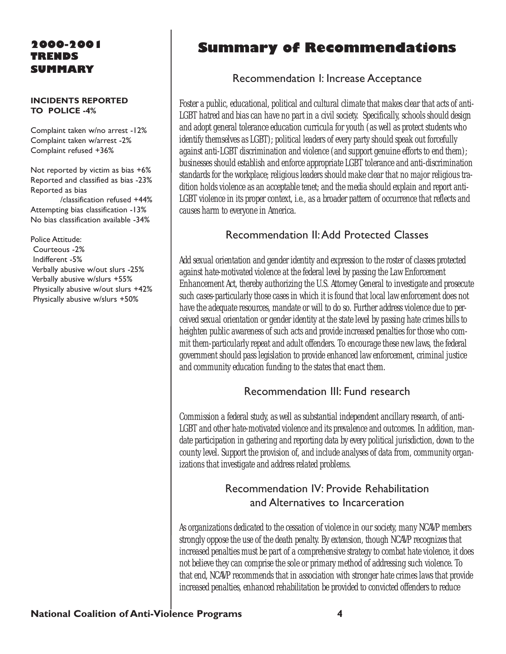### 2000-2001 TRENDS SUMMARY

#### INCIDENTS REPORTED TO POLICE -4%

Complaint taken w/no arrest -12% Complaint taken w/arrest -2% Complaint refused +36%

Not reported by victim as bias +6% Reported and classified as bias -23% Reported as bias

/classification refused +44% Attempting bias classification -13% No bias classification available -34%

Police Attitude: Courteous -2% Indifferent -5% Verbally abusive w/out slurs -25% Verbally abusive w/slurs +55% Physically abusive w/out slurs +42% Physically abusive w/slurs +50%

# Summary of Recommendations

### Recommendation I: Increase Acceptance

Foster a public, educational, political and cultural climate that makes clear that acts of anti-LGBT hatred and bias can have no part in a civil society. Specifically, schools should design and adopt general tolerance education curricula for youth (as well as protect students who identify themselves as LGBT); political leaders of every party should speak out forcefully against anti-LGBT discrimination and violence (and support genuine efforts to end them); businesses should establish and enforce appropriate LGBT tolerance and anti-discrimination standards for the workplace; religious leaders should make clear that no major religious tradition holds violence as an acceptable tenet; and the media should explain and report anti-LGBT violence in its proper context, i.e., as a broader pattern of occurrence that reflects and causes harm to everyone in America.

### Recommendation II:Add Protected Classes

Add sexual orientation and gender identity and expression to the roster of classes protected against hate-motivated violence at the federal level by passing the Law Enforcement Enhancement Act, thereby authorizing the U.S. Attorney General to investigate and prosecute such cases-particularly those cases in which it is found that local law enforcement does not have the adequate resources, mandate or will to do so. Further address violence due to perceived sexual orientation or gender identity at the state level by passing hate crimes bills to heighten public awareness of such acts and provide increased penalties for those who commit them-particularly repeat and adult offenders. To encourage these new laws, the federal government should pass legislation to provide enhanced law enforcement, criminal justice and community education funding to the states that enact them.

### Recommendation III: Fund research

Commission a federal study, as well as substantial independent ancillary research, of anti-LGBT and other hate-motivated violence and its prevalence and outcomes. In addition, mandate participation in gathering and reporting data by every political jurisdiction, down to the county level. Support the provision of, and include analyses of data from, community organizations that investigate and address related problems.

### Recommendation IV: Provide Rehabilitation and Alternatives to Incarceration

As organizations dedicated to the cessation of violence in our society, many NCAVP members strongly oppose the use of the death penalty. By extension, though NCAVP recognizes that increased penalties must be part of a comprehensive strategy to combat hate violence, it does not believe they can comprise the sole or primary method of addressing such violence. To that end, NCAVP recommends that in association with stronger hate crimes laws that provide increased penalties, enhanced rehabilitation be provided to convicted offenders to reduce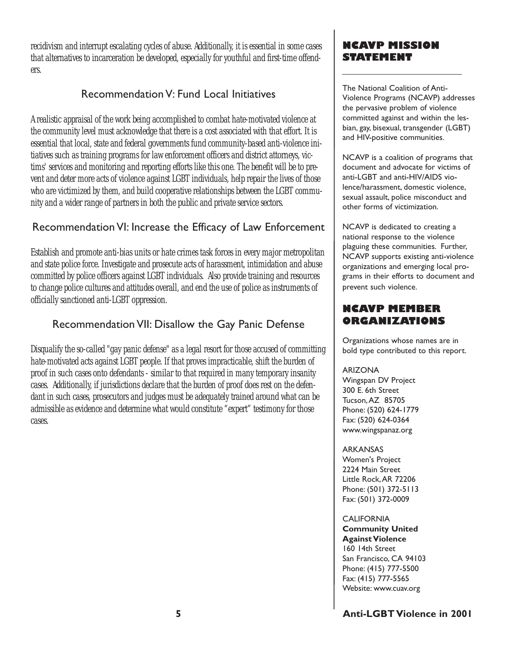recidivism and interrupt escalating cycles of abuse. Additionally, it is essential in some cases that alternatives to incarceration be developed, especially for youthful and first-time offenders.

### Recommendation V: Fund Local Initiatives

A realistic appraisal of the work being accomplished to combat hate-motivated violence at the community level must acknowledge that there is a cost associated with that effort. It is essential that local, state and federal governments fund community-based anti-violence initiatives such as training programs for law enforcement officers and district attorneys, victims' services and monitoring and reporting efforts like this one. The benefit will be to prevent and deter more acts of violence against LGBT individuals, help repair the lives of those who are victimized by them, and build cooperative relationships between the LGBT community and a wider range of partners in both the public and private service sectors.

### Recommendation VI: Increase the Efficacy of Law Enforcement

Establish and promote anti-bias units or hate crimes task forces in every major metropolitan and state police force. Investigate and prosecute acts of harassment, intimidation and abuse committed by police officers against LGBT individuals. Also provide training and resources to change police cultures and attitudes overall, and end the use of police as instruments of officially sanctioned anti-LGBT oppression.

### Recommendation VII: Disallow the Gay Panic Defense

Disqualify the so-called "gay panic defense" as a legal resort for those accused of committing hate-motivated acts against LGBT people. If that proves impracticable, shift the burden of proof in such cases onto defendants - similar to that required in many temporary insanity cases. Additionally, if jurisdictions declare that the burden of proof does rest on the defendant in such cases, prosecutors and judges must be adequately trained around what can be admissible as evidence and determine what would constitute "expert" testimony for those cases.

### NCAVP MISSION STATEMENT

The National Coalition of Anti-Violence Programs (NCAVP) addresses the pervasive problem of violence committed against and within the lesbian, gay, bisexual, transgender (LGBT) and HIV-positive communities.

NCAVP is a coalition of programs that document and advocate for victims of anti-LGBT and anti-HIV/AIDS violence/harassment, domestic violence, sexual assault, police misconduct and other forms of victimization.

NCAVP is dedicated to creating a national response to the violence plaguing these communities. Further, NCAVP supports existing anti-violence organizations and emerging local programs in their efforts to document and prevent such violence.

### NCAVP MEMBER ORGANIZATIONS

Organizations whose names are in bold type contributed to this report.

#### ARIZONA

Wingspan DV Project 300 E. 6th Street Tucson,AZ 85705 Phone: (520) 624-1779 Fax: (520) 624-0364 www.wingspanaz.org

ARKANSAS

Women's Project 2224 Main Street Little Rock,AR 72206 Phone: (501) 372-5113 Fax: (501) 372-0009

**CALIFORNIA** Community United Against Violence 160 14th Street San Francisco, CA 94103 Phone: (415) 777-5500 Fax: (415) 777-5565 Website: www.cuav.org

### 5 Anti-LGBT Violence in 2001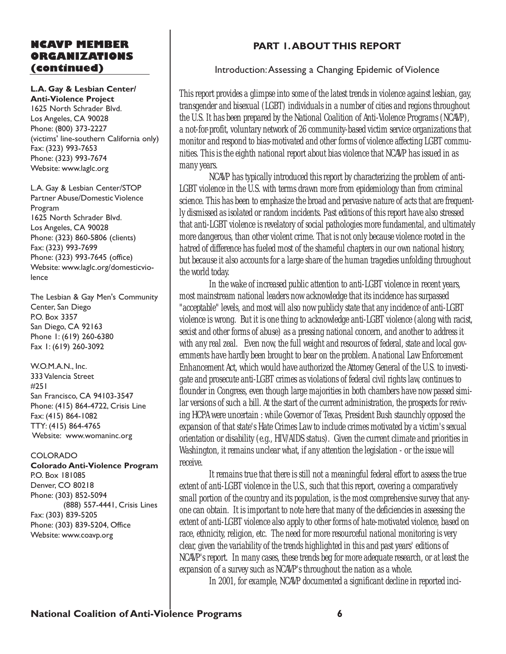### NCAVP MEMBER ORGANIZATIONS (continued)

### L.A. Gay & Lesbian Center/

Anti-Violence Project 1625 North Schrader Blvd. Los Angeles, CA 90028 Phone: (800) 373-2227 (victims' line-southern California only) Fax: (323) 993-7653 Phone: (323) 993-7674 Website: www.laglc.org

L.A. Gay & Lesbian Center/STOP Partner Abuse/Domestic Violence Program 1625 North Schrader Blvd. Los Angeles, CA 90028 Phone: (323) 860-5806 (clients) Fax: (323) 993-7699 Phone: (323) 993-7645 (office) Website: www.laglc.org/domesticviolence

The Lesbian & Gay Men's Community Center, San Diego P.O. Box 3357 San Diego, CA 92163 Phone 1: (619) 260-6380 Fax 1: (619) 260-3092

W.O.M.A.N., Inc. 333 Valencia Street #251 San Francisco, CA 94103-3547 Phone: (415) 864-4722, Crisis Line Fax: (415) 864-1082 TTY: (415) 864-4765 Website: www.womaninc.org

#### COLORADO

Colorado Anti-Violence Program P.O. Box 181085 Denver, CO 80218 Phone: (303) 852-5094 (888) 557-4441, Crisis Lines Fax: (303) 839-5205 Phone: (303) 839-5204, Office Website: www.coavp.org

### PART 1.ABOUT THIS REPORT

### Introduction:Assessing a Changing Epidemic of Violence

This report provides a glimpse into some of the latest trends in violence against lesbian, gay, transgender and bisexual (LGBT) individuals in a number of cities and regions throughout the U.S. It has been prepared by the National Coalition of Anti-Violence Programs (NCAVP), a not-for-profit, voluntary network of 26 community-based victim service organizations that monitor and respond to bias-motivated and other forms of violence affecting LGBT communities. This is the eighth national report about bias violence that NCAVP has issued in as many years.

NCAVP has typically introduced this report by characterizing the problem of anti-LGBT violence in the U.S. with terms drawn more from epidemiology than from criminal science. This has been to emphasize the broad and pervasive nature of acts that are frequently dismissed as isolated or random incidents. Past editions of this report have also stressed that anti-LGBT violence is revelatory of social pathologies more fundamental, and ultimately more dangerous, than other violent crime. That is not only because violence rooted in the hatred of difference has fueled most of the shameful chapters in our own national history, but because it also accounts for a large share of the human tragedies unfolding throughout the world today.

In the wake of increased public attention to anti-LGBT violence in recent years, most mainstream national leaders now acknowledge that its incidence has surpassed "acceptable" levels, and most will also now publicly state that any incidence of anti-LGBT violence is wrong. But it is one thing to acknowledge anti-LGBT violence (along with racist, sexist and other forms of abuse) as a pressing national concern, and another to address it with any real zeal. Even now, the full weight and resources of federal, state and local governments have hardly been brought to bear on the problem. A national Law Enforcement Enhancement Act, which would have authorized the Attorney General of the U.S. to investigate and prosecute anti-LGBT crimes as violations of federal civil rights law, continues to flounder in Congress, even though large majorities in both chambers have now passed similar versions of such a bill. At the start of the current administration, the prospects for reviving HCPA were uncertain : while Governor of Texas, President Bush staunchly opposed the expansion of that state's Hate Crimes Law to include crimes motivated by a victim's sexual orientation or disability (e.g., HIV/AIDS status). Given the current climate and priorities in Washington, it remains unclear what, if any attention the legislation - or the issue will receive.

It remains true that there is still not a meaningful federal effort to assess the true extent of anti-LGBT violence in the U.S., such that this report, covering a comparatively small portion of the country and its population, is the most comprehensive survey that anyone can obtain. It is important to note here that many of the deficiencies in assessing the extent of anti-LGBT violence also apply to other forms of hate-motivated violence, based on race, ethnicity, religion, etc. The need for more resourceful national monitoring is very clear, given the variability of the trends highlighted in this and past years' editions of NCAVP's report. In many cases, these trends beg for more adequate research, or at least the expansion of a survey such as NCAVP's throughout the nation as a whole.

In 2001, for example, NCAVP documented a significant decline in reported inci-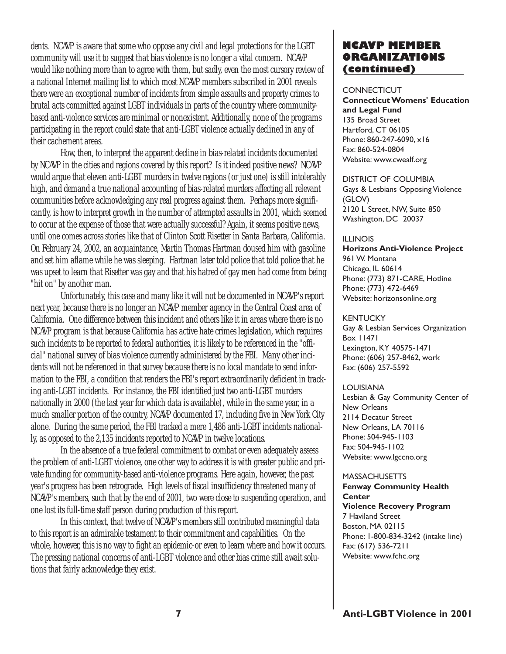dents. NCAVP is aware that some who oppose any civil and legal protections for the LGBT community will use it to suggest that bias violence is no longer a vital concern. NCAVP would like nothing more than to agree with them, but sadly, even the most cursory review of a national Internet mailing list to which most NCAVP members subscribed in 2001 reveals there were an exceptional number of incidents from simple assaults and property crimes to brutal acts committed against LGBT individuals in parts of the country where communitybased anti-violence services are minimal or nonexistent. Additionally, none of the programs participating in the report could state that anti-LGBT violence actually declined in any of their cachement areas.

How, then, to interpret the apparent decline in bias-related incidents documented by NCAVP in the cities and regions covered by this report? Is it indeed positive news? NCAVP would argue that eleven anti-LGBT murders in twelve regions (or just one) is still intolerably high, and demand a true national accounting of bias-related murders affecting all relevant communities before acknowledging any real progress against them. Perhaps more significantly, is how to interpret growth in the number of attempted assaults in 2001, which seemed to occur at the expense of those that were actually successful? Again, it seems positive news, until one comes across stories like that of Clinton Scott Risetter in Santa Barbara, California. On February 24, 2002, an acquaintance, Martin Thomas Hartman doused him with gasoline and set him aflame while he was sleeping. Hartman later told police that told police that he was upset to learn that Risetter was gay and that his hatred of gay men had come from being "hit on" by another man.

Unfortunately, this case and many like it will not be documented in NCAVP's report next year, because there is no longer an NCAVP member agency in the Central Coast area of California. One difference between this incident and others like it in areas where there is no NCAVP program is that because California has active hate crimes legislation, which requires such incidents to be reported to federal authorities, it is likely to be referenced in the "official" national survey of bias violence currently administered by the FBI. Many other incidents will not be referenced in that survey because there is no local mandate to send information to the FBI, a condition that renders the FBI's report extraordinarily deficient in tracking anti-LGBT incidents. For instance, the FBI identified just two anti-LGBT murders nationally in 2000 (the last year for which data is available), while in the same year, in a much smaller portion of the country, NCAVP documented 17, including five in New York City alone. During the same period, the FBI tracked a mere 1,486 anti-LGBT incidents nationally, as opposed to the 2,135 incidents reported to NCAVP in twelve locations.

In the absence of a true federal commitment to combat or even adequately assess the problem of anti-LGBT violence, one other way to address it is with greater public and private funding for community-based anti-violence programs. Here again, however, the past year's progress has been retrograde. High levels of fiscal insufficiency threatened many of NCAVP's members, such that by the end of 2001, two were close to suspending operation, and one lost its full-time staff person during production of this report.

In this context, that twelve of NCAVP's members still contributed meaningful data to this report is an admirable testament to their commitment and capabilities. On the whole, however, this is no way to fight an epidemic-or even to learn where and how it occurs. The pressing national concerns of anti-LGBT violence and other bias crime still await solutions that fairly acknowledge they exist.

### NCAVP MEMBER ORGANIZATIONS (continued)

#### **CONNECTICUT**

Connecticut Womens' Education and Legal Fund 135 Broad Street Hartford, CT 06105 Phone: 860-247-6090, x16 Fax: 860-524-0804 Website: www.cwealf.org

DISTRICT OF COLUMBIA Gays & Lesbians Opposing Violence (GLOV) 2120 L Street, NW, Suite 850 Washington, DC 20037

#### ILLINOIS

Horizons Anti-Violence Project 961 W. Montana Chicago, IL 60614 Phone: (773) 871-CARE, Hotline Phone: (773) 472-6469 Website: horizonsonline.org

#### **KENTUCKY**

Gay & Lesbian Services Organization Box 11471 Lexington, KY 40575-1471 Phone: (606) 257-8462, work Fax: (606) 257-5592

LOUISIANA

Lesbian & Gay Community Center of New Orleans 2114 Decatur Street New Orleans, LA 70116 Phone: 504-945-1103 Fax: 504-945-1102 Website: www.lgccno.org

#### **MASSACHUSETTS**

Fenway Community Health **Center** Violence Recovery Program 7 Haviland Street Boston, MA 02115 Phone: 1-800-834-3242 (intake line) Fax: (617) 536-7211 Website: www.fchc.org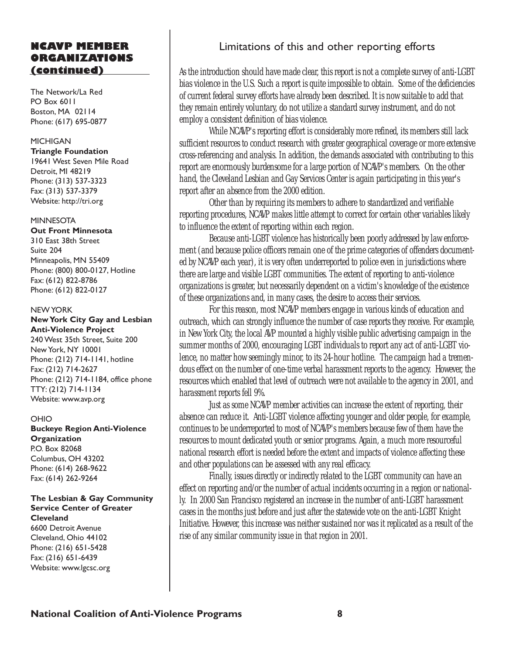### NCAVP MEMBER ORGANIZATIONS (continued)

The Network/La Red PO Box 6011 Boston, MA 02114 Phone: (617) 695-0877

#### MICHIGAN

Triangle Foundation 19641 West Seven Mile Road Detroit, MI 48219 Phone: (313) 537-3323 Fax: (313) 537-3379 Website: http://tri.org

#### **MINNESOTA**

Out Front Minnesota 310 East 38th Street Suite 204 Minneapolis, MN 55409 Phone: (800) 800-0127, Hotline Fax: (612) 822-8786 Phone: (612) 822-0127

#### NEW YORK

New York City Gay and Lesbian Anti-Violence Project 240 West 35th Street, Suite 200 New York, NY 10001 Phone: (212) 714-1141, hotline Fax: (212) 714-2627 Phone: (212) 714-1184, office phone TTY: (212) 714-1134 Website: www.avp.org

#### OHIO

Buckeye Region Anti-Violence **Organization** P.O. Box 82068 Columbus, OH 43202 Phone: (614) 268-9622 Fax: (614) 262-9264

#### The Lesbian & Gay Community Service Center of Greater **Cleveland**

6600 Detroit Avenue Cleveland, Ohio 44102 Phone: (216) 651-5428 Fax: (216) 651-6439 Website: www.lgcsc.org

### Limitations of this and other reporting efforts

As the introduction should have made clear, this report is not a complete survey of anti-LGBT bias violence in the U.S. Such a report is quite impossible to obtain. Some of the deficiencies of current federal survey efforts have already been described. It is now suitable to add that they remain entirely voluntary, do not utilize a standard survey instrument, and do not employ a consistent definition of bias violence.

While NCAVP's reporting effort is considerably more refined, its members still lack sufficient resources to conduct research with greater geographical coverage or more extensive cross-referencing and analysis. In addition, the demands associated with contributing to this report are enormously burdensome for a large portion of NCAVP's members. On the other hand, the Cleveland Lesbian and Gay Services Center is again participating in this year's report after an absence from the 2000 edition.

Other than by requiring its members to adhere to standardized and verifiable reporting procedures, NCAVP makes little attempt to correct for certain other variables likely to influence the extent of reporting within each region.

Because anti-LGBT violence has historically been poorly addressed by law enforcement (and because police officers remain one of the prime categories of offenders documented by NCAVP each year), it is very often underreported to police even in jurisdictions where there are large and visible LGBT communities. The extent of reporting to anti-violence organizations is greater, but necessarily dependent on a victim's knowledge of the existence of these organizations and, in many cases, the desire to access their services.

For this reason, most NCAVP members engage in various kinds of education and outreach, which can strongly influence the number of case reports they receive. For example, in New York City, the local AVP mounted a highly visible public advertising campaign in the summer months of 2000, encouraging LGBT individuals to report any act of anti-LGBT violence, no matter how seemingly minor, to its 24-hour hotline. The campaign had a tremendous effect on the number of one-time verbal harassment reports to the agency. However, the resources which enabled that level of outreach were not available to the agency in 2001, and harassment reports fell 9%.

Just as some NCAVP member activities can increase the extent of reporting, their absence can reduce it. Anti-LGBT violence affecting younger and older people, for example, continues to be underreported to most of NCAVP's members because few of them have the resources to mount dedicated youth or senior programs. Again, a much more resourceful national research effort is needed before the extent and impacts of violence affecting these and other populations can be assessed with any real efficacy.

Finally, issues directly or indirectly related to the LGBT community can have an effect on reporting and/or the number of actual incidents occurring in a region or nationally. In 2000 San Francisco registered an increase in the number of anti-LGBT harassment cases in the months just before and just after the statewide vote on the anti-LGBT Knight Initiative. However, this increase was neither sustained nor was it replicated as a result of the rise of any similar community issue in that region in 2001.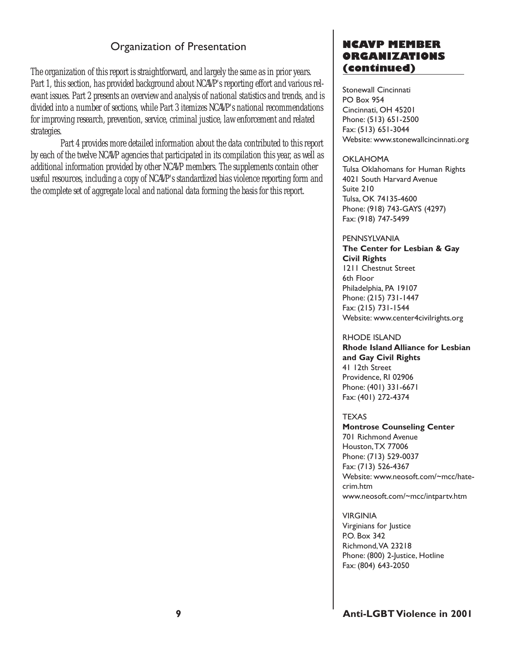### Organization of Presentation

The organization of this report is straightforward, and largely the same as in prior years. Part 1, this section, has provided background about NCAVP's reporting effort and various relevant issues. Part 2 presents an overview and analysis of national statistics and trends, and is divided into a number of sections, while Part 3 itemizes NCAVP's national recommendations for improving research, prevention, service, criminal justice, law enforcement and related strategies.

Part 4 provides more detailed information about the data contributed to this report by each of the twelve NCAVP agencies that participated in its compilation this year, as well as additional information provided by other NCAVP members. The supplements contain other useful resources, including a copy of NCAVP's standardized bias violence reporting form and the complete set of aggregate local and national data forming the basis for this report.

### NCAVP MEMBER ORGANIZATIONS (continued)

Stonewall Cincinnati PO Box 954 Cincinnati, OH 45201 Phone: (513) 651-2500 Fax: (513) 651-3044 Website: www.stonewallcincinnati.org

#### OKLAHOMA

Tulsa Oklahomans for Human Rights 4021 South Harvard Avenue Suite 210 Tulsa, OK 74135-4600 Phone: (918) 743-GAYS (4297) Fax: (918) 747-5499

#### PENNSYLVANIA

The Center for Lesbian & Gay Civil Rights 1211 Chestnut Street 6th Floor

Philadelphia, PA 19107 Phone: (215) 731-1447 Fax: (215) 731-1544 Website: www.center4civilrights.org

#### RHODE ISLAND

Rhode Island Alliance for Lesbian and Gay Civil Rights 41 12th Street Providence, RI 02906 Phone: (401) 331-6671 Fax: (401) 272-4374

#### TEXAS

Montrose Counseling Center 701 Richmond Avenue Houston,TX 77006 Phone: (713) 529-0037 Fax: (713) 526-4367 Website: www.neosoft.com/~mcc/hatecrim.htm www.neosoft.com/~mcc/intpartv.htm

#### VIRGINIA

Virginians for Justice P.O. Box 342 Richmond,VA 23218 Phone: (800) 2-Justice, Hotline Fax: (804) 643-2050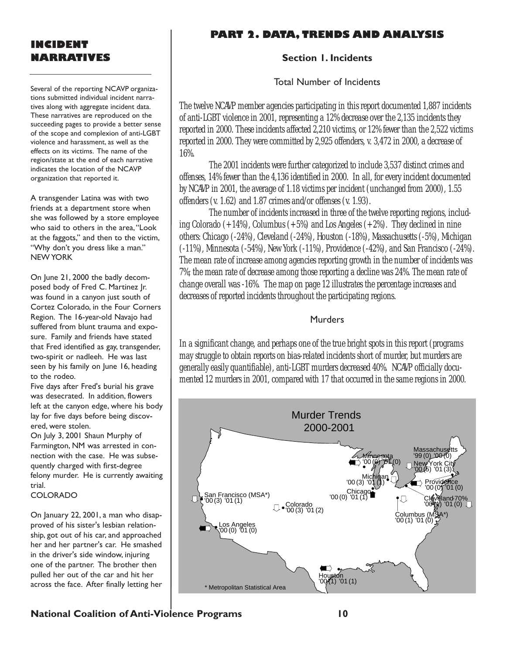### INCIDENT NARRATIVES

Several of the reporting NCAVP organizations submitted individual incident narratives along with aggregate incident data. These narratives are reproduced on the succeeding pages to provide a better sense of the scope and complexion of anti-LGBT violence and harassment, as well as the effects on its victims. The name of the region/state at the end of each narrative indicates the location of the NCAVP organization that reported it.

A transgender Latina was with two friends at a department store when she was followed by a store employee who said to others in the area, "Look at the faggots," and then to the victim, "Why don't you dress like a man." NEW YORK

On June 21, 2000 the badly decomposed body of Fred C. Martinez Jr. was found in a canyon just south of Cortez Colorado, in the Four Corners Region. The 16-year-old Navajo had suffered from blunt trauma and exposure. Family and friends have stated that Fred identified as gay, transgender, two-spirit or nadleeh. He was last seen by his family on June 16, heading to the rodeo.

Five days after Fred's burial his grave was desecrated. In addition, flowers left at the canyon edge, where his body lay for five days before being discovered, were stolen.

On July 3, 2001 Shaun Murphy of Farmington, NM was arrested in connection with the case. He was subsequently charged with first-degree felony murder. He is currently awaiting trial.

#### COLORADO

On January 22, 2001, a man who disapproved of his sister's lesbian relationship, got out of his car, and approached her and her partner's car. He smashed in the driver's side window, injuring one of the partner. The brother then pulled her out of the car and hit her across the face. After finally letting her

### PART 2. DATA, TRENDS AND ANALYSIS

#### Section 1. Incidents

Total Number of Incidents

The twelve NCAVP member agencies participating in this report documented 1,887 incidents of anti-LGBT violence in 2001, representing a 12% decrease over the 2,135 incidents they reported in 2000. These incidents affected 2,210 victims, or 12% fewer than the 2,522 victims reported in 2000. They were committed by 2,925 offenders, v. 3,472 in 2000, a decrease of 16%.

The 2001 incidents were further categorized to include 3,537 distinct crimes and offenses, 14% fewer than the 4,136 identified in 2000. In all, for every incident documented by NCAVP in 2001, the average of 1.18 victims per incident (unchanged from 2000), 1.55 offenders (v. 1.62) and 1.87 crimes and/or offenses (v. 1.93).

The number of incidents increased in three of the twelve reporting regions, including Colorado  $(+14%)$ , Columbus  $(+5%)$  and Los Angeles  $(+2%)$ . They declined in nine others: Chicago (-24%), Cleveland (-24%), Houston (-18%), Massachusetts (-5%), Michigan (-11%), Minnesota (-54%), New York (-11%), Providence (-42%), and San Francisco (-24%). The mean rate of increase among agencies reporting growth in the number of incidents was 7%; the mean rate of decrease among those reporting a decline was 24%. The mean rate of change overall was -16%. The map on page 12 illustrates the percentage increases and decreases of reported incidents throughout the participating regions.

#### Murders

In a significant change, and perhaps one of the true bright spots in this report (programs may struggle to obtain reports on bias-related incidents short of murder, but murders are generally easily quantifiable), anti-LGBT murders decreased 40%. NCAVP officially documented 12 murders in 2001, compared with 17 that occurred in the same regions in 2000.



National Coalition of Anti-Violence Programs 10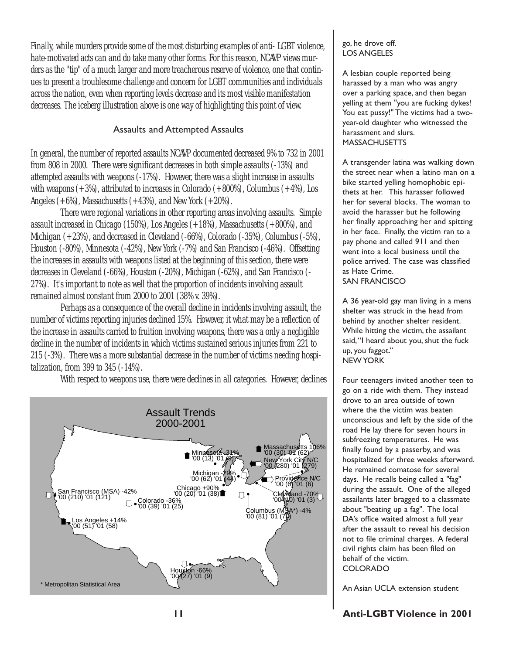Finally, while murders provide some of the most disturbing examples of anti- LGBT violence, hate-motivated acts can and do take many other forms. For this reason, NCAVP views murders as the "tip" of a much larger and more treacherous reserve of violence, one that continues to present a troublesome challenge and concern for LGBT communities and individuals across the nation, even when reporting levels decrease and its most visible manifestation decreases. The iceberg illustration above is one way of highlighting this point of view.

### Assaults and Attempted Assaults

In general, the number of reported assaults NCAVP documented decreased 9% to 732 in 2001 from 808 in 2000. There were significant decreases in both simple assaults (-13%) and attempted assaults with weapons (-17%). However, there was a slight increase in assaults with weapons  $(+3%)$ , attributed to increases in Colorado  $(+800%)$ , Columbus  $(+4%)$ , Los Angeles  $(+6%)$ , Massachusetts  $(+43%)$ , and New York  $(+20%)$ .

There were regional variations in other reporting areas involving assaults. Simple assault increased in Chicago (150%), Los Angeles (+18%), Massachusetts (+800%), and Michigan (+23%), and decreased in Cleveland (-66%), Colorado (-35%), Columbus (-5%), Houston (-80%), Minnesota (-42%), New York (-7%) and San Francisco (-46%). Offsetting the increases in assaults with weapons listed at the beginning of this section, there were decreases in Cleveland (-66%), Houston (-20%), Michigan (-62%), and San Francisco (- 27%). It's important to note as well that the proportion of incidents involving assault remained almost constant from 2000 to 2001 (38% v. 39%).

Perhaps as a consequence of the overall decline in incidents involving assault, the number of victims reporting injuries declined 15%. However, it what may be a reflection of the increase in assaults carried to fruition involving weapons, there was a only a negligible decline in the number of incidents in which victims sustained serious injuries from 221 to 215 (-3%). There was a more substantial decrease in the number of victims needing hospitalization, from 399 to 345 (-14%).

With respect to weapons use, there were declines in all categories. However, declines



#### go, he drove off. LOS ANGELES

A lesbian couple reported being harassed by a man who was angry over a parking space, and then began yelling at them "you are fucking dykes! You eat pussy!" The victims had a twoyear-old daughter who witnessed the harassment and slurs. **MASSACHUSETTS** 

A transgender latina was walking down the street near when a latino man on a bike started yelling homophobic epithets at her. This harasser followed her for several blocks. The woman to avoid the harasser but he following her finally approaching her and spitting in her face. Finally, the victim ran to a pay phone and called 911 and then went into a local business until the police arrived. The case was classified as Hate Crime. SAN FRANCISCO

A 36 year-old gay man living in a mens shelter was struck in the head from behind by another shelter resident. While hitting the victim, the assailant said, "I heard about you, shut the fuck up, you faggot. NEW YORK

Four teenagers invited another teen to go on a ride with them. They instead drove to an area outside of town where the the victim was beaten unconscious and left by the side of the road He lay there for seven hours in subfreezing temperatures. He was finally found by a passerby, and was hospitalized for three weeks afterward. He remained comatose for several days. He recalls being called a "fag" during the assault. One of the alleged assailants later bragged to a classmate about "beating up a fag". The local DA's office waited almost a full year after the assault to reveal his decision not to file criminal charges. A federal civil rights claim has been filed on behalf of the victim. COLORADO

An Asian UCLA extension student

### 11 Anti-LGBT Violence in 2001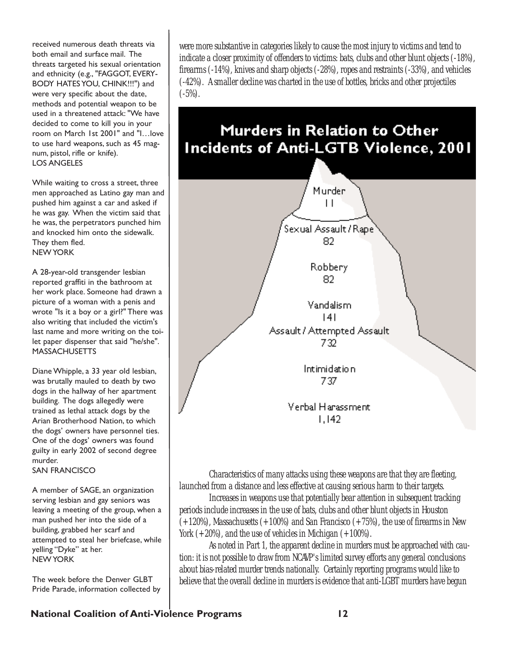received numerous death threats via both email and surface mail. The threats targeted his sexual orientation and ethnicity (e.g., "FAGGOT, EVERY-BODY HATES YOU, CHINK!!!") and were very specific about the date, methods and potential weapon to be used in a threatened attack: "We have decided to come to kill you in your room on March 1st 2001" and "I...love to use hard weapons, such as 45 magnum, pistol, rifle or knife). LOS ANGELES

While waiting to cross a street, three men approached as Latino gay man and pushed him against a car and asked if he was gay. When the victim said that he was, the perpetrators punched him and knocked him onto the sidewalk. They them fled. NEW YORK

A 28-year-old transgender lesbian reported graffiti in the bathroom at her work place. Someone had drawn a picture of a woman with a penis and wrote "Is it a boy or a girl?" There was also writing that included the victim's last name and more writing on the toilet paper dispenser that said "he/she". **MASSACHUSETTS** 

Diane Whipple, a 33 year old lesbian, was brutally mauled to death by two dogs in the hallway of her apartment building. The dogs allegedly were trained as lethal attack dogs by the Arian Brotherhood Nation, to which the dogs' owners have personnel ties. One of the dogs' owners was found guilty in early 2002 of second degree murder.

#### SAN FRANCISCO

A member of SAGE, an organization serving lesbian and gay seniors was leaving a meeting of the group, when a man pushed her into the side of a building, grabbed her scarf and attempted to steal her briefcase, while yelling "Dyke" at her. NEW YORK

The week before the Denver GLBT Pride Parade, information collected by were more substantive in categories likely to cause the most injury to victims and tend to indicate a closer proximity of offenders to victims: bats, clubs and other blunt objects (-18%), firearms (-14%), knives and sharp objects (-28%), ropes and restraints (-33%), and vehicles (-42%). A smaller decline was charted in the use of bottles, bricks and other projectiles  $(-5%)$ .

# **Murders in Relation to Other Incidents of Anti-LGTB Violence, 2001**



Characteristics of many attacks using these weapons are that they are fleeting, launched from a distance and less effective at causing serious harm to their targets.

Increases in weapons use that potentially bear attention in subsequent tracking periods include increases in the use of bats, clubs and other blunt objects in Houston  $(+120%)$ , Massachusetts  $(+100%)$  and San Francisco  $(+75%)$ , the use of firearms in New York  $(+20%)$ , and the use of vehicles in Michigan  $(+100%)$ .

As noted in Part 1, the apparent decline in murders must be approached with caution: it is not possible to draw from NCAVP's limited survey efforts any general conclusions about bias-related murder trends nationally. Certainly reporting programs would like to believe that the overall decline in murders is evidence that anti-LGBT murders have begun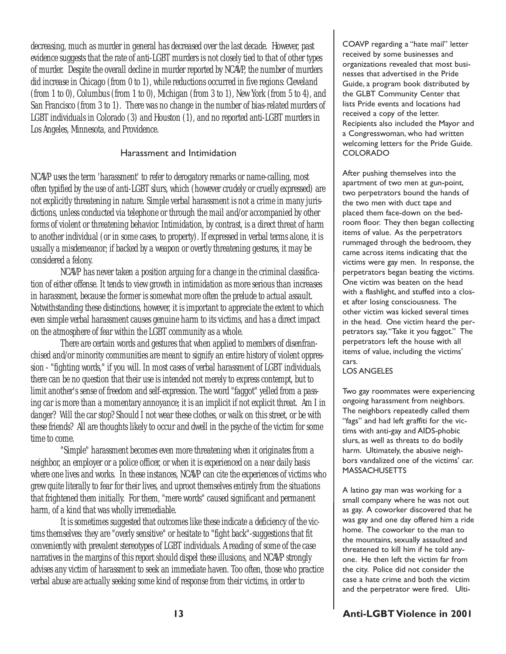decreasing, much as murder in general has decreased over the last decade. However, past evidence suggests that the rate of anti-LGBT murders is not closely tied to that of other types of murder. Despite the overall decline in murder reported by NCAVP, the number of murders did increase in Chicago (from 0 to 1), while reductions occurred in five regions: Cleveland (from 1 to 0), Columbus (from 1 to 0), Michigan (from 3 to 1), New York (from 5 to 4), and San Francisco (from 3 to 1). There was no change in the number of bias-related murders of LGBT individuals in Colorado (3) and Houston (1), and no reported anti-LGBT murders in Los Angeles, Minnesota, and Providence.

#### Harassment and Intimidation

NCAVP uses the term 'harassment' to refer to derogatory remarks or name-calling, most often typified by the use of anti-LGBT slurs, which (however crudely or cruelly expressed) are not explicitly threatening in nature. Simple verbal harassment is not a crime in many jurisdictions, unless conducted via telephone or through the mail and/or accompanied by other forms of violent or threatening behavior. Intimidation, by contrast, is a direct threat of harm to another individual (or in some cases, to property). If expressed in verbal terms alone, it is usually a misdemeanor; if backed by a weapon or overtly threatening gestures, it may be considered a felony.

NCAVP has never taken a position arguing for a change in the criminal classification of either offense. It tends to view growth in intimidation as more serious than increases in harassment, because the former is somewhat more often the prelude to actual assault. Notwithstanding these distinctions, however, it is important to appreciate the extent to which even simple verbal harassment causes genuine harm to its victims, and has a direct impact on the atmosphere of fear within the LGBT community as a whole.

There are certain words and gestures that when applied to members of disenfranchised and/or minority communities are meant to signify an entire history of violent oppression - "fighting words," if you will. In most cases of verbal harassment of LGBT individuals, there can be no question that their use is intended not merely to express contempt, but to limit another's sense of freedom and self-expression. The word "faggot" yelled from a passing car is more than a momentary annoyance; it is an implicit if not explicit threat. Am I in danger? Will the car stop? Should I not wear these clothes, or walk on this street, or be with these friends? All are thoughts likely to occur and dwell in the psyche of the victim for some time to come.

"Simple" harassment becomes even more threatening when it originates from a neighbor, an employer or a police officer, or when it is experienced on a near daily basis where one lives and works. In these instances, NCAVP can cite the experiences of victims who grew quite literally to fear for their lives, and uproot themselves entirely from the situations that frightened them initially. For them, "mere words" caused significant and permanent harm, of a kind that was wholly irremediable.

It is sometimes suggested that outcomes like these indicate a deficiency of the victims themselves: they are "overly sensitive" or hesitate to "fight back"-suggestions that fit conveniently with prevalent stereotypes of LGBT individuals. A reading of some of the case narratives in the margins of this report should dispel these illusions, and NCAVP strongly advises any victim of harassment to seek an immediate haven. Too often, those who practice verbal abuse are actually seeking some kind of response from their victims, in order to

COAVP regarding a "hate mail" letter received by some businesses and organizations revealed that most businesses that advertised in the Pride Guide, a program book distributed by the GLBT Community Center that lists Pride events and locations had received a copy of the letter. Recipients also included the Mayor and a Congresswoman, who had written welcoming letters for the Pride Guide. COLORADO

After pushing themselves into the apartment of two men at gun-point, two perpetrators bound the hands of the two men with duct tape and placed them face-down on the bedroom floor. They then began collecting items of value. As the perpetrators rummaged through the bedroom, they came across items indicating that the victims were gay men. In response, the perpetrators began beating the victims. One victim was beaten on the head with a flashlight, and stuffed into a closet after losing consciousness. The other victim was kicked several times in the head. One victim heard the perpetrators say, "Take it you faggot." The perpetrators left the house with all items of value, including the victims cars.

#### LOS ANGELES

Two gay roommates were experiencing ongoing harassment from neighbors. The neighbors repeatedly called them "fags" and had left graffiti for the victims with anti-gay and AIDS-phobic slurs, as well as threats to do bodily harm. Ultimately, the abusive neighbors vandalized one of the victims' car. **MASSACHUSETTS** 

A latino gay man was working for a small company where he was not out as gay. A coworker discovered that he was gay and one day offered him a ride home. The coworker to the man to the mountains, sexually assaulted and threatened to kill him if he told anyone. He then left the victim far from the city. Police did not consider the case a hate crime and both the victim and the perpetrator were fired. Ulti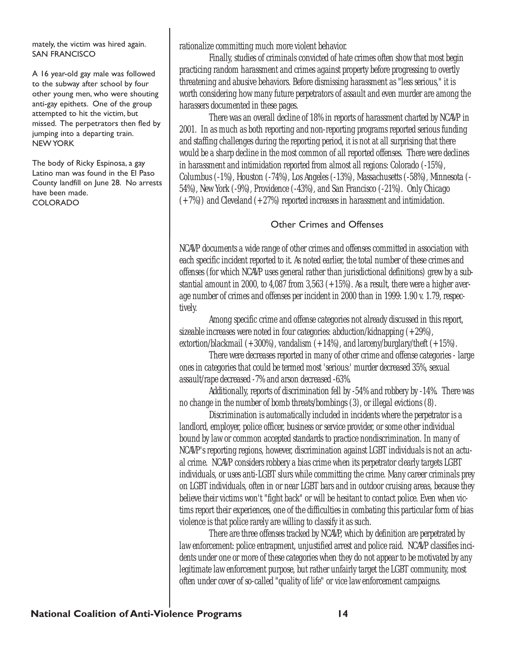mately, the victim was hired again. SAN FRANCISCO

A 16 year-old gay male was followed to the subway after school by four other young men, who were shouting anti-gay epithets. One of the group attempted to hit the victim, but missed. The perpetrators then fled by jumping into a departing train. NEW YORK

The body of Ricky Espinosa, a gay Latino man was found in the El Paso County landfill on June 28. No arrests have been made. COLORADO

rationalize committing much more violent behavior.

Finally, studies of criminals convicted of hate crimes often show that most begin practicing random harassment and crimes against property before progressing to overtly threatening and abusive behaviors. Before dismissing harassment as "less serious," it is worth considering how many future perpetrators of assault and even murder are among the harassers documented in these pages.

There was an overall decline of 18% in reports of harassment charted by NCAVP in 2001. In as much as both reporting and non-reporting programs reported serious funding and staffing challenges during the reporting period, it is not at all surprising that there would be a sharp decline in the most common of all reported offenses. There were declines in harassment and intimidation reported from almost all regions: Colorado (-15%), Columbus (-1%), Houston (-74%), Los Angeles (-13%), Massachusetts (-58%), Minnesota (- 54%), New York (-9%), Providence (-43%), and San Francisco (-21%). Only Chicago  $(+7%)$ ) and Cleveland  $(+27%)$  reported increases in harassment and intimidation.

#### Other Crimes and Offenses

NCAVP documents a wide range of other crimes and offenses committed in association with each specific incident reported to it. As noted earlier, the total number of these crimes and offenses (for which NCAVP uses general rather than jurisdictional definitions) grew by a substantial amount in 2000, to 4,087 from 3,563  $(+15%)$ . As a result, there were a higher average number of crimes and offenses per incident in 2000 than in 1999: 1.90 v. 1.79, respectively.

Among specific crime and offense categories not already discussed in this report, sizeable increases were noted in four categories: abduction/kidnapping  $(+29%)$ , extortion/blackmail  $(+300\%)$ , vandalism  $(+14\%)$ , and larceny/burglary/theft  $(+15\%)$ .

There were decreases reported in many of other crime and offense categories - large ones in categories that could be termed most 'serious:' murder decreased 35%, sexual assault/rape decreased -7% and arson decreased -63%.

Additionally, reports of discrimination fell by -54% and robbery by -14%. There was no change in the number of bomb threats/bombings (3), or illegal evictions (8).

Discrimination is automatically included in incidents where the perpetrator is a landlord, employer, police officer, business or service provider, or some other individual bound by law or common accepted standards to practice nondiscrimination. In many of NCAVP's reporting regions, however, discrimination against LGBT individuals is not an actual crime. NCAVP considers robbery a bias crime when its perpetrator clearly targets LGBT individuals, or uses anti-LGBT slurs while committing the crime. Many career criminals prey on LGBT individuals, often in or near LGBT bars and in outdoor cruising areas, because they believe their victims won't "fight back" or will be hesitant to contact police. Even when victims report their experiences, one of the difficulties in combating this particular form of bias violence is that police rarely are willing to classify it as such.

There are three offenses tracked by NCAVP, which by definition are perpetrated by law enforcement: police entrapment, unjustified arrest and police raid. NCAVP classifies incidents under one or more of these categories when they do not appear to be motivated by any legitimate law enforcement purpose, but rather unfairly target the LGBT community, most often under cover of so-called "quality of life" or vice law enforcement campaigns.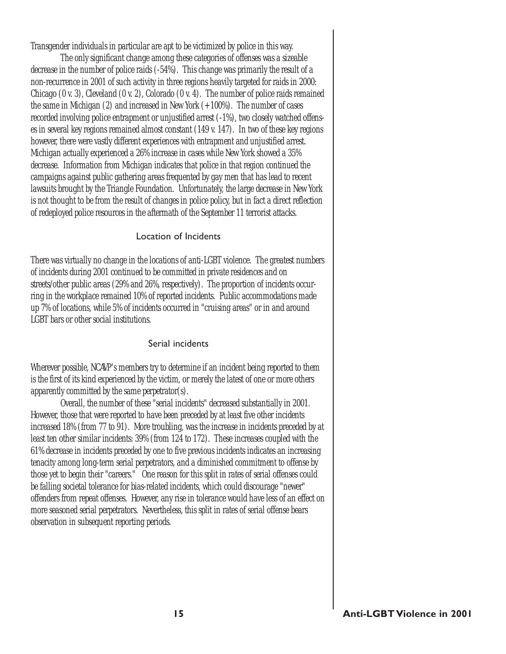Transgender individuals in particular are apt to be victimized by police in this way.

The only significant change among these categories of offenses was a sizeable decrease in the number of police raids (-54%). This change was primarily the result of a non-recurrence in 2001 of such activity in three regions heavily targeted for raids in 2000: Chicago  $(0 \, \text{v. 3})$ , Cleveland  $(0 \, \text{v. 2})$ , Colorado  $(0 \, \text{v. 4})$ . The number of police raids remained the same in Michigan  $(2)$  and increased in New York  $(+100\%)$ . The number of cases recorded involving police entrapment or unjustified arrest (-1%), two closely watched offenses in several key regions remained almost constant (149 v. 147). In two of these key regions however, there were vastly different experiences with entrapment and unjustified arrest. Michigan actually experienced a 26% increase in cases while New York showed a 35% decrease. Information from Michigan indicates that police in that region continued the campaigns against public gathering areas frequented by gay men that has lead to recent lawsuits brought by the Triangle Foundation. Unfortunately, the large decrease in New York is not thought to be from the result of changes in police policy, but in fact a direct reflection of redeployed police resources in the aftermath of the September 11 terrorist attacks.

### Location of Incidents

There was virtually no change in the locations of anti-LGBT violence. The greatest numbers of incidents during 2001 continued to be committed in private residences and on streets/other public areas (29% and 26%, respectively). The proportion of incidents occurring in the workplace remained 10% of reported incidents. Public accommodations made up 7% of locations, while 5% of incidents occurred in "cruising areas" or in and around LGBT bars or other social institutions.

#### Serial incidents

Wherever possible, NCAVP's members try to determine if an incident being reported to them is the first of its kind experienced by the victim, or merely the latest of one or more others apparently committed by the same perpetrator(s).

Overall, the number of these "serial incidents" decreased substantially in 2001. However, those that were reported to have been preceded by at least five other incidents increased 18% (from 77 to 91). More troubling, was the increase in incidents preceded by at least ten other similar incidents: 39% (from 124 to 172). These increases coupled with the 61% decrease in incidents preceded by one to five previous incidents indicates an increasing tenacity among long-term serial perpetrators, and a diminished commitment to offense by those yet to begin their "careers." One reason for this split in rates of serial offenses could be falling societal tolerance for bias-related incidents, which could discourage "newer" offenders from repeat offenses. However, any rise in tolerance would have less of an effect on more seasoned serial perpetrators. Nevertheless, this split in rates of serial offense bears observation in subsequent reporting periods.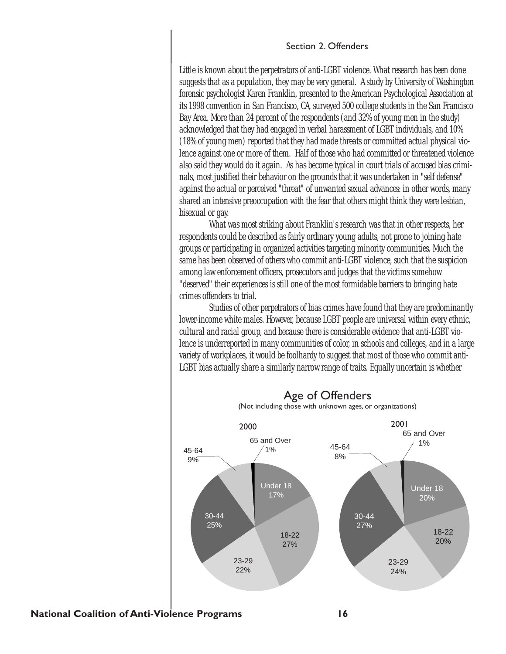#### Section 2. Offenders

Little is known about the perpetrators of anti-LGBT violence. What research has been done suggests that as a population, they may be very general. A study by University of Washington forensic psychologist Karen Franklin, presented to the American Psychological Association at its 1998 convention in San Francisco, CA, surveyed 500 college students in the San Francisco Bay Area. More than 24 percent of the respondents (and 32% of young men in the study) acknowledged that they had engaged in verbal harassment of LGBT individuals, and 10% (18% of young men) reported that they had made threats or committed actual physical violence against one or more of them. Half of those who had committed or threatened violence also said they would do it again. As has become typical in court trials of accused bias criminals, most justified their behavior on the grounds that it was undertaken in "self defense" against the actual or perceived "threat" of unwanted sexual advances: in other words, many shared an intensive preoccupation with the fear that others might think they were lesbian, bisexual or gay.

What was most striking about Franklin's research was that in other respects, her respondents could be described as fairly ordinary young adults, not prone to joining hate groups or participating in organized activities targeting minority communities. Much the same has been observed of others who commit anti-LGBT violence, such that the suspicion among law enforcement officers, prosecutors and judges that the victims somehow "deserved" their experiences is still one of the most formidable barriers to bringing hate crimes offenders to trial.

Studies of other perpetrators of bias crimes have found that they are predominantly lower-income white males. However, because LGBT people are universal within every ethnic, cultural and racial group, and because there is considerable evidence that anti-LGBT violence is underreported in many communities of color, in schools and colleges, and in a large variety of workplaces, it would be foolhardy to suggest that most of those who commit anti-LGBT bias actually share a similarly narrow range of traits. Equally uncertain is whether

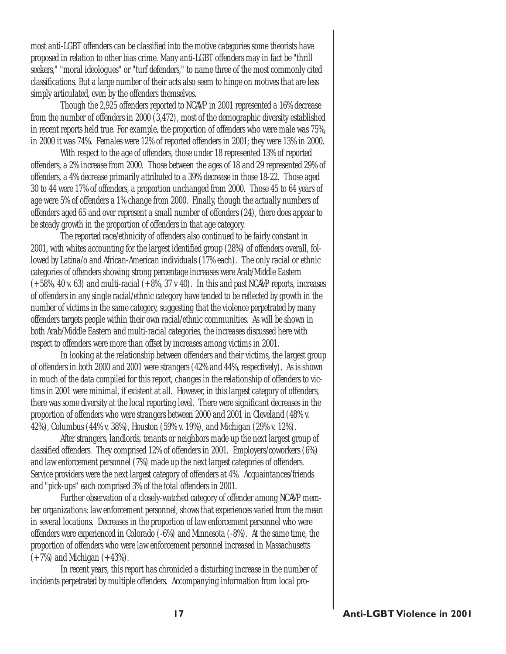most anti-LGBT offenders can be classified into the motive categories some theorists have proposed in relation to other bias crime. Many anti-LGBT offenders may in fact be "thrill seekers," "moral ideologues" or "turf defenders," to name three of the most commonly cited classifications. But a large number of their acts also seem to hinge on motives that are less simply articulated, even by the offenders themselves.

Though the 2,925 offenders reported to NCAVP in 2001 represented a 16% decrease from the number of offenders in 2000 (3,472), most of the demographic diversity established in recent reports held true. For example, the proportion of offenders who were male was 75%, in 2000 it was 74%. Females were 12% of reported offenders in 2001; they were 13% in 2000.

With respect to the age of offenders, those under 18 represented 13% of reported offenders, a 2% increase from 2000. Those between the ages of 18 and 29 represented 29% of offenders, a 4% decrease primarily attributed to a 39% decrease in those 18-22. Those aged 30 to 44 were 17% of offenders, a proportion unchanged from 2000. Those 45 to 64 years of age were 5% of offenders a 1% change from 2000. Finally, though the actually numbers of offenders aged 65 and over represent a small number of offenders (24), there does appear to be steady growth in the proportion of offenders in that age category.

The reported race/ethnicity of offenders also continued to be fairly constant in 2001, with whites accounting for the largest identified group (28%) of offenders overall, followed by Latina/o and African-American individuals (17% each). The only racial or ethnic categories of offenders showing strong percentage increases were Arab/Middle Eastern  $(+58\%, 40 \text{ v. } 63)$  and multi-racial  $(+8\%, 37 \text{ v. } 40)$ . In this and past NCAVP reports, increases of offenders in any single racial/ethnic category have tended to be reflected by growth in the number of victims in the same category, suggesting that the violence perpetrated by many offenders targets people within their own racial/ethnic communities. As will be shown in both Arab/Middle Eastern and multi-racial categories, the increases discussed here with respect to offenders were more than offset by increases among victims in 2001.

In looking at the relationship between offenders and their victims, the largest group of offenders in both 2000 and 2001 were strangers (42% and 44%, respectively). As is shown in much of the data compiled for this report, changes in the relationship of offenders to victims in 2001 were minimal, if existent at all. However, in this largest category of offenders, there was some diversity at the local reporting level. There were significant decreases in the proportion of offenders who were strangers between 2000 and 2001 in Cleveland (48% v. 42%), Columbus (44% v. 38%), Houston (59% v. 19%), and Michigan (29% v. 12%).

After strangers, landlords, tenants or neighbors made up the next largest group of classified offenders. They comprised 12% of offenders in 2001. Employers/coworkers (6%) and law enforcement personnel (7%) made up the next largest categories of offenders. Service providers were the next largest category of offenders at 4%. Acquaintances/friends and "pick-ups" each comprised 3% of the total offenders in 2001.

Further observation of a closely-watched category of offender among NCAVP member organizations: law enforcement personnel, shows that experiences varied from the mean in several locations. Decreases in the proportion of law enforcement personnel who were offenders were experienced in Colorado (-6%) and Minnesota (-8%). At the same time, the proportion of offenders who were law enforcement personnel increased in Massachusetts  $(+7%)$  and Michigan  $(+43%)$ .

In recent years, this report has chronicled a disturbing increase in the number of incidents perpetrated by multiple offenders. Accompanying information from local pro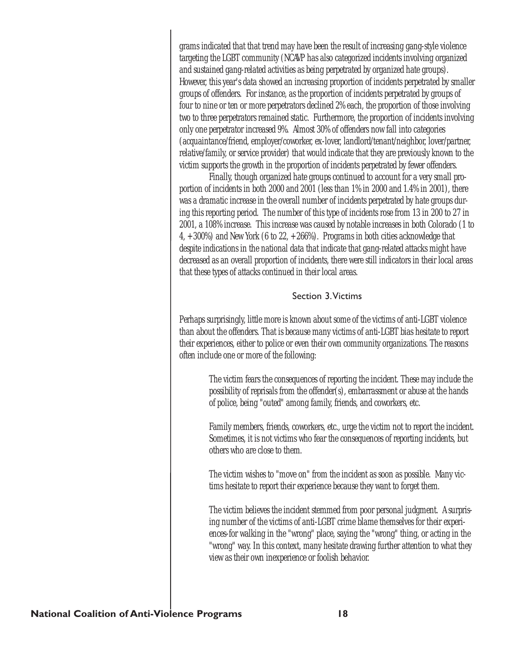grams indicated that that trend may have been the result of increasing gang-style violence targeting the LGBT community (NCAVP has also categorized incidents involving organized and sustained gang-related activities as being perpetrated by organized hate groups). However, this year's data showed an increasing proportion of incidents perpetrated by smaller groups of offenders. For instance, as the proportion of incidents perpetrated by groups of four to nine or ten or more perpetrators declined 2% each, the proportion of those involving two to three perpetrators remained static. Furthermore, the proportion of incidents involving only one perpetrator increased 9%. Almost 30% of offenders now fall into categories (acquaintance/friend, employer/coworker, ex-lover, landlord/tenant/neighbor, lover/partner, relative/family, or service provider) that would indicate that they are previously known to the victim supports the growth in the proportion of incidents perpetrated by fewer offenders.

Finally, though organized hate groups continued to account for a very small proportion of incidents in both 2000 and 2001 (less than 1% in 2000 and 1.4% in 2001), there was a dramatic increase in the overall number of incidents perpetrated by hate groups during this reporting period. The number of this type of incidents rose from 13 in 200 to 27 in 2001, a 108% increase. This increase was caused by notable increases in both Colorado (1 to 4,  $+300\%$ ) and New York (6 to 22,  $+266\%$ ). Programs in both cities acknowledge that despite indications in the national data that indicate that gang-related attacks might have decreased as an overall proportion of incidents, there were still indicators in their local areas that these types of attacks continued in their local areas.

#### Section 3.Victims

Perhaps surprisingly, little more is known about some of the victims of anti-LGBT violence than about the offenders. That is because many victims of anti-LGBT bias hesitate to report their experiences, either to police or even their own community organizations. The reasons often include one or more of the following:

> The victim fears the consequences of reporting the incident. These may include the possibility of reprisals from the offender(s), embarrassment or abuse at the hands of police, being "outed" among family, friends, and coworkers, etc.

> Family members, friends, coworkers, etc., urge the victim not to report the incident. Sometimes, it is not victims who fear the consequences of reporting incidents, but others who are close to them.

The victim wishes to "move on" from the incident as soon as possible. Many victims hesitate to report their experience because they want to forget them.

The victim believes the incident stemmed from poor personal judgment. A surprising number of the victims of anti-LGBT crime blame themselves for their experiences-for walking in the "wrong" place, saying the "wrong" thing, or acting in the "wrong" way. In this context, many hesitate drawing further attention to what they view as their own inexperience or foolish behavior.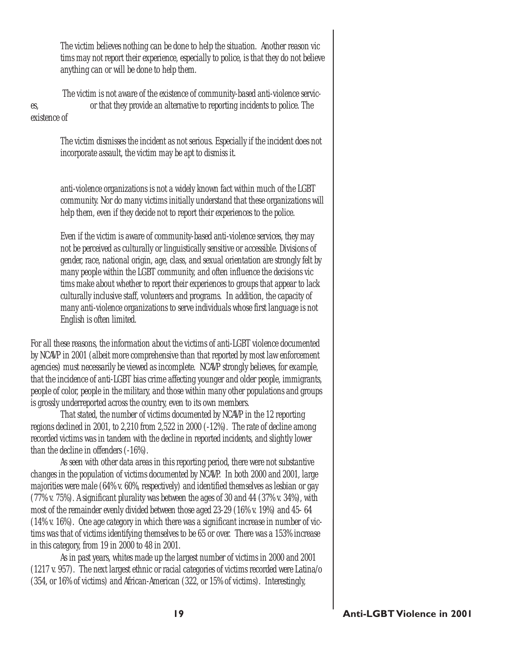The victim believes nothing can be done to help the situation. Another reason vic tims may not report their experience, especially to police, is that they do not believe anything can or will be done to help them.

The victim is not aware of the existence of community-based anti-violence services, or that they provide an alternative to reporting incidents to police. The

existence of

The victim dismisses the incident as not serious. Especially if the incident does not incorporate assault, the victim may be apt to dismiss it.

anti-violence organizations is not a widely known fact within much of the LGBT community. Nor do many victims initially understand that these organizations will help them, even if they decide not to report their experiences to the police.

Even if the victim is aware of community-based anti-violence services, they may not be perceived as culturally or linguistically sensitive or accessible. Divisions of gender, race, national origin, age, class, and sexual orientation are strongly felt by many people within the LGBT community, and often influence the decisions vic tims make about whether to report their experiences to groups that appear to lack culturally inclusive staff, volunteers and programs. In addition, the capacity of many anti-violence organizations to serve individuals whose first language is not English is often limited.

For all these reasons, the information about the victims of anti-LGBT violence documented by NCAVP in 2001 (albeit more comprehensive than that reported by most law enforcement agencies) must necessarily be viewed as incomplete. NCAVP strongly believes, for example, that the incidence of anti-LGBT bias crime affecting younger and older people, immigrants, people of color, people in the military, and those within many other populations and groups is grossly underreported across the country, even to its own members.

That stated, the number of victims documented by NCAVP in the 12 reporting regions declined in 2001, to 2,210 from 2,522 in 2000 (-12%). The rate of decline among recorded victims was in tandem with the decline in reported incidents, and slightly lower than the decline in offenders (-16%).

As seen with other data areas in this reporting period, there were not substantive changes in the population of victims documented by NCAVP. In both 2000 and 2001, large majorities were male (64% v. 60%, respectively) and identified themselves as lesbian or gay (77% v. 75%). A significant plurality was between the ages of 30 and 44 (37% v. 34%), with most of the remainder evenly divided between those aged 23-29 (16% v. 19%) and 45- 64 (14% v. 16%). One age category in which there was a significant increase in number of victims was that of victims identifying themselves to be 65 or over. There was a 153% increase in this category, from 19 in 2000 to 48 in 2001.

As in past years, whites made up the largest number of victims in 2000 and 2001 (1217 v. 957). The next largest ethnic or racial categories of victims recorded were Latina/o (354, or 16% of victims) and African-American (322, or 15% of victims). Interestingly,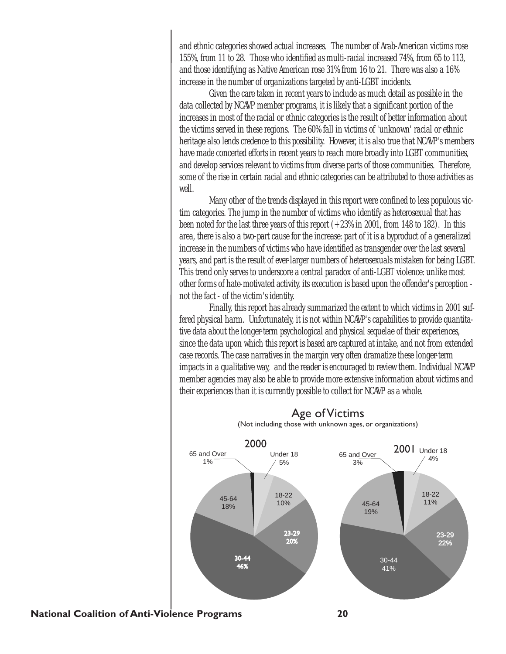and ethnic categories showed actual increases. The number of Arab-American victims rose 155%, from 11 to 28. Those who identified as multi-racial increased 74%, from 65 to 113, and those identifying as Native American rose 31% from 16 to 21. There was also a 16% increase in the number of organizations targeted by anti-LGBT incidents.

Given the care taken in recent years to include as much detail as possible in the data collected by NCAVP member programs, it is likely that a significant portion of the increases in most of the racial or ethnic categories is the result of better information about the victims served in these regions. The 60% fall in victims of 'unknown' racial or ethnic heritage also lends credence to this possibility. However, it is also true that NCAVP's members have made concerted efforts in recent years to reach more broadly into LGBT communities, and develop services relevant to victims from diverse parts of those communities. Therefore, some of the rise in certain racial and ethnic categories can be attributed to those activities as well.

Many other of the trends displayed in this report were confined to less populous victim categories. The jump in the number of victims who identify as heterosexual that has been noted for the last three years of this report  $(+23\%$  in 2001, from 148 to 182). In this area, there is also a two-part cause for the increase: part of it is a byproduct of a generalized increase in the numbers of victims who have identified as transgender over the last several years, and part is the result of ever-larger numbers of heterosexuals mistaken for being LGBT. This trend only serves to underscore a central paradox of anti-LGBT violence: unlike most other forms of hate-motivated activity, its execution is based upon the offender's perception not the fact - of the victim's identity.

Finally, this report has already summarized the extent to which victims in 2001 suffered physical harm. Unfortunately, it is not within NCAVP's capabilities to provide quantitative data about the longer-term psychological and physical sequelae of their experiences, since the data upon which this report is based are captured at intake, and not from extended case records. The case narratives in the margin very often dramatize these longer-term impacts in a qualitative way, and the reader is encouraged to review them. Individual NCAVP member agencies may also be able to provide more extensive information about victims and their experiences than it is currently possible to collect for NCAVP as a whole.



#### Age of Victims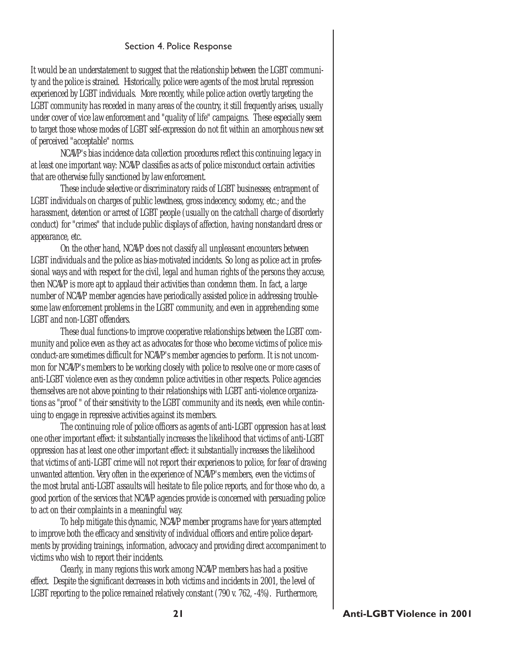#### Section 4. Police Response

It would be an understatement to suggest that the relationship between the LGBT community and the police is strained. Historically, police were agents of the most brutal repression experienced by LGBT individuals. More recently, while police action overtly targeting the LGBT community has receded in many areas of the country, it still frequently arises, usually under cover of vice law enforcement and "quality of life" campaigns. These especially seem to target those whose modes of LGBT self-expression do not fit within an amorphous new set of perceived "acceptable" norms.

NCAVP's bias incidence data collection procedures reflect this continuing legacy in at least one important way: NCAVP classifies as acts of police misconduct certain activities that are otherwise fully sanctioned by law enforcement.

These include selective or discriminatory raids of LGBT businesses; entrapment of LGBT individuals on charges of public lewdness, gross indecency, sodomy, etc.; and the harassment, detention or arrest of LGBT people (usually on the catchall charge of disorderly conduct) for "crimes" that include public displays of affection, having nonstandard dress or appearance, etc.

On the other hand, NCAVP does not classify all unpleasant encounters between LGBT individuals and the police as bias-motivated incidents. So long as police act in professional ways and with respect for the civil, legal and human rights of the persons they accuse, then NCAVP is more apt to applaud their activities than condemn them. In fact, a large number of NCAVP member agencies have periodically assisted police in addressing troublesome law enforcement problems in the LGBT community, and even in apprehending some LGBT and non-LGBT offenders.

These dual functions-to improve cooperative relationships between the LGBT community and police even as they act as advocates for those who become victims of police misconduct-are sometimes difficult for NCAVP's member agencies to perform. It is not uncommon for NCAVP's members to be working closely with police to resolve one or more cases of anti-LGBT violence even as they condemn police activities in other respects. Police agencies themselves are not above pointing to their relationships with LGBT anti-violence organizations as "proof " of their sensitivity to the LGBT community and its needs, even while continuing to engage in repressive activities against its members.

The continuing role of police officers as agents of anti-LGBT oppression has at least one other important effect: it substantially increases the likelihood that victims of anti-LGBT oppression has at least one other important effect: it substantially increases the likelihood that victims of anti-LGBT crime will not report their experiences to police, for fear of drawing unwanted attention. Very often in the experience of NCAVP's members, even the victims of the most brutal anti-LGBT assaults will hesitate to file police reports, and for those who do, a good portion of the services that NCAVP agencies provide is concerned with persuading police to act on their complaints in a meaningful way.

To help mitigate this dynamic, NCAVP member programs have for years attempted to improve both the efficacy and sensitivity of individual officers and entire police departments by providing trainings, information, advocacy and providing direct accompaniment to victims who wish to report their incidents.

Clearly, in many regions this work among NCAVP members has had a positive effect. Despite the significant decreases in both victims and incidents in 2001, the level of LGBT reporting to the police remained relatively constant (790 v. 762, -4%). Furthermore,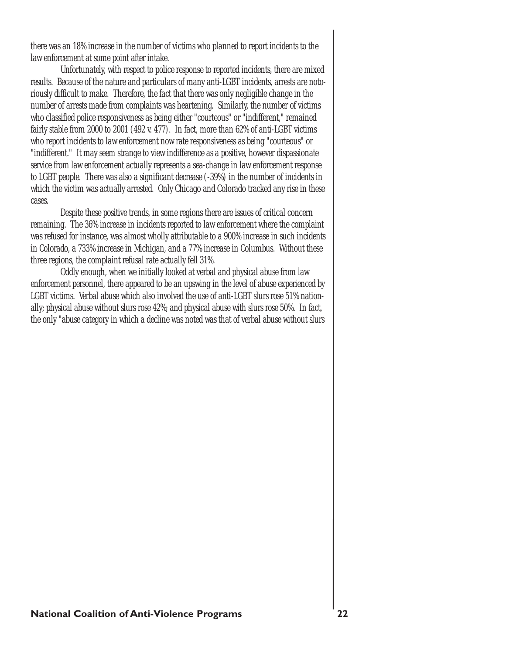there was an 18% increase in the number of victims who planned to report incidents to the law enforcement at some point after intake.

Unfortunately, with respect to police response to reported incidents, there are mixed results. Because of the nature and particulars of many anti-LGBT incidents, arrests are notoriously difficult to make. Therefore, the fact that there was only negligible change in the number of arrests made from complaints was heartening. Similarly, the number of victims who classified police responsiveness as being either "courteous" or "indifferent," remained fairly stable from 2000 to 2001 (492 v. 477). In fact, more than 62% of anti-LGBT victims who report incidents to law enforcement now rate responsiveness as being "courteous" or "indifferent." It may seem strange to view indifference as a positive, however dispassionate service from law enforcement actually represents a sea-change in law enforcement response to LGBT people. There was also a significant decrease (-39%) in the number of incidents in which the victim was actually arrested. Only Chicago and Colorado tracked any rise in these cases.

Despite these positive trends, in some regions there are issues of critical concern remaining. The 36% increase in incidents reported to law enforcement where the complaint was refused for instance, was almost wholly attributable to a 900% increase in such incidents in Colorado, a 733% increase in Michigan, and a 77% increase in Columbus. Without these three regions, the complaint refusal rate actually fell 31%.

Oddly enough, when we initially looked at verbal and physical abuse from law enforcement personnel, there appeared to be an upswing in the level of abuse experienced by LGBT victims. Verbal abuse which also involved the use of anti-LGBT slurs rose 51% nationally; physical abuse without slurs rose 42%; and physical abuse with slurs rose 50%. In fact, the only "abuse category in which a decline was noted was that of verbal abuse without slurs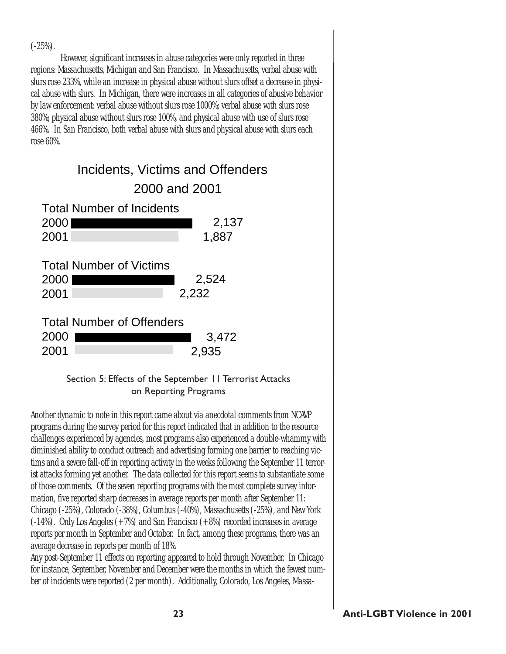$(-25%)$ .

However, significant increases in abuse categories were only reported in three regions: Massachusetts, Michigan and San Francisco. In Massachusetts, verbal abuse with slurs rose 233%, while an increase in physical abuse without slurs offset a decrease in physical abuse with slurs. In Michigan, there were increases in all categories of abusive behavior by law enforcement: verbal abuse without slurs rose 1000%; verbal abuse with slurs rose 380%; physical abuse without slurs rose 100%, and physical abuse with use of slurs rose 466%. In San Francisco, both verbal abuse with slurs and physical abuse with slurs each rose 60%.

|              | Incidents, Victims and Offenders |                |
|--------------|----------------------------------|----------------|
|              | 2000 and 2001                    |                |
|              | <b>Total Number of Incidents</b> |                |
| 2000         |                                  | 2,137          |
| 2001         |                                  | 1,887          |
| 2000<br>2001 | <b>Total Number of Victims</b>   | 2,524<br>2,232 |
| 2000<br>2001 | <b>Total Number of Offenders</b> | 3,472<br>2,935 |

### Section 5: Effects of the September 11 Terrorist Attacks on Reporting Programs

Another dynamic to note in this report came about via anecdotal comments from NCAVP programs during the survey period for this report indicated that in addition to the resource challenges experienced by agencies, most programs also experienced a double-whammy with diminished ability to conduct outreach and advertising forming one barrier to reaching victims and a severe fall-off in reporting activity in the weeks following the September 11 terrorist attacks forming yet another. The data collected for this report seems to substantiate some of those comments. Of the seven reporting programs with the most complete survey information, five reported sharp decreases in average reports per month after September 11: Chicago (-25%), Colorado (-38%), Columbus (-40%), Massachusetts (-25%), and New York (-14%). Only Los Angeles (+7%) and San Francisco (+8%) recorded increases in average reports per month in September and October. In fact, among these programs, there was an average decrease in reports per month of 18%.

Any post-September 11 effects on reporting appeared to hold through November. In Chicago for instance, September, November and December were the months in which the fewest number of incidents were reported (2 per month). Additionally, Colorado, Los Angeles, Massa-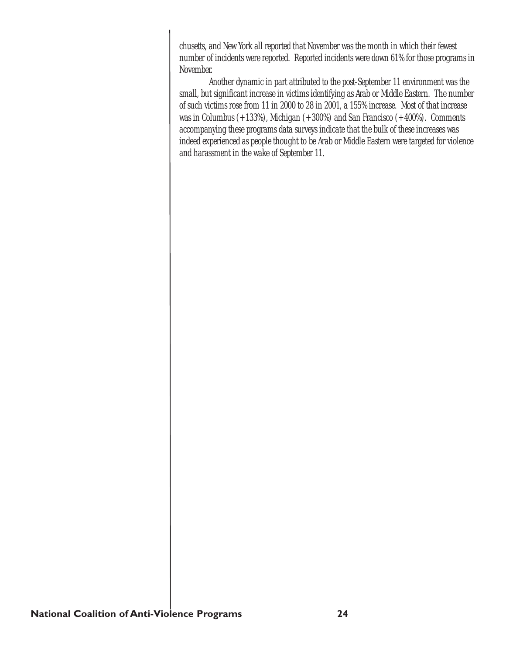chusetts, and New York all reported that November was the month in which their fewest number of incidents were reported. Reported incidents were down 61% for those programs in November.

Another dynamic in part attributed to the post-September 11 environment was the small, but significant increase in victims identifying as Arab or Middle Eastern. The number of such victims rose from 11 in 2000 to 28 in 2001, a 155% increase. Most of that increase was in Columbus (+133%), Michigan (+300%) and San Francisco (+400%). Comments accompanying these programs data surveys indicate that the bulk of these increases was indeed experienced as people thought to be Arab or Middle Eastern were targeted for violence and harassment in the wake of September 11.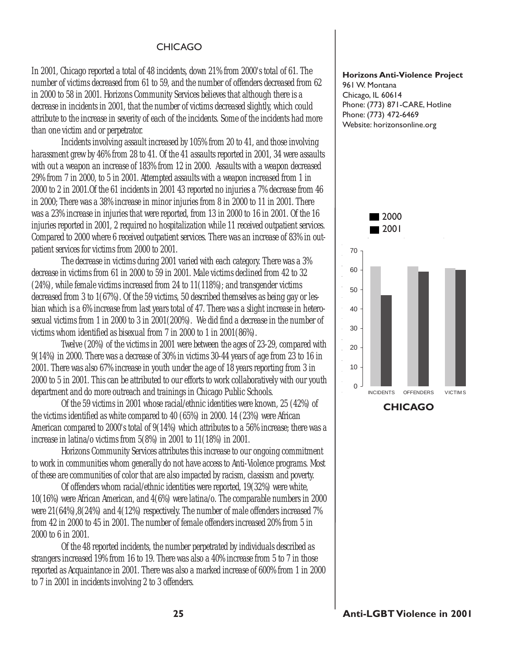#### CHICAGO

In 2001, Chicago reported a total of 48 incidents, down 21% from 2000's total of 61. The number of victims decreased from 61 to 59, and the number of offenders decreased from 62 in 2000 to 58 in 2001. Horizons Community Services believes that although there is a decrease in incidents in 2001, that the number of victims decreased slightly, which could attribute to the increase in severity of each of the incidents. Some of the incidents had more than one victim and or perpetrator.

Incidents involving assault increased by 105% from 20 to 41, and those involving harassment grew by 46% from 28 to 41. Of the 41 assaults reported in 2001, 34 were assaults with out a weapon an increase of 183% from 12 in 2000. Assaults with a weapon decreased 29% from 7 in 2000, to 5 in 2001. Attempted assaults with a weapon increased from 1 in 2000 to 2 in 2001.Of the 61 incidents in 2001 43 reported no injuries a 7% decrease from 46 in 2000; There was a 38% increase in minor injuries from 8 in 2000 to 11 in 2001. There was a 23% increase in injuries that were reported, from 13 in 2000 to 16 in 2001. Of the 16 injuries reported in 2001, 2 required no hospitalization while 11 received outpatient services. Compared to 2000 where 6 received outpatient services. There was an increase of 83% in outpatient services for victims from 2000 to 2001.

The decrease in victims during 2001 varied with each category. There was a 3% decrease in victims from 61 in 2000 to 59 in 2001. Male victims declined from 42 to 32 (24%), while female victims increased from 24 to 11(118%); and transgender victims decreased from 3 to 1(67%). Of the 59 victims, 50 described themselves as being gay or lesbian which is a 6% increase from last years total of 47. There was a slight increase in heterosexual victims from 1 in 2000 to 3 in 2001(200%). We did find a decrease in the number of victims whom identified as bisexual from 7 in 2000 to 1 in 2001(86%).

Twelve (20%) of the victims in 2001 were between the ages of 23-29, compared with 9(14%) in 2000. There was a decrease of 30% in victims 30-44 years of age from 23 to 16 in 2001. There was also 67% increase in youth under the age of 18 years reporting from 3 in 2000 to 5 in 2001. This can be attributed to our efforts to work collaboratively with our youth department and do more outreach and trainings in Chicago Public Schools.

Of the 59 victims in 2001 whose racial/ethnic identities were known, 25 (42%) of the victims identified as white compared to 40 (65%) in 2000. 14 (23%) were African American compared to 2000's total of 9(14%) which attributes to a 56% increase; there was a increase in latina/o victims from 5(8%) in 2001 to 11(18%) in 2001.

Horizons Community Services attributes this increase to our ongoing commitment to work in communities whom generally do not have access to Anti-Violence programs. Most of these are communities of color that are also impacted by racism, classism and poverty.

Of offenders whom racial/ethnic identities were reported, 19(32%) were white, 10(16%) were African American, and 4(6%) were latina/o. The comparable numbers in 2000 were 21(64%),8(24%) and 4(12%) respectively. The number of male offenders increased 7% from 42 in 2000 to 45 in 2001. The number of female offenders increased 20% from 5 in 2000 to 6 in 2001.

Of the 48 reported incidents, the number perpetrated by individuals described as strangers increased 19% from 16 to 19. There was also a 40% increase from 5 to 7 in those reported as Acquaintance in 2001. There was also a marked increase of 600% from 1 in 2000 to 7 in 2001 in incidents involving 2 to 3 offenders.

#### Horizons Anti-Violence Project

961 W. Montana Chicago, IL 60614 Phone: (773) 871-CARE, Hotline Phone: (773) 472-6469 Website: horizonsonline.org



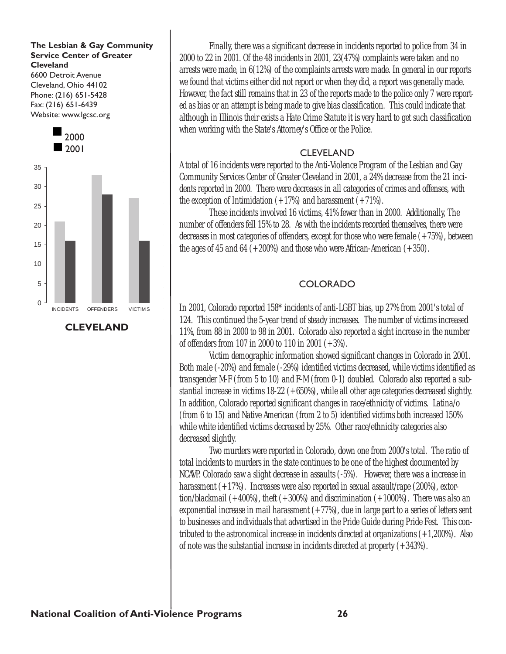#### The Lesbian & Gay Community Service Center of Greater **Cleveland**

6600 Detroit Avenue Cleveland, Ohio 44102 Phone: (216) 651-5428 Fax: (216) 651-6439 Website: www.lgcsc.org



CLEVELAND

Finally, there was a significant decrease in incidents reported to police from 34 in 2000 to 22 in 2001. Of the 48 incidents in 2001, 23(47%) complaints were taken and no arrests were made, in 6(12%) of the complaints arrests were made. In general in our reports we found that victims either did not report or when they did, a report was generally made. However, the fact still remains that in 23 of the reports made to the police only 7 were reported as bias or an attempt is being made to give bias classification. This could indicate that although in Illinois their exists a Hate Crime Statute it is very hard to get such classification when working with the State's Attorney's Office or the Police.

### CLEVELAND

A total of 16 incidents were reported to the Anti-Violence Program of the Lesbian and Gay Community Services Center of Greater Cleveland in 2001, a 24% decrease from the 21 incidents reported in 2000. There were decreases in all categories of crimes and offenses, with the exception of Intimidation  $(+17%)$  and harassment  $(+71%)$ .

These incidents involved 16 victims, 41% fewer than in 2000. Additionally, The number of offenders fell 15% to 28. As with the incidents recorded themselves, there were decreases in most categories of offenders, except for those who were female  $(+75%)$ , between the ages of 45 and 64  $(+200%)$  and those who were African-American  $(+350)$ .

### COLORADO

In 2001, Colorado reported 158\* incidents of anti-LGBT bias, up 27% from 2001's total of 124. This continued the 5-year trend of steady increases. The number of victims increased 11%, from 88 in 2000 to 98 in 2001. Colorado also reported a sight increase in the number of offenders from 107 in 2000 to 110 in 2001 (+3%).

Victim demographic information showed significant changes in Colorado in 2001. Both male (-20%) and female (-29%) identified victims decreased, while victims identified as transgender M-F (from 5 to 10) and F-M (from 0-1) doubled. Colorado also reported a substantial increase in victims 18-22 (+650%), while all other age categories decreased slightly. In addition, Colorado reported significant changes in race/ethnicity of victims. Latina/o (from 6 to 15) and Native American (from 2 to 5) identified victims both increased 150% while white identified victims decreased by 25%. Other race/ethnicity categories also decreased slightly.

Two murders were reported in Colorado, down one from 2000's total. The ratio of total incidents to murders in the state continues to be one of the highest documented by NCAVP. Colorado saw a slight decrease in assaults (-5%). However, there was a increase in harassment (+17%). Increases were also reported in sexual assault/rape (200%), extortion/blackmail (+400%), theft (+300%) and discrimination (+1000%). There was also an exponential increase in mail harassment  $(+77%)$ , due in large part to a series of letters sent to businesses and individuals that advertised in the Pride Guide during Pride Fest. This contributed to the astronomical increase in incidents directed at organizations (+1,200%). Also of note was the substantial increase in incidents directed at property  $(+343%)$ .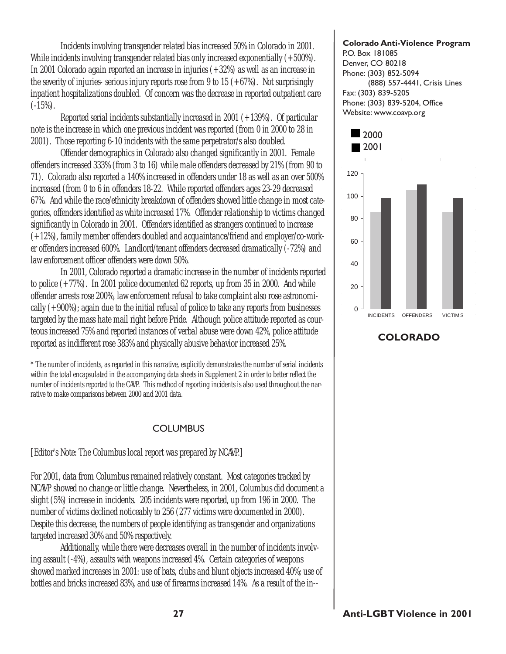Incidents involving transgender related bias increased 50% in Colorado in 2001. While incidents involving transgender related bias only increased exponentially  $(+500\%)$ . In 2001 Colorado again reported an increase in injuries (+32%) as well as an increase in the severity of injuries- serious injury reports rose from 9 to 15  $(+67%)$ . Not surprisingly inpatient hospitalizations doubled. Of concern was the decrease in reported outpatient care  $(-15\%)$ .

Reported serial incidents substantially increased in 2001 (+139%). Of particular note is the increase in which one previous incident was reported (from 0 in 2000 to 28 in 2001). Those reporting 6-10 incidents with the same perpetrator/s also doubled.

Offender demographics in Colorado also changed significantly in 2001. Female offenders increased 333% (from 3 to 16) while male offenders decreased by 21% (from 90 to 71). Colorado also reported a 140% increased in offenders under 18 as well as an over 500% increased (from 0 to 6 in offenders 18-22. While reported offenders ages 23-29 decreased 67%. And while the race/ethnicity breakdown of offenders showed little change in most categories, offenders identified as white increased 17%. Offender relationship to victims changed significantly in Colorado in 2001. Offenders identified as strangers continued to increase (+12%), family member offenders doubled and acquaintance/friend and employer/co-worker offenders increased 600%. Landlord/tenant offenders decreased dramatically (-72%) and law enforcement officer offenders were down 50%.

In 2001, Colorado reported a dramatic increase in the number of incidents reported to police (+77%). In 2001 police documented 62 reports, up from 35 in 2000. And while offender arrests rose 200%, law enforcement refusal to take complaint also rose astronomically  $(+900\%)$ ; again due to the initial refusal of police to take any reports from businesses targeted by the mass hate mail right before Pride. Although police attitude reported as courteous increased 75% and reported instances of verbal abuse were down 42%, police attitude reported as indifferent rose 383% and physically abusive behavior increased 25%.

\* The number of incidents, as reported in this narrative, explicitly demonstrates the number of serial incidents within the total encapsulated in the accompanying data sheets in Supplement 2 in order to better reflect the number of incidents reported to the CAVP. This method of reporting incidents is also used throughout the narrative to make comparisons between 2000 and 2001 data.

#### COLUMBUS

[Editor's Note: The Columbus local report was prepared by NCAVP.]

For 2001, data from Columbus remained relatively constant. Most categories tracked by NCAVP showed no change or little change. Nevertheless, in 2001, Columbus did document a slight (5%) increase in incidents. 205 incidents were reported, up from 196 in 2000. The number of victims declined noticeably to 256 (277 victims were documented in 2000). Despite this decrease, the numbers of people identifying as transgender and organizations targeted increased 30% and 50% respectively.

Additionally, while there were decreases overall in the number of incidents involving assault (-4%), assaults with weapons increased 4%. Certain categories of weapons showed marked increases in 2001: use of bats, clubs and blunt objects increased 40%; use of bottles and bricks increased 83%, and use of firearms increased 14%. As a result of the in--

#### Colorado Anti-Violence Program P.O. Box 181085

Denver, CO 80218 Phone: (303) 852-5094 (888) 557-4441, Crisis Lines Fax: (303) 839-5205 Phone: (303) 839-5204, Office Website: www.coavp.org



COLORADO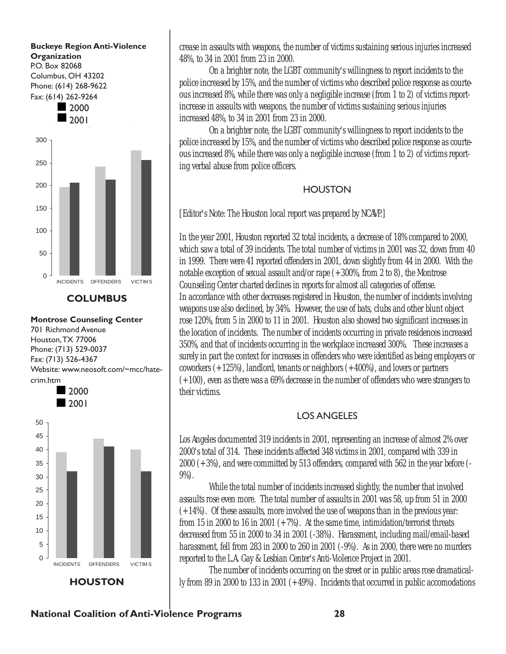

**COLUMBUS** 

Montrose Counseling Center 701 Richmond Avenue Houston,TX 77006 Phone: (713) 529-0037 Fax: (713) 526-4367 Website: www.neosoft.com/~mcc/hatecrim.htm



crease in assaults with weapons, the number of victims sustaining serious injuries increased 48%, to 34 in 2001 from 23 in 2000.

On a brighter note, the LGBT community's willingness to report incidents to the police increased by 15%, and the number of victims who described police response as courteous increased 8%, while there was only a negligible increase (from 1 to 2) of victims reportincrease in assaults with weapons, the number of victims sustaining serious injuries increased 48%, to 34 in 2001 from 23 in 2000.

On a brighter note, the LGBT community's willingness to report incidents to the police increased by 15%, and the number of victims who described police response as courteous increased 8%, while there was only a negligible increase (from 1 to 2) of victims reporting verbal abuse from police officers.

### **HOUSTON**

[Editor's Note: The Houston local report was prepared by NCAVP.]

In the year 2001, Houston reported 32 total incidents, a decrease of 18% compared to 2000, which saw a total of 39 incidents. The total number of victims in 2001 was 32, down from 40 in 1999. There were 41 reported offenders in 2001, down slightly from 44 in 2000. With the notable exception of sexual assault and/or rape (+300%, from 2 to 8), the Montrose Counseling Center charted declines in reports for almost all categories of offense. In accordance with other decreases registered in Houston, the number of incidents involving weapons use also declined, by 34%. However, the use of bats, clubs and other blunt object rose 120%, from 5 in 2000 to 11 in 2001. Houston also showed two significant increases in the location of incidents. The number of incidents occurring in private residences increased 350%, and that of incidents occurring in the workplace increased 300%. These increases a surely in part the context for increases in offenders who were identified as being employers or coworkers (+125%), landlord, tenants or neighbors (+400%), and lovers or partners (+100), even as there was a 69% decrease in the number of offenders who were strangers to their victims.

### LOS ANGELES

Los Angeles documented 319 incidents in 2001, representing an increase of almost 2% over 2000's total of 314. These incidents affected 348 victims in 2001, compared with 339 in 2000 (+3%), and were committed by 513 offenders, compared with 562 in the year before (- 9%).

While the total number of incidents increased slightly, the number that involved assaults rose even more. The total number of assaults in 2001 was 58, up from 51 in 2000 (+14%). Of these assaults, more involved the use of weapons than in the previous year: from 15 in 2000 to 16 in 2001  $(+7%)$ . At the same time, intimidation/terrorist threats decreased from 55 in 2000 to 34 in 2001 (-38%). Harassment, including mail/email-based harassment, fell from 283 in 2000 to 260 in 2001 (-9%). As in 2000, there were no murders reported to the L.A. Gay & Lesbian Center's Anti-Violence Project in 2001.

The number of incidents occurring on the street or in public areas rose dramatically from 89 in 2000 to 133 in 2001 (+49%). Incidents that occurred in public accomodations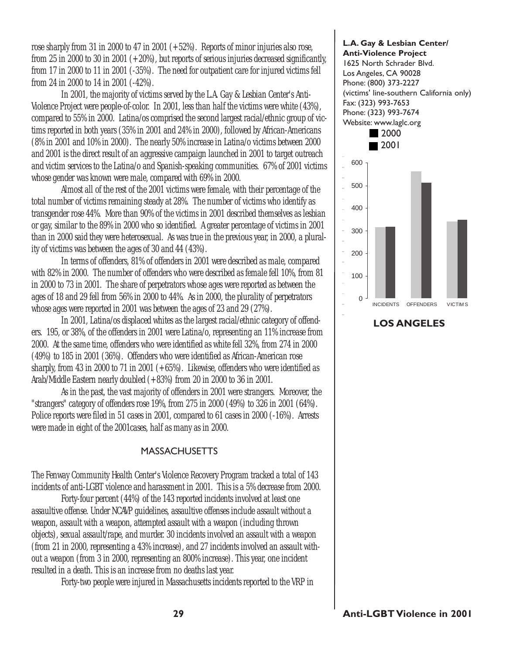rose sharply from 31 in 2000 to 47 in 2001 (+52%). Reports of minor injuries also rose, from 25 in 2000 to 30 in 2001  $(+20%)$ , but reports of serious injuries decreased significantly, from 17 in 2000 to 11 in 2001 (-35%). The need for outpatient care for injured victims fell from 24 in 2000 to 14 in 2001 (-42%).

In 2001, the majority of victims served by the L.A. Gay & Lesbian Center's Anti-Violence Project were people-of-color. In 2001, less than half the victims were white (43%), compared to 55% in 2000. Latina/os comprised the second largest racial/ethnic group of victims reported in both years (35% in 2001 and 24% in 2000), followed by African-Americans (8% in 2001 and 10% in 2000). The nearly 50% increase in Latina/o victims between 2000 and 2001 is the direct result of an aggressive campaign launched in 2001 to target outreach and victim services to the Latina/o and Spanish-speaking communities. 67% of 2001 victims whose gender was known were male, compared with 69% in 2000.

Almost all of the rest of the 2001 victims were female, with their percentage of the total number of victims remaining steady at 28%. The number of victims who identify as transgender rose 44%. More than 90% of the victims in 2001 described themselves as lesbian or gay, similar to the 89% in 2000 who so identified. A greater percentage of victims in 2001 than in 2000 said they were heterosexual. As was true in the previous year, in 2000, a plurality of victims was between the ages of 30 and 44 (43%).

In terms of offenders, 81% of offenders in 2001 were described as male, compared with 82% in 2000. The number of offenders who were described as female fell 10%, from 81 in 2000 to 73 in 2001. The share of perpetrators whose ages were reported as between the ages of 18 and 29 fell from 56% in 2000 to 44%. As in 2000, the plurality of perpetrators whose ages were reported in 2001 was between the ages of 23 and 29 (27%).

In 2001, Latina/os displaced whites as the largest racial/ethnic category of offenders. 195, or 38%, of the offenders in 2001 were Latina/o, representing an 11% increase from 2000. At the same time, offenders who were identified as white fell 32%, from 274 in 2000 (49%) to 185 in 2001 (36%). Offenders who were identified as African-American rose sharply, from 43 in 2000 to 71 in 2001  $(+65%)$ . Likewise, offenders who were identified as Arab/Middle Eastern nearly doubled (+83%) from 20 in 2000 to 36 in 2001.

As in the past, the vast majority of offenders in 2001 were strangers. Moreover, the "strangers" category of offenders rose 19%, from 275 in 2000 (49%) to 326 in 2001 (64%). Police reports were filed in 51 cases in 2001, compared to 61 cases in 2000 (-16%). Arrests were made in eight of the 2001cases, half as many as in 2000.

#### MASSACHUSETTS

The Fenway Community Health Center's Violence Recovery Program tracked a total of 143 incidents of anti-LGBT violence and harassment in 2001. This is a 5% decrease from 2000.

Forty-four percent (44%) of the 143 reported incidents involved at least one assaultive offense. Under NCAVP guidelines, assaultive offenses include assault without a weapon, assault with a weapon, attempted assault with a weapon (including thrown objects), sexual assault/rape, and murder. 30 incidents involved an assault with a weapon (from 21 in 2000, representing a 43% increase), and 27 incidents involved an assault without a weapon (from 3 in 2000, representing an 800% increase). This year, one incident resulted in a death. This is an increase from no deaths last year.

Forty-two people were injured in Massachusetts incidents reported to the VRP in

#### L.A. Gay & Lesbian Center/ Anti-Violence Project 1625 North Schrader Blvd.

Los Angeles, CA 90028 Phone: (800) 373-2227 (victims' line-southern California only) Fax: (323) 993-7653 Phone: (323) 993-7674 Website: www.laglc.org 2000



LOS ANGELES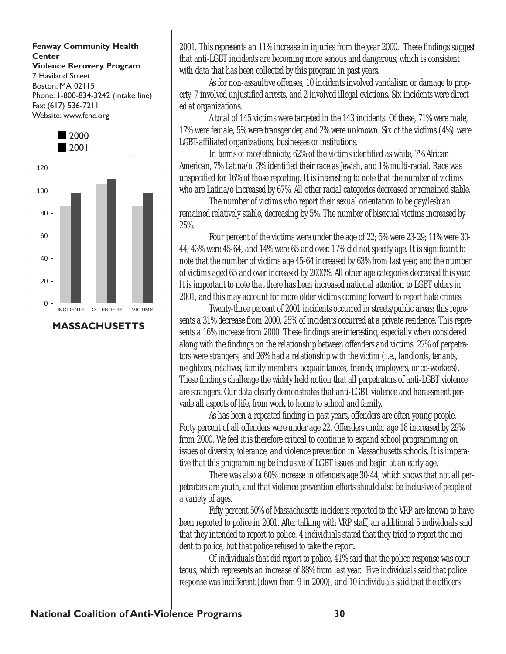#### Fenway Community Health **Center** Violence Recovery Program 7 Haviland Street Boston, MA 02115 Phone: 1-800-834-3242 (intake line)

Fax: (617) 536-7211 Website: www.fchc.org



MASSACHUSETTS

2001. This represents an 11% increase in injuries from the year 2000. These findings suggest that anti-LGBT incidents are becoming more serious and dangerous, which is consistent with data that has been collected by this program in past years.

As for non-assaultive offenses, 10 incidents involved vandalism or damage to property, 7 involved unjustified arrests, and 2 involved illegal evictions. Six incidents were directed at organizations.

A total of 145 victims were targeted in the 143 incidents. Of these, 71% were male, 17% were female, 5% were transgender, and 2% were unknown. Six of the victims (4%) were LGBT-affiliated organizations, businesses or institutions.

In terms of race/ethnicity, 62% of the victims identified as white, 7% African American, 7% Latina/o, 3% identified their race as Jewish, and 1% multi-racial. Race was unspecified for 16% of those reporting. It is interesting to note that the number of victims who are Latina/o increased by 67%. All other racial categories decreased or remained stable.

The number of victims who report their sexual orientation to be gay/lesbian remained relatively stable, decreasing by 5%. The number of bisexual victims increased by 25%.

Four percent of the victims were under the age of 22; 5% were 23-29; 11% were 30- 44; 43% were 45-64, and 14% were 65 and over. 17% did not specify age. It is significant to note that the number of victims age 45-64 increased by 63% from last year, and the number of victims aged 65 and over increased by 2000%. All other age categories decreased this year. It is important to note that there has been increased national attention to LGBT elders in 2001, and this may account for more older victims coming forward to report hate crimes.

Twenty-three percent of 2001 incidents occurred in streets/public areas; this represents a 31% decrease from 2000. 25% of incidents occurred at a private residence. This represents a 16% increase from 2000. These findings are interesting, especially when considered along with the findings on the relationship between offenders and victims: 27% of perpetrators were strangers, and 26% had a relationship with the victim (i.e., landlords, tenants, neighbors, relatives, family members, acquaintances, friends, employers, or co-workers). These findings challenge the widely held notion that all perpetrators of anti-LGBT violence are strangers. Our data clearly demonstrates that anti-LGBT violence and harassment pervade all aspects of life, from work to home to school and family.

As has been a repeated finding in past years, offenders are often young people. Forty percent of all offenders were under age 22. Offenders under age 18 increased by 29% from 2000. We feel it is therefore critical to continue to expand school programming on issues of diversity, tolerance, and violence prevention in Massachusetts schools. It is imperative that this programming be inclusive of LGBT issues and begin at an early age.

There was also a 60% increase in offenders age 30-44, which shows that not all perpetrators are youth, and that violence prevention efforts should also be inclusive of people of a variety of ages.

Fifty percent 50% of Massachusetts incidents reported to the VRP are known to have been reported to police in 2001. After talking with VRP staff, an additional 5 individuals said that they intended to report to police. 4 individuals stated that they tried to report the incident to police, but that police refused to take the report.

Of individuals that did report to police, 41% said that the police response was courteous, which represents an increase of 88% from last year. Five individuals said that police response was indifferent (down from 9 in 2000), and 10 individuals said that the officers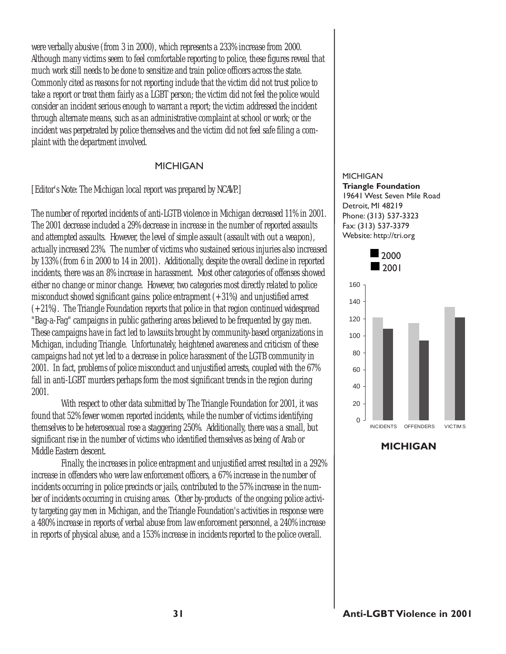were verbally abusive (from 3 in 2000), which represents a 233% increase from 2000. Although many victims seem to feel comfortable reporting to police, these figures reveal that much work still needs to be done to sensitize and train police officers across the state. Commonly cited as reasons for not reporting include that the victim did not trust police to take a report or treat them fairly as a LGBT person; the victim did not feel the police would consider an incident serious enough to warrant a report; the victim addressed the incident through alternate means, such as an administrative complaint at school or work; or the incident was perpetrated by police themselves and the victim did not feel safe filing a complaint with the department involved.

#### MICHIGAN

[Editor's Note: The Michigan local report was prepared by NCAVP.]

The number of reported incidents of anti-LGTB violence in Michigan decreased 11% in 2001. The 2001 decrease included a 29% decrease in increase in the number of reported assaults and attempted assaults. However, the level of simple assault (assault with out a weapon), actually increased 23%. The number of victims who sustained serious injuries also increased by 133% (from 6 in 2000 to 14 in 2001). Additionally, despite the overall decline in reported incidents, there was an 8% increase in harassment. Most other categories of offenses showed either no change or minor change. However, two categories most directly related to police misconduct showed significant gains: police entrapment (+31%) and unjustified arrest (+21%). The Triangle Foundation reports that police in that region continued widespread "Bag-a-Fag" campaigns in public gathering areas believed to be frequented by gay men. These campaigns have in fact led to lawsuits brought by community-based organizations in Michigan, including Triangle. Unfortunately, heightened awareness and criticism of these campaigns had not yet led to a decrease in police harassment of the LGTB community in 2001. In fact, problems of police misconduct and unjustified arrests, coupled with the 67% fall in anti-LGBT murders perhaps form the most significant trends in the region during 2001.

With respect to other data submitted by The Triangle Foundation for 2001, it was found that 52% fewer women reported incidents, while the number of victims identifying themselves to be heterosexual rose a staggering 250%. Additionally, there was a small, but significant rise in the number of victims who identified themselves as being of Arab or Middle Eastern descent.

Finally, the increases in police entrapment and unjustified arrest resulted in a 292% increase in offenders who were law enforcement officers, a 67% increase in the number of incidents occurring in police precincts or jails, contributed to the 57% increase in the number of incidents occurring in cruising areas. Other by-products of the ongoing police activity targeting gay men in Michigan, and the Triangle Foundation's activities in response were a 480% increase in reports of verbal abuse from law enforcement personnel, a 240% increase in reports of physical abuse, and a 153% increase in incidents reported to the police overall.

#### **MICHIGAN** Triangle Foundation 19641 West Seven Mile Road Detroit, MI 48219 Phone: (313) 537-3323 Fax: (313) 537-3379 Website: http://tri.org



**MICHIGAN**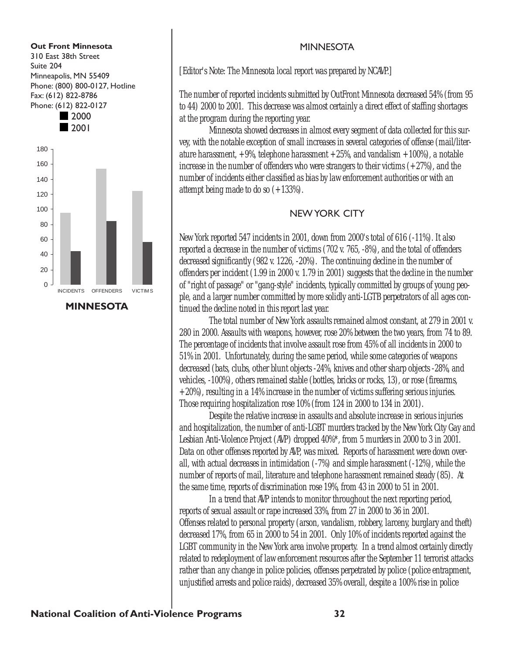

### MINNESOTA

### **MINNESOTA**

[Editor's Note: The Minnesota local report was prepared by NCAVP.]

The number of reported incidents submitted by OutFront Minnesota decreased 54% (from 95 to 44) 2000 to 2001. This decrease was almost certainly a direct effect of staffing shortages at the program during the reporting year.

Minnesota showed decreases in almost every segment of data collected for this survey, with the notable exception of small increases in several categories of offense (mail/literature harassment,  $+9%$ , telephone harassment  $+25%$ , and vandalism  $+100%$ , a notable increase in the number of offenders who were strangers to their victims  $(+27%)$ , and the number of incidents either classified as bias by law enforcement authorities or with an attempt being made to do so (+133%).

### NEW YORK CITY

New York reported 547 incidents in 2001, down from 2000's total of 616 (-11%). It also reported a decrease in the number of victims (702 v. 765, -8%), and the total of offenders decreased significantly (982 v. 1226, -20%). The continuing decline in the number of offenders per incident (1.99 in 2000 v. 1.79 in 2001) suggests that the decline in the number of "right of passage" or "gang-style" incidents, typically committed by groups of young people, and a larger number committed by more solidly anti-LGTB perpetrators of all ages continued the decline noted in this report last year.

The total number of New York assaults remained almost constant, at 279 in 2001 v. 280 in 2000. Assaults with weapons, however, rose 20% between the two years, from 74 to 89. The percentage of incidents that involve assault rose from 45% of all incidents in 2000 to 51% in 2001. Unfortunately, during the same period, while some categories of weapons decreased (bats, clubs, other blunt objects -24%, knives and other sharp objects -28%, and vehicles, -100%), others remained stable (bottles, bricks or rocks, 13), or rose (firearms,  $+20%$ ), resulting in a 14% increase in the number of victims suffering serious injuries. Those requiring hospitalization rose 10% (from 124 in 2000 to 134 in 2001).

Despite the relative increase in assaults and absolute increase in serious injuries and hospitalization, the number of anti-LGBT murders tracked by the New York City Gay and Lesbian Anti-Violence Project (AVP) dropped 40%\*, from 5 murders in 2000 to 3 in 2001. Data on other offenses reported by AVP, was mixed. Reports of harassment were down overall, with actual decreases in intimidation (-7%) and simple harassment (-12%), while the number of reports of mail, literature and telephone harassment remained steady (85). At the same time, reports of discrimination rose 19%, from 43 in 2000 to 51 in 2001.

In a trend that AVP intends to monitor throughout the next reporting period, reports of sexual assault or rape increased 33%, from 27 in 2000 to 36 in 2001. Offenses related to personal property (arson, vandalism, robbery, larceny, burglary and theft) decreased 17%, from 65 in 2000 to 54 in 2001. Only 10% of incidents reported against the LGBT community in the New York area involve property. In a trend almost certainly directly related to redeployment of law enforcement resources after the September 11 terrorist attacks rather than any change in police policies, offenses perpetrated by police (police entrapment, unjustified arrests and police raids), decreased 35% overall, despite a 100% rise in police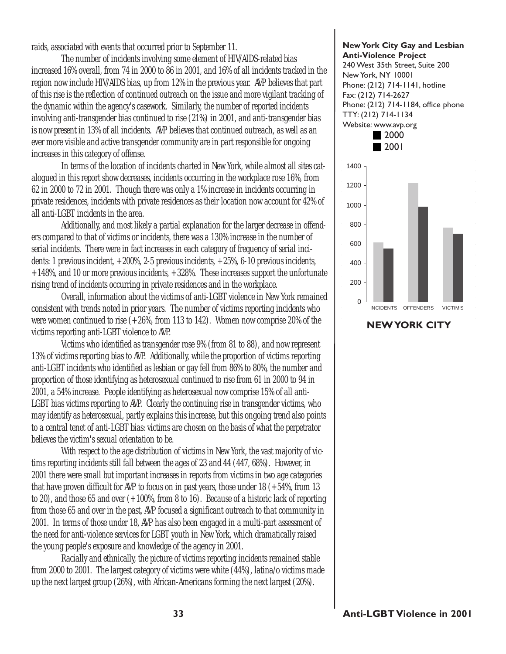raids, associated with events that occurred prior to September 11.

The number of incidents involving some element of HIV/AIDS-related bias increased 16% overall, from 74 in 2000 to 86 in 2001, and 16% of all incidents tracked in the region now include HIV/AIDS bias, up from 12% in the previous year. AVP believes that part of this rise is the reflection of continued outreach on the issue and more vigilant tracking of the dynamic within the agency's casework. Similarly, the number of reported incidents involving anti-transgender bias continued to rise (21%) in 2001, and anti-transgender bias is now present in 13% of all incidents. AVP believes that continued outreach, as well as an ever more visible and active transgender community are in part responsible for ongoing increases in this category of offense.

In terms of the location of incidents charted in New York, while almost all sites catalogued in this report show decreases, incidents occurring in the workplace rose 16%, from 62 in 2000 to 72 in 2001. Though there was only a 1% increase in incidents occurring in private residences, incidents with private residences as their location now account for 42% of all anti-LGBT incidents in the area.

Additionally, and most likely a partial explanation for the larger decrease in offenders compared to that of victims or incidents, there was a 130% increase in the number of serial incidents. There were in fact increases in each category of frequency of serial incidents: 1 previous incident, +200%, 2-5 previous incidents, +25%, 6-10 previous incidents,  $+148\%$ , and 10 or more previous incidents,  $+328\%$ . These increases support the unfortunate rising trend of incidents occurring in private residences and in the workplace.

Overall, information about the victims of anti-LGBT violence in New York remained consistent with trends noted in prior years. The number of victims reporting incidents who were women continued to rise (+26%, from 113 to 142). Women now comprise 20% of the victims reporting anti-LGBT violence to AVP.

Victims who identified as transgender rose 9% (from 81 to 88), and now represent 13% of victims reporting bias to AVP. Additionally, while the proportion of victims reporting anti-LGBT incidents who identified as lesbian or gay fell from 86% to 80%, the number and proportion of those identifying as heterosexual continued to rise from 61 in 2000 to 94 in 2001, a 54% increase. People identifying as heterosexual now comprise 15% of all anti-LGBT bias victims reporting to AVP. Clearly the continuing rise in transgender victims, who may identify as heterosexual, partly explains this increase, but this ongoing trend also points to a central tenet of anti-LGBT bias: victims are chosen on the basis of what the perpetrator believes the victim's sexual orientation to be.

With respect to the age distribution of victims in New York, the vast majority of victims reporting incidents still fall between the ages of 23 and 44 (447, 68%). However, in 2001 there were small but important increases in reports from victims in two age categories that have proven difficult for AVP to focus on in past years, those under  $18 (+54\%$ , from  $13$ to 20), and those 65 and over (+100%, from 8 to 16). Because of a historic lack of reporting from those 65 and over in the past, AVP focused a significant outreach to that community in 2001. In terms of those under 18, AVP has also been engaged in a multi-part assessment of the need for anti-violence services for LGBT youth in New York, which dramatically raised the young people's exposure and knowledge of the agency in 2001.

Racially and ethnically, the picture of victims reporting incidents remained stable from 2000 to 2001. The largest category of victims were white (44%), latina/o victims made up the next largest group (26%), with African-Americans forming the next largest (20%).

#### New York City Gay and Lesbian Anti-Violence Project

240 West 35th Street, Suite 200 New York, NY 10001 Phone: (212) 714-1141, hotline Fax: (212) 714-2627 Phone: (212) 714-1184, office phone TTY: (212) 714-1134 Website: www.avp.org



NEW YORK CITY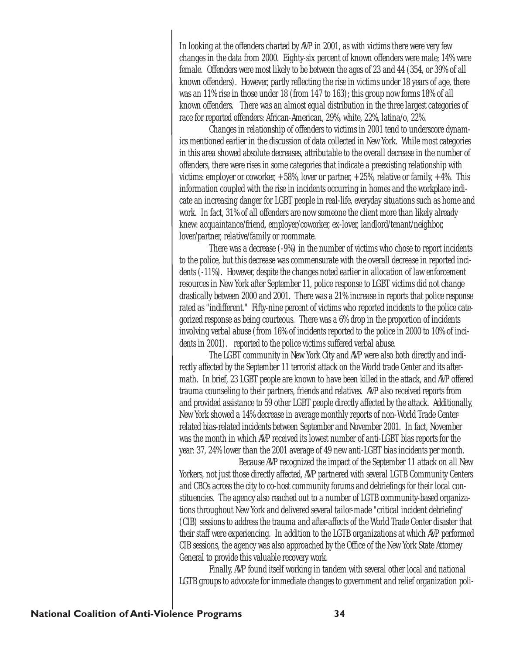In looking at the offenders charted by AVP in 2001, as with victims there were very few changes in the data from 2000. Eighty-six percent of known offenders were male; 14% were female. Offenders were most likely to be between the ages of 23 and 44 (354, or 39% of all known offenders). However, partly reflecting the rise in victims under 18 years of age, there was an 11% rise in those under 18 (from 147 to 163); this group now forms 18% of all known offenders. There was an almost equal distribution in the three largest categories of race for reported offenders: African-American, 29%, white, 22%, latina/o, 22%.

Changes in relationship of offenders to victims in 2001 tend to underscore dynamics mentioned earlier in the discussion of data collected in New York. While most categories in this area showed absolute decreases, attributable to the overall decrease in the number of offenders, there were rises in some categories that indicate a preexisting relationship with victims: employer or coworker,  $+58%$ , lover or partner,  $+25%$ , relative or family,  $+4%$ . This information coupled with the rise in incidents occurring in homes and the workplace indicate an increasing danger for LGBT people in real-life, everyday situations such as home and work. In fact, 31% of all offenders are now someone the client more than likely already knew: acquaintance/friend, employer/coworker, ex-lover, landlord/tenant/neighbor, lover/partner, relative/family or roommate.

There was a decrease (-9%) in the number of victims who chose to report incidents to the police, but this decrease was commensurate with the overall decrease in reported incidents (-11%). However, despite the changes noted earlier in allocation of law enforcement resources in New York after September 11, police response to LGBT victims did not change drastically between 2000 and 2001. There was a 21% increase in reports that police response rated as "indifferent." Fifty-nine percent of victims who reported incidents to the police categorized response as being courteous. There was a 6% drop in the proportion of incidents involving verbal abuse (from 16% of incidents reported to the police in 2000 to 10% of incidents in 2001). reported to the police victims suffered verbal abuse.

The LGBT community in New York City and AVP were also both directly and indirectly affected by the September 11 terrorist attack on the World trade Center and its aftermath. In brief, 23 LGBT people are known to have been killed in the attack, and AVP offered trauma counseling to their partners, friends and relatives. AVP also received reports from and provided assistance to 59 other LGBT people directly affected by the attack. Additionally, New York showed a 14% decrease in average monthly reports of non-World Trade Centerrelated bias-related incidents between September and November 2001. In fact, November was the month in which AVP received its lowest number of anti-LGBT bias reports for the year: 37, 24% lower than the 2001 average of 49 new anti-LGBT bias incidents per month.

Because AVP recognized the impact of the September 11 attack on all New Yorkers, not just those directly affected, AVP partnered with several LGTB Community Centers and CBOs across the city to co-host community forums and debriefings for their local constituencies. The agency also reached out to a number of LGTB community-based organizations throughout New York and delivered several tailor-made "critical incident debriefing" (CIB) sessions to address the trauma and after-affects of the World Trade Center disaster that their staff were experiencing. In addition to the LGTB organizations at which AVP performed CIB sessions, the agency was also approached by the Office of the New York State Attorney General to provide this valuable recovery work.

Finally, AVP found itself working in tandem with several other local and national LGTB groups to advocate for immediate changes to government and relief organization poli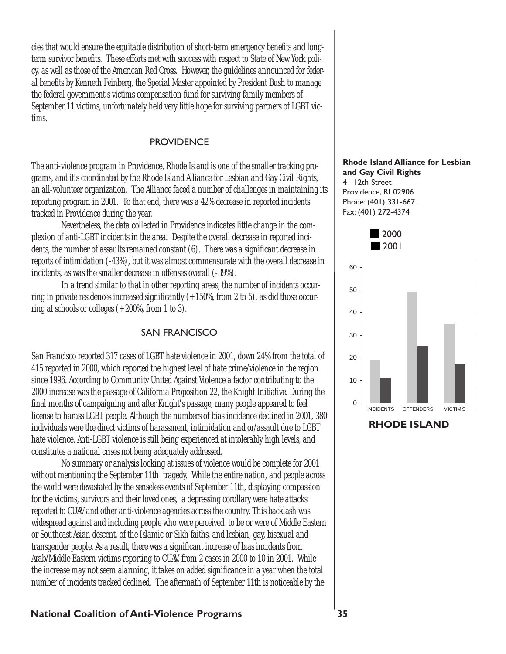cies that would ensure the equitable distribution of short-term emergency benefits and longterm survivor benefits. These efforts met with success with respect to State of New York policy, as well as those of the American Red Cross. However, the guidelines announced for federal benefits by Kenneth Feinberg, the Special Master appointed by President Bush to manage the federal government's victims compensation fund for surviving family members of September 11 victims, unfortunately held very little hope for surviving partners of LGBT victims.

#### **PROVIDENCE**

The anti-violence program in Providence, Rhode Island is one of the smaller tracking programs, and it's coordinated by the Rhode Island Alliance for Lesbian and Gay Civil Rights, an all-volunteer organization. The Alliance faced a number of challenges in maintaining its reporting program in 2001. To that end, there was a 42% decrease in reported incidents tracked in Providence during the year.

Nevertheless, the data collected in Providence indicates little change in the complexion of anti-LGBT incidents in the area. Despite the overall decrease in reported incidents, the number of assaults remained constant (6). There was a significant decrease in reports of intimidation (-43%), but it was almost commensurate with the overall decrease in incidents, as was the smaller decrease in offenses overall (-39%).

In a trend similar to that in other reporting areas, the number of incidents occurring in private residences increased significantly  $(+150\%$ , from 2 to 5), as did those occurring at schools or colleges (+200%, from 1 to 3).

#### SAN FRANCISCO

San Francisco reported 317 cases of LGBT hate violence in 2001, down 24% from the total of 415 reported in 2000, which reported the highest level of hate crime/violence in the region since 1996. According to Community United Against Violence a factor contributing to the 2000 increase was the passage of California Proposition 22, the Knight Initiative. During the final months of campaigning and after Knight's passage, many people appeared to feel license to harass LGBT people. Although the numbers of bias incidence declined in 2001, 380 individuals were the direct victims of harassment, intimidation and or/assault due to LGBT hate violence. Anti-LGBT violence is still being experienced at intolerably high levels, and constitutes a national crises not being adequately addressed.

No summary or analysis looking at issues of violence would be complete for 2001 without mentioning the September 11th tragedy. While the entire nation, and people across the world were devastated by the senseless events of September 11th, displaying compassion for the victims, survivors and their loved ones, a depressing corollary were hate attacks reported to CUAV and other anti-violence agencies across the country. This backlash was widespread against and including people who were perceived to be or were of Middle Eastern or Southeast Asian descent, of the Islamic or Sikh faiths, and lesbian, gay, bisexual and transgender people. As a result, there was a significant increase of bias incidents from Arab/Middle Eastern victims reporting to CUAV, from 2 cases in 2000 to 10 in 2001. While the increase may not seem alarming, it takes on added significance in a year when the total number of incidents tracked declined. The aftermath of September 11th is noticeable by the

#### Rhode Island Alliance for Lesbian and Gay Civil Rights 41 12th Street Providence, RI 02906 Phone: (401) 331-6671 Fax: (401) 272-4374



RHODE ISLAND

#### National Coalition of Anti-Violence Programs 35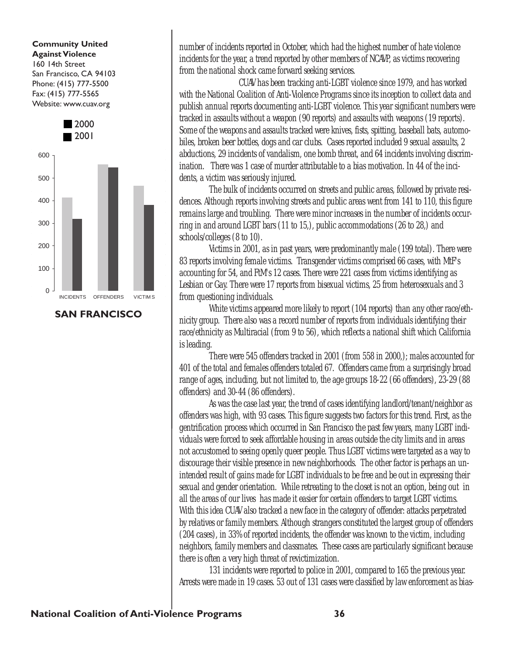Community United Against Violence 160 14th Street San Francisco, CA 94103 Phone: (415) 777-5500 Fax: (415) 777-5565 Website: www.cuav.org



SAN FRANCISCO

number of incidents reported in October, which had the highest number of hate violence incidents for the year, a trend reported by other members of NCAVP, as victims recovering from the national shock came forward seeking services.

CUAV has been tracking anti-LGBT violence since 1979, and has worked with the National Coalition of Anti-Violence Programs since its inception to collect data and publish annual reports documenting anti-LGBT violence. This year significant numbers were tracked in assaults without a weapon (90 reports) and assaults with weapons (19 reports). Some of the weapons and assaults tracked were knives, fists, spitting, baseball bats, automobiles, broken beer bottles, dogs and car clubs. Cases reported included 9 sexual assaults, 2 abductions, 29 incidents of vandalism, one bomb threat, and 64 incidents involving discrimination. There was 1 case of murder attributable to a bias motivation. In 44 of the incidents, a victim was seriously injured.

The bulk of incidents occurred on streets and public areas, followed by private residences. Although reports involving streets and public areas went from 141 to 110, this figure remains large and troubling. There were minor increases in the number of incidents occurring in and around LGBT bars (11 to 15,), public accommodations (26 to 28,) and schools/colleges (8 to 10).

Victims in 2001, as in past years, were predominantly male (199 total). There were 83 reports involving female victims. Transgender victims comprised 66 cases, with MtF's accounting for 54, and FtM's 12 cases. There were 221 cases from victims identifying as Lesbian or Gay. There were 17 reports from bisexual victims, 25 from heterosexuals and 3 from questioning individuals.

White victims appeared more likely to report (104 reports) than any other race/ethnicity group. There also was a record number of reports from individuals identifying their race/ethnicity as Multiracial (from 9 to 56), which reflects a national shift which California is leading.

There were 545 offenders tracked in 2001 (from 558 in 2000,); males accounted for 401 of the total and females offenders totaled 67. Offenders came from a surprisingly broad range of ages, including, but not limited to, the age groups 18-22 (66 offenders), 23-29 (88 offenders) and 30-44 (86 offenders).

As was the case last year, the trend of cases identifying landlord/tenant/neighbor as offenders was high, with 93 cases. This figure suggests two factors for this trend. First, as the gentrification process which occurred in San Francisco the past few years, many LGBT individuals were forced to seek affordable housing in areas outside the city limits and in areas not accustomed to seeing openly queer people. Thus LGBT victims were targeted as a way to discourage their visible presence in new neighborhoods. The other factor is perhaps an unintended result of gains made for LGBT individuals to be free and be out in expressing their sexual and gender orientation. While retreating to the closet is not an option, being out in all the areas of our lives has made it easier for certain offenders to target LGBT victims. With this idea CUAV also tracked a new face in the category of offender: attacks perpetrated by relatives or family members. Although strangers constituted the largest group of offenders (204 cases), in 33% of reported incidents, the offender was known to the victim, including neighbors, family members and classmates. These cases are particularly significant because there is often a very high threat of revictimization.

131 incidents were reported to police in 2001, compared to 165 the previous year. Arrests were made in 19 cases. 53 out of 131 cases were classified by law enforcement as bias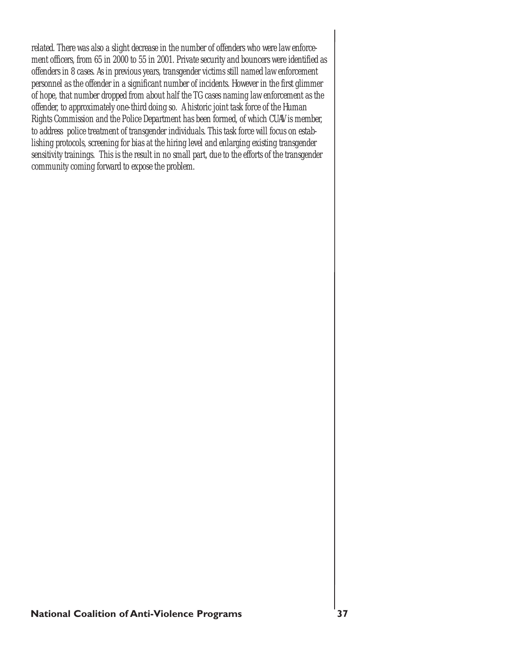related. There was also a slight decrease in the number of offenders who were law enforcement officers, from 65 in 2000 to 55 in 2001. Private security and bouncers were identified as offenders in 8 cases. As in previous years, transgender victims still named law enforcement personnel as the offender in a significant number of incidents. However in the first glimmer of hope, that number dropped from about half the TG cases naming law enforcement as the offender, to approximately one-third doing so. A historic joint task force of the Human Rights Commission and the Police Department has been formed, of which CUAV is member, to address police treatment of transgender individuals. This task force will focus on establishing protocols, screening for bias at the hiring level and enlarging existing transgender sensitivity trainings. This is the result in no small part, due to the efforts of the transgender community coming forward to expose the problem.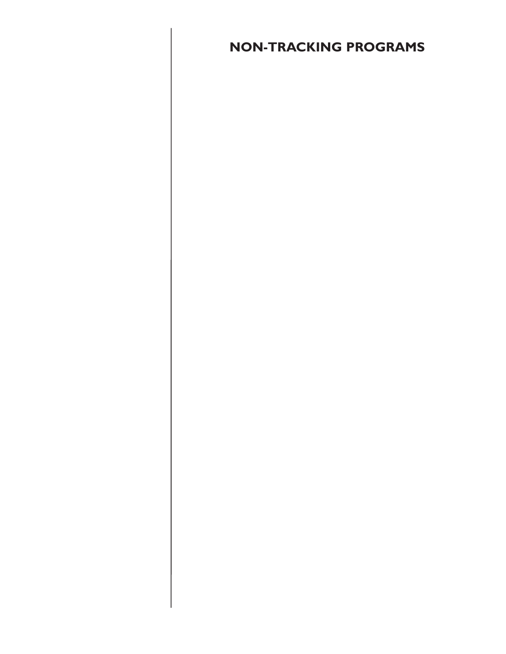# NON-TRACKING PROGRAMS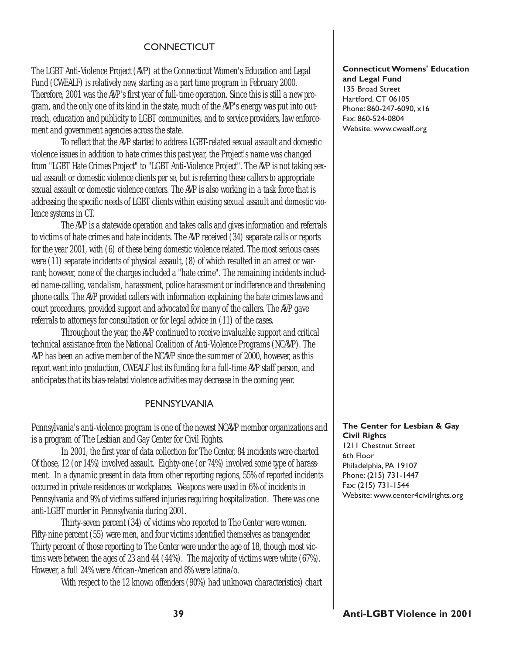#### **CONNECTICUT**

The LGBT Anti-Violence Project (AVP) at the Connecticut Women's Education and Legal Fund (CWEALF) is relatively new, starting as a part time program in February 2000. Therefore, 2001 was the AVP's first year of full-time operation. Since this is still a new program, and the only one of its kind in the state, much of the AVP's energy was put into outreach, education and publicity to LGBT communities, and to service providers, law enforcement and government agencies across the state.

To reflect that the AVP started to address LGBT-related sexual assault and domestic violence issues in addition to hate crimes this past year, the Project's name was changed from "LGBT Hate Crimes Project" to "LGBT Anti-Violence Project". The AVP is not taking sexual assault or domestic violence clients per se, but is referring these callers to appropriate sexual assault or domestic violence centers. The AVP is also working in a task force that is addressing the specific needs of LGBT clients within existing sexual assault and domestic violence systems in CT.

The AVP is a statewide operation and takes calls and gives information and referrals to victims of hate crimes and hate incidents. The AVP received (34) separate calls or reports for the year 2001, with (6) of these being domestic violence related. The most serious cases were (11) separate incidents of physical assault, (8) of which resulted in an arrest or warrant; however, none of the charges included a "hate crime". The remaining incidents included name-calling, vandalism, harassment, police harassment or indifference and threatening phone calls. The AVP provided callers with information explaining the hate crimes laws and court procedures, provided support and advocated for many of the callers. The AVP gave referrals to attorneys for consultation or for legal advice in (11) of the cases.

Throughout the year, the AVP continued to receive invaluable support and critical technical assistance from the National Coalition of Anti-Violence Programs (NCAVP). The AVP has been an active member of the NCAVP since the summer of 2000, however, as this report went into production, CWEALF lost its funding for a full-time AVP staff person, and anticipates that its bias-related violence activities may decrease in the coming year.

#### PENNSYLVANIA

Pennsylvania's anti-violence program is one of the newest NCAVP member organizations and is a program of The Lesbian and Gay Center for Civil Rights.

In 2001, the first year of data collection for The Center, 84 incidents were charted. Of those, 12 (or 14%) involved assault. Eighty-one (or 74%) involved some type of harassment. In a dynamic present in data from other reporting regions, 55% of reported incidents occurred in private residences or workplaces. Weapons were used in 6% of incidents in Pennsylvania and 9% of victims suffered injuries requiring hospitalization. There was one anti-LGBT murder in Pennsylvania during 2001.

Thirty-seven percent (34) of victims who reported to The Center were women. Fifty-nine percent (55) were men, and four victims identified themselves as transgender. Thirty percent of those reporting to The Center were under the age of 18, though most victims were between the ages of 23 and 44 (44%). The majority of victims were white (67%). However, a full 24% were African-American and 8% were latina/o.

With respect to the 12 known offenders (90%) had unknown characteristics) chart

#### Connecticut Womens' Education and Legal Fund

135 Broad Street Hartford, CT 06105 Phone: 860-247-6090, x16 Fax: 860-524-0804 Website: www.cwealf.org

#### The Center for Lesbian & Gay Civil Rights

1211 Chestnut Street 6th Floor Philadelphia, PA 19107 Phone: (215) 731-1447 Fax: (215) 731-1544 Website: www.center4civilrights.org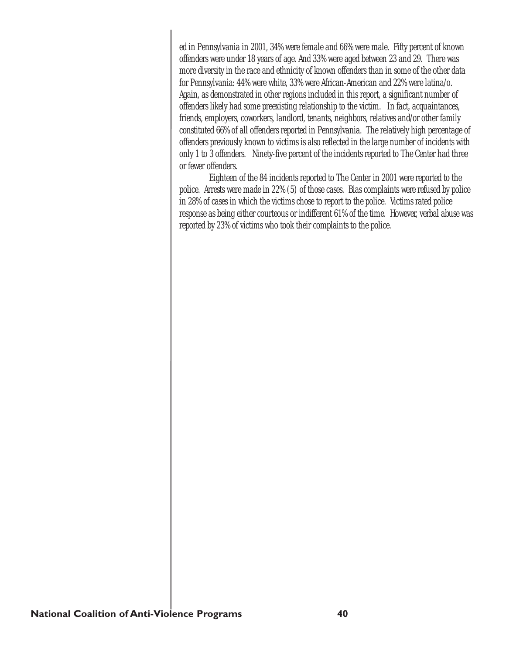ed in Pennsylvania in 2001, 34% were female and 66% were male. Fifty percent of known offenders were under 18 years of age. And 33% were aged between 23 and 29. There was more diversity in the race and ethnicity of known offenders than in some of the other data for Pennsylvania: 44% were white, 33% were African-American and 22% were latina/o. Again, as demonstrated in other regions included in this report, a significant number of offenders likely had some preexisting relationship to the victim. In fact, acquaintances, friends, employers, coworkers, landlord, tenants, neighbors, relatives and/or other family constituted 66% of all offenders reported in Pennsylvania. The relatively high percentage of offenders previously known to victims is also reflected in the large number of incidents with only 1 to 3 offenders. Ninety-five percent of the incidents reported to The Center had three or fewer offenders.

Eighteen of the 84 incidents reported to The Center in 2001 were reported to the police. Arrests were made in 22% (5) of those cases. Bias complaints were refused by police in 28% of cases in which the victims chose to report to the police. Victims rated police response as being either courteous or indifferent 61% of the time. However, verbal abuse was reported by 23% of victims who took their complaints to the police.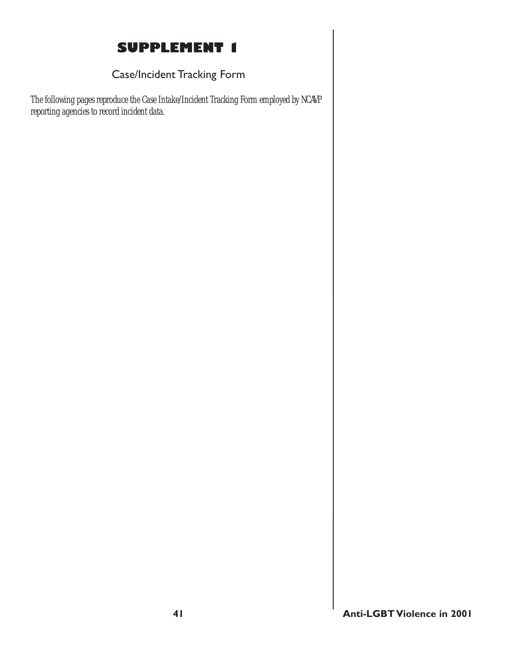# SUPPLEMENT 1

# Case/Incident Tracking Form

The following pages reproduce the Case Intake/Incident Tracking Form employed by NCAVP reporting agencies to record incident data.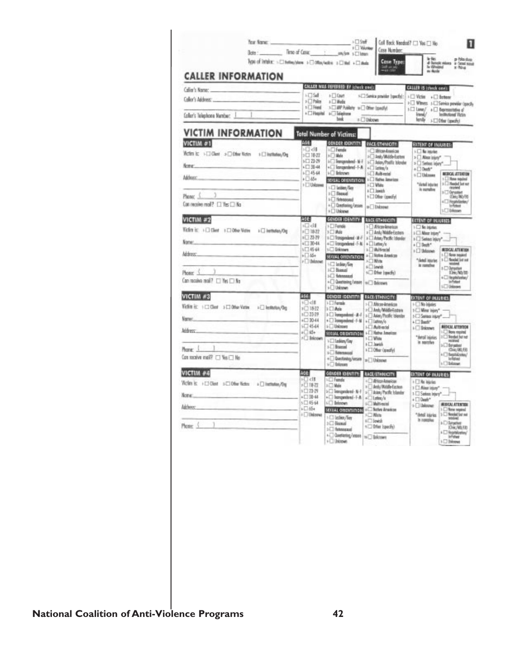| fear Name:<br>Dote:<br>Type of Intuities: > [3] Helley/stare: > [3] Office/weller: + [3] Hell + [3] Hells                                                                 |                                                                                                                         | >DSuff<br><b>E Volumber</b><br>Time of Cesac : anyton s Citeren                                                                                                                                                                                                                                                             | Cosa Number:<br><b>Cose Type</b>                                                                                                                                                                                          | Coll Back Needed? [ ] Yes [ ] No.<br>in Acts                                                                                                                                | a Nadus<br>di Sangit milang a Sanal sang                                                                                                                                                        |
|---------------------------------------------------------------------------------------------------------------------------------------------------------------------------|-------------------------------------------------------------------------------------------------------------------------|-----------------------------------------------------------------------------------------------------------------------------------------------------------------------------------------------------------------------------------------------------------------------------------------------------------------------------|---------------------------------------------------------------------------------------------------------------------------------------------------------------------------------------------------------------------------|-----------------------------------------------------------------------------------------------------------------------------------------------------------------------------|-------------------------------------------------------------------------------------------------------------------------------------------------------------------------------------------------|
| <b>CALLER INFORMATION</b><br>Colleg's Name: College College College College<br>Coller's Telephone Mamber, I                                                               | <b>LETSH</b><br>$\frac{1}{2}$ Toke<br><b>b</b> [ Triand                                                                 | CALLER WAS REFERRED BY Johnsk cools<br>$\mathbf{E}$ Court<br>+Cl Media<br>>> MP Publicly => Other (specify)<br>+ Difested + Disiplane<br>heat                                                                                                                                                                               | SCI Service provider (spectiv):<br>: Uskewe                                                                                                                                                                               | <b>CALLER IS (creck one)</b><br>>[] Victor +[] Bettear<br>> I Wines: + I Service previor (specify<br>$\frac{1}{2}$ Lionar/ $\pm \Box$ Bepresentative of<br>friend/<br>fende | Industrial Victor<br>> El Other (specify)                                                                                                                                                       |
| <b>VICTIM INFORMATION</b><br>VICTIM #1<br>Writes is: > [ Glast > [ Other Notics = 1 [ Distitution/One<br>Nomer:<br>Address:<br>Phone:<br>Can receive mail? [ ] Yes [ ] Na | MGE <sub>1</sub><br>>Cl-dB<br>$2 \square 18 22$<br>3日器器<br>▲□ 30-44<br>$+ \Box 4544$<br>$E = 45+$<br>> III Unknown      | <b>Total Number of Victims:</b><br><b>GENECE IDENTITY:</b> EMCE/ETHMICITY<br><b><i><u>C</u></i></b> Funds<br>s Dilde<br>+1 Forgandeed - N<br>+ C languaged - 1-A   + C lating/s<br>i- Inknown<br><b>SEXUAL ORIGINTATION</b><br>-17 letter/lier<br>$1$ $\Box$ Strengt<br>1-17 Heterosevel<br>+ Checharing/poses<br>+ Uninewa | EC Mon-Assign<br>Helpi-Middle Easter<br>1-1 Atlan, Postfir Islander<br><b>SCT Automobil</b><br>L <sup>1</sup> Vatha Americas<br><b>LET Video</b><br><b>↓□ lewith</b><br>+ [] Ofter (specify)<br>s Unknown                 | EXTENT OF INJURIES:<br><b>I- The inturior</b><br>> Bless Island<br>> 3 Series leary*<br>$+$ $\Box$ Death*<br>© Uniman<br>"detail loturies"<br>is noralize                   | <b>MUSCAL ATTACION</b><br>1 [] Rose regular<br>3 3 Headed but ser<br>received<br>> Oryster<br>0m/80%<br>4 The photonies/<br>In Febust<br>S <sup>C</sup> Drivewan                                |
| VICTIM #2<br>Wicken is: +□ Client +□ Other Victim<br>> U Installat/Out<br>Tome:<br>Address:<br>Phone: 5<br>Can receive mail? [1] Yes [1] No                               | छा ब<br>HD di<br>$1$ $\frac{1}{2}$<br>$1 \square 73.79$<br>$+13041$<br>$5 - 45 + 44$<br>$+766 +$<br><b>FTI Universe</b> | CONDITIONATION:<br>$\vdash \Box$ Fende<br>$1 \square$ May<br><b>I-C Tongesland II-F</b><br>+ Diongandand - F-N + Diamon/o<br><b>SET DIRECTOR</b><br>SEXUAL ORIENTATION<br><b>Indian Time</b><br>$1 \square$ Bloamed<br><b>SCI fishmaged</b><br>-C Quattering/weart   10 C Bricown<br>i- Libitown                            | <b>AACE/ETHNICITY:</b><br>> / African-Ismariose<br>» □ Ard,/Middle-Eastern<br>> C Ana, Pack: Idealer<br>1-1 Multi-tockd<br>+ Ulettra Amateus<br><b>CTNNs</b><br>6 Directe<br>s <sup>(2)</sup> from the control            | <b>EXTENT OF INJURIES</b><br>1 D No Interiors<br>$1$ $\Box$ Mass inter <sup>4</sup> . --<br>>C) Sates leav*<br>+[] Best-<br>+ [] Unlocker<br>* dead lourier<br>it rangba    | <b><i>REGULATION</i></b><br>LCI form region!<br>1 [.] Seaded list not<br><b>MOUSHEE</b><br>+ D George<br>Div.NI/ID<br>+C Hespitalization/<br>in Patient<br>1-T Unknown                          |
| VICTIM #3<br>Vehin it: 1 Client 1 Client Vehin<br>iii lethnica/De<br>Verse:<br>Address-<br>Phone: 1<br>Can receive mail? [7] Yes [7] No.                                  | <b>ASE:</b><br>HO dif<br>10157<br>103339<br>$+13044$<br>50044<br>all ide<br>$2 \sqrt{2}$ Brichten                       | CENDER (DENTITY)<br>1 D Fermit<br>$1 \square$ their<br>$1$ . The image of the $1.4$<br>+ Diampoulend - F-M + Diamond<br><b>SET Unknown</b><br>SECUAL CREDITATIONS<br>1 I Indian Gay<br>SCT Brancol<br>+ Beteroscual<br>+ Dustining luxure<br><b>i</b> C Interest                                                            | <b>RACE/ETHNICITY:</b><br>> UMcor-kneskow<br>> Unb/ModeEcoam<br>> D Adat, Poolic Islander<br><b>LET Automobil</b><br>L <sup>1</sup> Vathy American<br><b>LETWHAN</b><br>+□ Jorish<br><b>I-Cher (specify)</b><br>» Ihinout | EXTENT OF INJURIES.<br>$+$ $-$ 30 highles<br>$1$ $\Box$ West high * -<br>1 [ ] Select intro <sup>2</sup><br>+17 Beeth*<br>+ Discover<br>* detail injuries<br>is suitable.   | <b><i>BENCAL ATTINTION</i></b><br><b>IC None required</b><br>3 <sup>Sedd ferret</sup><br><b>HESHAD</b><br>$5 \square$ Belgation<br>(5a, 00, 65)<br>+ C fasthkutin/<br>a-Rativez<br>+ 1 Belassue |
| VICTIM #4<br>Wedn is: +13 Olest +13 Other Nation +13 Institution/Our<br>Nome:<br><b>Milberry</b><br>Phone: $($                                                            | AGE-<br>国文課<br>»□18-27<br>1日73-29<br>+□30-44<br>5日4544<br>$+ \Box 45+$<br>i I Unknown                                   | GENDER IDENTITY:<br><b>LCI Femala</b><br><b>NO Make</b><br>$+1$ is taken to $-1$<br>+ Disemporation of -1-A and -1-A<br>i√ Bristown<br><b>SEXUAL GREENWINGHI</b><br>1-17 lesbien/figer<br>$D \square$ Simual<br>$1$ $\Box$ the energies<br>- Clastering/more   12   Brichtert<br>+ Uniter                                   | <b>BACK/ERNIGITY</b><br>- disposition<br>> Brity/Middle-Easten<br>> Brian, Pacific Islandar<br><b>International</b><br>+C fetve Anadran<br><b>エロ Nich</b><br>4□ levids<br>+ Differ (specify)                              | <b>EXTENT OF INJURIES:</b><br>> 17 No injuries<br>1 [] Also issue"<br>1 El Satiran Injery".<br>+10mm*<br>+ University<br>"deal isrice<br>In nongine                         | <b>INSIGN ATTINTION</b><br>I-C Nove neptual<br>1 D Needed but not<br>striced<br>i D Septies<br>IOHUWA ED<br>I <sup>D</sup> Repolizing<br><b>Infidiant</b><br>1-12 Dikemat                       |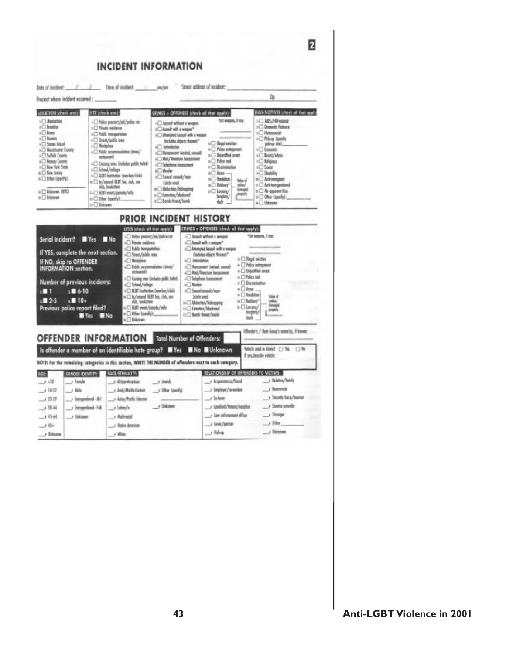$\overline{2}$ **INCIDENT INFORMATION** Zp Pracinct where incident accurred : ... LOCATION (check anni) SITE |check and | **BIAS (MOTIVES Like is all that apply)** CRIMES + OFFENSES (check of that apply): für wasen, if me LCI MIS/Hill volated **C** Assistant +□ Police precisety(oil/police car (T) Annult without a weeper Nikod (1) >C) Domestic Violence > C Niver retireor > [ Assoft with a weapon"  $O km$ - Heterocid **SCI Public tronsportation** >[] Ahanphel Anout with a weeper  $\sqrt{2}$  Duessi +Cliftshup basedly +<sup>[1]</sup> Street/bublic over Includes dejects through? pike mit.<br>Silananic C Stete bland  $u \square$  flags) aviation:  $\sqrt{ }$  Natalos a Childrenholm **T Number Comy** is □ Police exhigement + $\Box$  hide assessoints (mm/ G Pleasurest Grebal, security  $n \bigcirc$  depothed omen  $v \Box$  Redst/infinis +17 Sulfab County industri? -[] Mai/Theatue hossment Is C Thilor mid s<sup>[]</sup> Nessy Courty >C) Religious 1<sup>(2)</sup> Doising one Ordubes public tollet's >> Talestone hangsment GT New York State o ("1 Noteination **+Cl Seein** +C School/college si<sup>7</sup> items **V-C liew Jesey**  $n \Box$  less  $-$ +13 Diedsliny  $\begin{array}{l} \mbox{${\scriptstyle \wedge}$} \ \Box \ \ \mbox{0.01} \ \ \mbox{hathation boundary/odd} \\ \mbox{${\scriptstyle \wedge}$} \ \Box \ \ \mbox{b}/\mbox{mod} \ \ \mbox{0.01} \ \ \mbox{b}} \ \ \mbox{0.02} \ \ \mbox{0.03} \ \ \mbox{0.04} \ \ \mbox{0.06} \ \ \mbox{0.07} \ \ \mbox{0.08} \ \ \mbox{0.09} \ \ \mbox{0.09} \ \ \mbox{0.09} \ \ \mbox{0.09} \ \ \mbox{0.09} \ \$ »□ Send omalt/mpr +13 Offer OpenRy);  $14$   $\Box$  Fundalism: o <sup>1</sup> Artismiper **Max** (dede end)  $n \square$  biling\*  $=$   $\Box$  Anti-transpositional (u), bedster min/<br>drops o [] Adudes/Minaping © Discount (NYC)  $\frac{1}{2}$  and  $\frac{1}{2}$  $n \square$  the opposed lies: elo/yiese/zuw TEB [] (1) o [7] futurios/Medimed **Jessie** o [] Oher Esseriel:  $n$  Diskspart 13-13 Difer fraught. a [ Bank Ares/Sooth  $\rightarrow$   $\Box$  this cont tob. 11-12 Drivourt PRIOR INCIDENT HISTORY SITES (check off the capping) CRUNES + OFFENSES (check all that apply): **Streams**, First Pelas analytic/ad/adics car IC leasely without a wessen Serial Incident? N'Yes N No Poste reidena 1 Amount with a weapon! Public horspatisties > C Ammyted Assoult with a wespon If YES, complete the next section. <sup>2</sup> Steet/Jubilic ores (indules objects throws)\* » [] Hegd eviction If NO, skip to OFFENDER<br>INFORMATION section. 石 Relates **Internation** » Disks wingswid Thilic sconnoistes (ston) +<sup>7</sup> Researcer (verla), second > [] Usaatfed over chunt?) +□ Asi/Rector hotemet » [] Pelice reid 3 Europe peer Grobales public tulled **ICT Ideplum lipszoner** Number of previous incidents:  $\theta$   $\Box$  Duckeled ) School/College<br>| GLAT Institution (nas-bar/club)| all Moder  $*$ Eliman  $18.10$ +C) Secol essety/now m The Consumed GRAT There, clubs, pass.<br>1990s. Translationer » [ ] limbilan **Sciole and**  $-10+$  $1 - 2.5$ » [] lukey\* NET Abdurtion/Kelmapping Previous police report filed? B.BT event/parolis/why s-Classey 11 Emmet Hatmal posts Ofer hordiy). turgiani, to [2] Bank thout/family **These Minks** 4d Enlineary Offender's / Hute Group's name(s), if known OFFENDER INFORMATION Total Number of Offenders: Is offender a member of an identifiable hate group? IN Yes IN No IN Unknown Tellida used in Crime 7: (7) This 口服 If yes, describe vehicle: NOTE: For the remaining rategories in this section, WRITE THE NUMBER of offenders most to each category. RELATIONSHIP OF OFFENDERS TO VICTIMS: ACE GENDER LOENTITY | BACK/ETHINICITY - Islam / Tunity  $-1$  dB J Etendreitet  $-$  links J. Inspirators/friend r funde  $\overline{\phantom{a}}$  becomes  $-1822$  $\rightarrow$  Mele Anh/MélleGates Offer (qualify) J Employer/coverdue - Society for a Chevron  $\rightarrow$  folger  $-1337$ J. Sungardond - All Adou/Padfic Islander / Landord/Weers/engine 3 Service provider / Usiness  $-1354$ J Temperloud - Fill. Juliety's Jae oforsment offer  $\rightarrow$  Straight  $-1.054$ J Dizone ... Alfred  $ightharpoonup$  the Juver/pamer  $-184$ A Rathe American  $A$  $j$  binne  $\rightarrow$  Islams  $\rightarrow$  With

43 Anti-LGBT Violence in 2001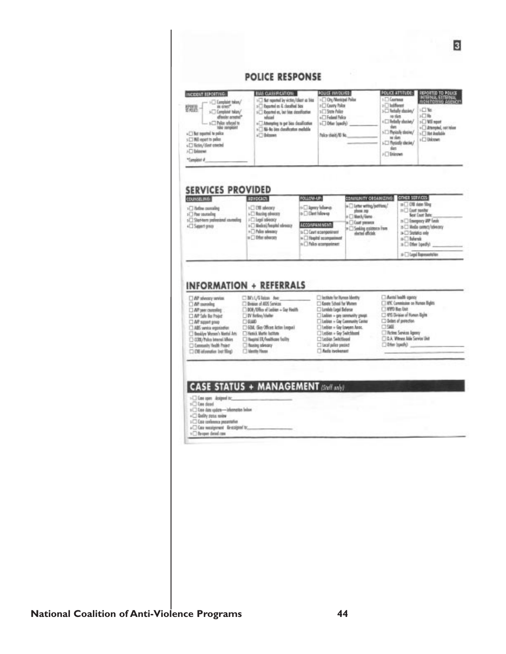#### **POLICE RESPONSE**

POLICE INVOLVED POLICE ATTITUDE: REPORTED TO POLICE<br>INTERNAL GITERNAL<br>INCHETORING AGENCY INCIDENT REPORTING: **BIAS CLASSIFICATION:**  $\begin{array}{l} \shortparallel \square \ \ \text{for\, reported\,ly\,with}/\text{clear\,in\,} \ \text{bits} \\ \shortparallel \square \ \ \text{byschel\,in\,} \ \ \text{d} \ \ \text{defiel\,Set} \ \ \text{for} \end{array}$ - □ Ory/Mentpel Polon C Contract  $\begin{array}{rcl} -& : & \fbox{C} \text{ (explicit below)}\\ & \text{in } \text{ since} \\ & : & \fbox{C} \text{ (explicit below)}\\ & \text{ of node except} \end{array}$ **C Guny Tolor Thilford** 探盘 C/W Tehnik doory >C Son Aller  $i$   $\square$  Reported as, but hits department 山海 wheat +CI Federal Police as the  $\begin{array}{c} \begin{array}{c} \text{of block and } \mathbb{R} \\ \text{of the subset of } \mathbb{R} \end{array} \end{array}$ wheat<br>- [] Attempting to get bies classification<br>- [] Ni- No bies classification available  $\epsilon$   $\Box$  Feboly shows/ O Wil sport > Offer (gody) al American Last Information<br>Call And Australia they C Physich desire/ » [] he spots is police +C blown folio chiefy@ No. se den sCIMI report to pulse C Usinows  $\sqrt{2}$  Physically electron/ +C) ficiny/dest couche tion  $\sqrt{2}$  Discover  $\lambda$  . Seems at \*Complete #

#### **SERVICES PROVIDED**

| counseline.                                                                    | <b>ABVOCACY</b>                                                                | FOLLOW-UP:                                                                                 | COMMUNITY CROANIZING:                                       | CNER SERVICES:                                                                                                    |
|--------------------------------------------------------------------------------|--------------------------------------------------------------------------------|--------------------------------------------------------------------------------------------|-------------------------------------------------------------|-------------------------------------------------------------------------------------------------------------------|
| polarous author [1]<br>>> May courseling<br>1 Starttom professional sourcelles | Volveda III <sup>1</sup><br>L <sup>1</sup> Rocky obuses<br>FCI Legal selectory | Listery bilance<br>a <b>Client</b> followsp                                                | is I Limit with profitent.<br>10008.208<br>in [] March/Gomo | and To U.S. DO 17<br><b>Seat Exact Date:</b>                                                                      |
| +CI Support group                                                              | + Belical/height stressor<br>+ This shops<br>a [ ] Other advances              | ACCOMPANIMENT:<br>is [] Court economines<br>» [7] Hagital scompanies<br>Fallo uppropriment | to [ ] Coatt presence<br>To [ ] Seeking existence from      | n □ Emergency WP funds<br>a C Media currect/interany<br>> 3 Stefatics and<br>$\Box$ believels<br>> Differ bordfy) |
|                                                                                |                                                                                |                                                                                            |                                                             | s [] Lupi Reprovatation                                                                                           |

#### **INFORMATION + REFERRALS**

 $\Box$  BP stressy service. O AP corolleg AP per cureleg 13 AP Sale Bu Project over hope fill  $\square$ ABS service ergorization<br>- Booklye Women's Neetel Arts C) COSI/Police Internal Afficies C Connecty Realt Point

CIRL/Shim Ave. <sup>7</sup> British of ADS Services DDI / Office of Ledien + Say Health TV fieling/thelm **CLGAR** [3604, Gey Offices Action Leopwi] <sup>7</sup> Henri Mette heltone [] Hugatei ER, Availbane feelity Voteda attach [7] C Menthy House

C looking for Newar Identity C Goote School for Women **C** Lambda Lagal Beleisar  $\Box$  Leiblen + gay community groups<br> $\Box$  Leiblen + Gay Community Center C Ledios + Gay Lowyers Amos. Clestian + Gay Switchboard T1 Lection Switchboard This of pales preject Asta isolvenent

Antal bodh operay [] NYK Camminism on Purises Rights T NYO Bas Datt <sup>2</sup> 475 Drives of Nation Bank  $\Box$  (letter of protection 098

- The firm Services Agency<br>
TDA Vittores Aide Service Unit
- Ditter (specty)

### **CASE STATUS + MANAGEMENT** (Steff ax);)

 $\sqrt{ }$  (Last agent - designed its:  $\sqrt{ }$  ) (Last closed

[308 identity but filing)

- 1 C Case date option-information below
- +C) Dudity pass noise
- 10 Case conference presentative

+C Cas weatgenest Bracignet N...

> <sup>1</sup> Beoper cleand case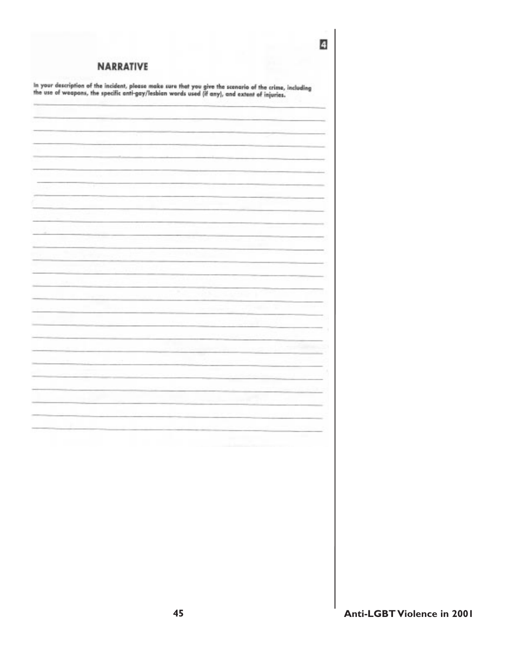| <b>NARRATIVE</b>                                                                                                                                                                                           |  |                   |  |
|------------------------------------------------------------------------------------------------------------------------------------------------------------------------------------------------------------|--|-------------------|--|
| In your description of the incident, please make sure that you give the scenario of the crime, including<br>the use of weapons, the specific anti-gay/lesbian words used (if any), and extent of injuries. |  |                   |  |
|                                                                                                                                                                                                            |  |                   |  |
|                                                                                                                                                                                                            |  |                   |  |
|                                                                                                                                                                                                            |  |                   |  |
|                                                                                                                                                                                                            |  |                   |  |
|                                                                                                                                                                                                            |  |                   |  |
|                                                                                                                                                                                                            |  |                   |  |
|                                                                                                                                                                                                            |  |                   |  |
|                                                                                                                                                                                                            |  |                   |  |
|                                                                                                                                                                                                            |  |                   |  |
|                                                                                                                                                                                                            |  |                   |  |
|                                                                                                                                                                                                            |  |                   |  |
|                                                                                                                                                                                                            |  |                   |  |
|                                                                                                                                                                                                            |  |                   |  |
|                                                                                                                                                                                                            |  |                   |  |
|                                                                                                                                                                                                            |  |                   |  |
|                                                                                                                                                                                                            |  |                   |  |
|                                                                                                                                                                                                            |  |                   |  |
|                                                                                                                                                                                                            |  |                   |  |
|                                                                                                                                                                                                            |  |                   |  |
|                                                                                                                                                                                                            |  |                   |  |
|                                                                                                                                                                                                            |  | <b>Contractor</b> |  |
|                                                                                                                                                                                                            |  |                   |  |
|                                                                                                                                                                                                            |  |                   |  |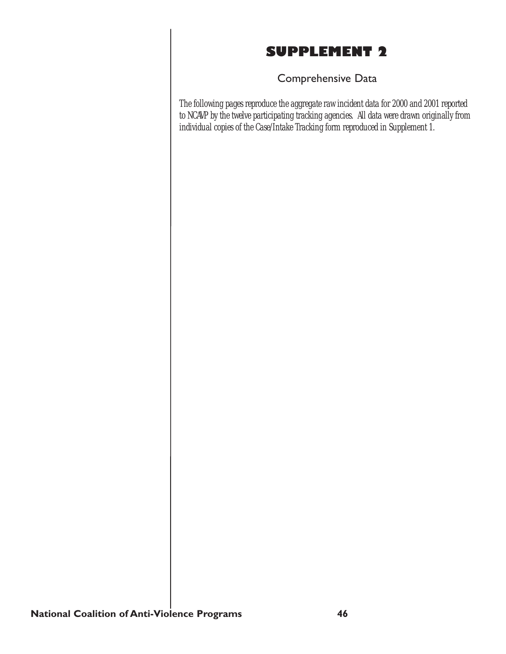# SUPPLEMENT 2

### Comprehensive Data

The following pages reproduce the aggregate raw incident data for 2000 and 2001 reported to NCAVP by the twelve participating tracking agencies. All data were drawn originally from individual copies of the Case/Intake Tracking form reproduced in Supplement 1.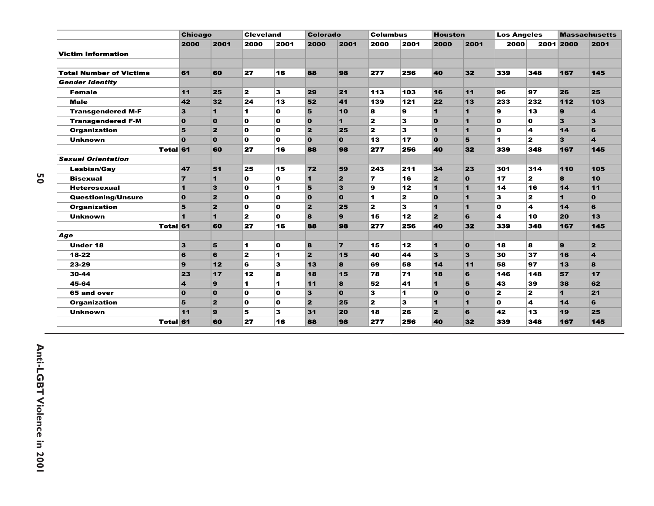|                                | <b>Chicago</b>   |                | <b>Cleveland</b>        |                      | <b>Colorado</b>         |                | <b>Columbus</b>      |              | <b>Houston</b>          |                         | <b>Los Angeles</b>   |                |                      | <b>Massachusetts</b> |
|--------------------------------|------------------|----------------|-------------------------|----------------------|-------------------------|----------------|----------------------|--------------|-------------------------|-------------------------|----------------------|----------------|----------------------|----------------------|
|                                | 2000             | 2001           | 2000                    | 2001                 | 2000                    | 2001           | 2000                 | 2001         | 2000                    | 2001                    | 2000                 |                | 2001 2000            | 2001                 |
| <b>Victim Information</b>      |                  |                |                         |                      |                         |                |                      |              |                         |                         |                      |                |                      |                      |
| <b>Total Number of Victims</b> | 61               | 60             | 27                      | 16                   | 88                      | 98             | 277                  | 256          | 40                      | 32                      | 339                  | 348            | 167                  | 145                  |
| <b>Gender Identity</b>         |                  |                |                         |                      |                         |                |                      |              |                         |                         |                      |                |                      |                      |
| <b>Female</b>                  | 11               | 25             | $\mathbf{z}$            | 3                    | 29                      | 21             | 113                  | 103          | 16                      | 11                      | 96                   | 97             | 26                   | 25                   |
| <b>Male</b>                    | 42               | 32             | 24                      | 13                   | 52                      | 41             | 139                  | 121          | 22                      | 13                      | 233                  | 232            | 112                  | 103                  |
| <b>Transgendered M-F</b>       | 3                | 1              | 1                       | $\mathbf{o}$         | 5                       | 10             | 8                    | 9            | 1                       | $\mathbf{1}$            | 9                    | 13             | $\mathbf{9}$         | 4                    |
| <b>Transgendered F-M</b>       | $\mathbf{0}$     | $\mathbf{o}$   | $\Omega$                | $\Omega$             | $\overline{0}$          | $\blacksquare$ | $\mathbf{z}$         | 3            | $\mathbf{o}$            | $\blacksquare$          | O                    | O              | 3                    | 3                    |
| <b>Organization</b>            | 5                | $\overline{2}$ | $\mathbf o$             | $\mathbf{o}$         | 2                       | 25             | $\mathbf{z}$         | 3            | 1                       | $\blacksquare$          | O                    | 4              | $14$                 | 6                    |
| <b>Unknown</b>                 | $\Omega$         | $\Omega$       | O                       | $\Omega$             | $\Omega$                | $\Omega$       | 13                   | 17           | $\Omega$                | 5                       | $\blacktriangleleft$ | $\mathbf{z}$   | 3                    | 4                    |
| <b>Total 61</b>                |                  | 60             | 27                      | 16                   | 88                      | 98             | 277                  | 256          | 40                      | 32                      | 339                  | 348            | 167                  | 145                  |
| <b>Sexual Orientation</b>      |                  |                |                         |                      |                         |                |                      |              |                         |                         |                      |                |                      |                      |
| <b>Lesbian/Gay</b>             | 47               | 51             | 25                      | 15                   | 72                      | 59             | 243                  | 211          | 34                      | 23                      | 301                  | 314            | 110                  | 105                  |
| <b>Bisexual</b>                | $\overline{ }$   | $\blacksquare$ | O                       | $\Omega$             | $\blacksquare$          | $\overline{2}$ | $\overline{ }$       | 16           | $\overline{2}$          | $\mathbf{o}$            | 17                   | $\mathbf{z}$   | $\mathbf{a}$         | 10                   |
| <b>Heterosexual</b>            | 1                | 3              | O                       | $\blacktriangleleft$ | 5                       | 3              | 9                    | 12           | 1                       | $\blacktriangleleft$    | 14                   | 16             | $14$                 | 11                   |
| <b>Questioning/Unsure</b>      | $\mathbf{o}$     | $\mathbf{z}$   | O                       | $\mathbf o$          | $\Omega$                | $\Omega$       | $\blacktriangleleft$ | $\mathbf{z}$ | $\mathbf{o}$            | $\blacksquare$          | 3                    | $\mathbf{z}$   | $\blacktriangleleft$ | $\mathbf{o}$         |
| <b>Organization</b>            | 5                | $\overline{2}$ | O                       | $\Omega$             | $\overline{\mathbf{2}}$ | 25             | $\mathbf{z}$         | 3            | 1                       | $\blacksquare$          | O                    | 4              | $14$                 | 6                    |
| <b>Unknown</b>                 | ٠                | 1              | $\mathbf{z}$            | $\Omega$             | 8                       | $\mathbf{Q}$   | 15                   | 12           | $\overline{2}$          | 6                       | 4                    | 10             | 20                   | 13                   |
| <b>Total 61</b>                |                  | 60             | 27                      | 16                   | 88                      | 98             | 277                  | 256          | 40                      | 32                      | 339                  | 348            | 167                  | 145                  |
| Age                            |                  |                |                         |                      |                         |                |                      |              |                         |                         |                      |                |                      |                      |
| <b>Under 18</b>                | 3                | 5              | 1                       | $\mathbf o$          | $\bf{8}$                | $\overline{7}$ | 15                   | 12           | 1                       | $\mathbf{o}$            | 18                   | 8              | $\mathbf{9}$         | $\overline{2}$       |
| $18 - 22$                      | 6                | 6              | $\overline{\mathbf{z}}$ | $\blacktriangleleft$ | $\overline{\mathbf{2}}$ | 15             | 40                   | 44           | $\overline{\mathbf{3}}$ | $\overline{\mathbf{3}}$ | 30                   | 37             | 16                   | 4                    |
| 23-29                          | 9                | 12             | 6                       | 3                    | 13                      | 8              | 69                   | 58           | 14                      | 11                      | 58                   | 97             | 13                   | 8                    |
| 30-44                          | 23               | 17             | 12                      | 8                    | 18                      | 15             | 78                   | 71           | 18                      | 6                       | 146                  | 148            | 57                   | 17                   |
| 45-64                          | $\boldsymbol{4}$ | $\mathbf{9}$   | 1                       | $\blacksquare$       | 11                      | 8              | 52                   | 41           | 1                       | 5                       | 43                   | 39             | 38                   | 62                   |
| 65 and over                    | $\mathbf{o}$     | $\mathbf{o}$   | O                       | $\mathbf{o}$         | 3                       | $\Omega$       | 3                    | 1            | $\mathbf{o}$            | $\mathbf{o}$            | 2                    | $\overline{2}$ | $\mathbf 1$          | 21                   |
| <b>Organization</b>            | 5                | $\overline{2}$ | $\mathbf o$             | $\mathbf{o}$         | $\overline{2}$          | 25             | $\mathbf{z}$         | 3            | 1                       | $\blacksquare$          | O                    | 4              | 14                   | 6                    |
| <b>Unknown</b>                 | 11               | 9              | 5                       | 3                    | 31                      | 20             | 18                   | 26           | $\overline{\mathbf{2}}$ | 6                       | 42                   | 13             | 19                   | 25                   |
| <b>Total 61</b>                |                  | 60             | 27                      | 16                   | 88                      | 98             | 277                  | 256          | 40                      | 32                      | 339                  | 348            | 167                  | 145                  |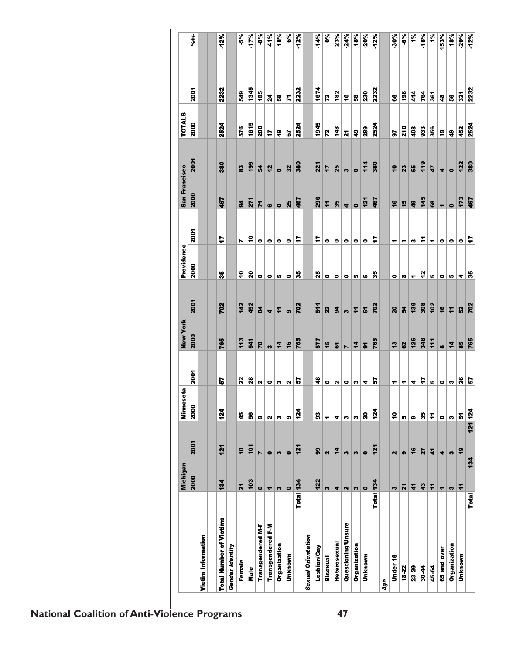|                                | Michigan              |                         | Minnesota      |               | <b>New York</b> |                | Providence |           | San Francisco  |                 | <b>TOTALS</b>      |                |                         |
|--------------------------------|-----------------------|-------------------------|----------------|---------------|-----------------|----------------|------------|-----------|----------------|-----------------|--------------------|----------------|-------------------------|
|                                | 2000                  | 2001                    | 2000           | 2001          | 2000            | 2001           | 2000       | 2001      | 2000           | 2001            | 2000               | 2001           | $\frac{1}{6}$           |
| Victim Information             |                       |                         |                |               |                 |                |            |           |                |                 |                    |                |                         |
| <b>Total Number of Victims</b> | 134                   | 121                     | 124            | 5             | 765             | 702            | 8          | F         | 467            | 380             | 2524               | 2232           | 12%                     |
| Gender Identity                |                       |                         |                |               |                 |                |            |           |                |                 |                    |                |                         |
| Female                         | $\overline{21}$       | $\overline{1}$          | 45             | 22            | 113             | 142            | ៓          | r         | $\overline{9}$ | 83              | 576                | 549            | 5%                      |
| Male                           | 103                   | 101                     | \$G            | $\mathbf{28}$ | 541             | 452            | ន          | ٩         | 271            | 199             | 1615               | 1345           | $-17%$                  |
| Transgendered M-F              | 6                     | N                       | u<br>G         |               | 78              | $\overline{a}$ | ۰          | $\bullet$ | 71             | 54              | 200                | 185            | -8%                     |
| <b>Transgendered F-M</b>       | $\blacksquare$        | $\bullet$               | $\bullet$<br>Z |               | S               | 4              | ۰          | $\bullet$ | ဖ              | 12              | t                  | 24             | 41%                     |
| Organization                   | w                     | S                       | w<br>S         |               | $\frac{1}{4}$   | $\ddot{ }$     | r.         | $\bullet$ | $\bullet$      | $\bullet$       | $\frac{6}{4}$      | 58             | 18%                     |
| Unknown                        | $\bullet$             | $\bullet$               | u<br>ග         |               | 16              | ෧              | ۰          | $\bullet$ | 25             | 32              | 57                 | 7              | 6%                      |
| Total 134                      |                       | 121                     | $\frac{34}{2}$ | r.            | 765             | 702            | 33         | ţ         | 467            | 380             | 2524               | 2232           | $-12%$                  |
| <b>Sexual Orientation</b>      |                       |                         |                |               |                 |                |            |           |                |                 |                    |                |                         |
| Lesbian/Gay                    | 122                   | 99                      | 93             | $\frac{3}{4}$ | 577             | 511            | 25         | 7         | 296            | 221             | 1945               | 1674           | $-14%$                  |
| <b>Bisexual</b>                | w                     | $\overline{\mathbf{r}}$ | ۰<br>۳         |               | 15              | 22             | ۰          | ۰         | $\overline{r}$ | 17              | 72                 | 72             | $\overline{\mathbf{e}}$ |
| Heterosexual                   | 4                     | 14                      | u<br>4         |               | 51              | 94             | $\bullet$  | $\bullet$ | 35             | 25              | 148                | 182            | 23%                     |
| Questioning/Unsure             | $\sim$                | S                       | $\bullet$<br>w |               | N               | M              | $\bullet$  | $\bullet$ | 4              | w               | 21                 | $\frac{6}{5}$  | $-24%$                  |
| Organization                   | $\boldsymbol{\omega}$ | S                       | w<br>w         |               | $\frac{1}{4}$   | Ξ              | r.         | $\bullet$ | $\bullet$      | $\bullet$       | $\frac{1}{4}$      | 58             | 18%                     |
| Unknown                        | $\bullet$             | $\bullet$               | 4<br>20        |               | $\mathbf{r}$    | 5              | Iņ,        | $\bullet$ | 121            | 114             | 289                | 230            | $-20%$                  |
| Total 134                      |                       | $\frac{1}{2}$           | $\frac{3}{4}$  | 5             | 765             | 702            | s          | ÷         | 467            | 380             | 2524               | 2232           | $-12%$                  |
| Age                            |                       |                         |                |               |                 |                |            |           |                |                 |                    |                |                         |
| Under <sub>18</sub>            | S                     | 2                       | ٣<br>å         |               | 13              | 20             | ۰          | ۳         | 16             | $\overline{10}$ | 57                 | 68             | $-30%$                  |
| 18-22                          | $\mathbf{z}$          | ၜ                       | ٠<br>LO.       |               | 62              | 54             | æ          | ٣         | 15             | 23              | 210                | 198            | $-6\%$                  |
| 23-29                          | 41                    | 16                      | 4<br>၈         |               | 126             | 139            | ٠          | n         | 49             | 55              | 408                | 414            | 1%                      |
| $30 - 44$                      | 43                    | 27                      | 35             | 17            | 346             | 308            | 12         | ż         | 145            | 119             | 933                | 764            | $-18%$                  |
| 45-64                          | $\overline{1}$        | $\boldsymbol{\dot{4}}$  | L,<br>ż        |               | 111             | 102            | Iņ,        | ٣         | 68             | 47              | 356                | 361            | 1%                      |
| 65 and over                    | ٣                     | 4                       | ۰<br>$\bullet$ |               | $\infty$        | $\frac{6}{7}$  | ۰          | ۰         | ۳              | 4               | ę,                 | $\frac{48}{1}$ | 153%                    |
| Organization                   | S                     | S                       | w<br>S         |               | 14              | $\overline{r}$ | In         | ۰         | $\bullet$      | $\bullet$       | $\overline{\bf 4}$ | 58             | 18%                     |
| Unknown                        | $\overline{r}$        | $\overline{19}$         | 5              | 26            | 85              | 52             | 4          | $\bullet$ | 173            | 122             | 452                | 321            | $-29%$                  |
| <b>Total</b>                   | 134                   | 121 124                 |                | r,            | 765             | 702            | s          | F         | 467            | 380             | 2524               | 2232           | -12%                    |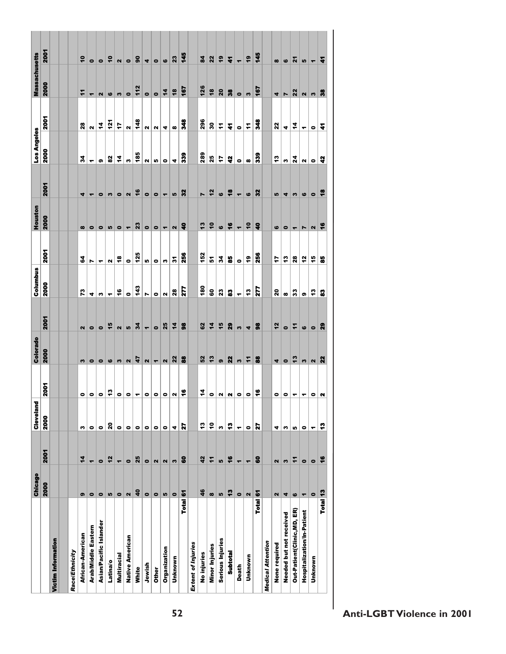|                            | <b>Chicago</b>           |                          | Cleveland   |                                                              | Colorado                  |                         | Columbus                 |                            | Houston                                      |                          | Los Angeles   |                              | <b>Massachusetts</b>                                                                                                                                                                                                                                                                                                                                                                                                                                                       |                          |
|----------------------------|--------------------------|--------------------------|-------------|--------------------------------------------------------------|---------------------------|-------------------------|--------------------------|----------------------------|----------------------------------------------|--------------------------|---------------|------------------------------|----------------------------------------------------------------------------------------------------------------------------------------------------------------------------------------------------------------------------------------------------------------------------------------------------------------------------------------------------------------------------------------------------------------------------------------------------------------------------|--------------------------|
|                            | 2000                     | 2001                     | <b>2000</b> | 2001                                                         | 2000                      | 2001                    | 2000                     | 2001                       | 2000                                         | 2001                     | 2000          | <b>2001</b>                  | 2000                                                                                                                                                                                                                                                                                                                                                                                                                                                                       | 2001                     |
| Victim Information         |                          |                          |             |                                                              |                           |                         |                          |                            |                                              |                          |               |                              |                                                                                                                                                                                                                                                                                                                                                                                                                                                                            |                          |
|                            |                          |                          |             |                                                              |                           |                         |                          |                            |                                              |                          |               |                              |                                                                                                                                                                                                                                                                                                                                                                                                                                                                            |                          |
| Race/Ethnicity             |                          |                          |             |                                                              |                           |                         |                          |                            |                                              |                          |               |                              |                                                                                                                                                                                                                                                                                                                                                                                                                                                                            |                          |
| African-American           | ၜ                        | $\frac{1}{4}$            | w           | $\bullet$                                                    | $\mathbf{m}$              | $\mathbf{N}$            | 73                       | \$4                        | $\infty$                                     | 4                        | z             | $\mathbf{23}$                | ÷                                                                                                                                                                                                                                                                                                                                                                                                                                                                          | $\overline{\bullet}$     |
| Arab/Middle Eastern        | $\bullet$                | $\overline{\phantom{0}}$ | $\bullet$   | $\bullet$                                                    | $\bullet$                 | $\bullet$               | 4                        | N                          | $\bullet$                                    | ۳                        | ۳             | $\mathbf{a}$                 | $\blacksquare$                                                                                                                                                                                                                                                                                                                                                                                                                                                             | $\bullet$                |
| Asian/Pacific Islander     | $\bullet$                | $\bullet$                | $\bullet$   |                                                              | $\bullet$                 | $\bullet$               | S                        | $\blacktriangledown$       | $\bullet$                                    | $\bullet$                | ക             | 4                            | $\mathbf{N}$                                                                                                                                                                                                                                                                                                                                                                                                                                                               | $\bullet$                |
| Latina/o                   | 5                        | 12                       | ន           | $\frac{1}{2}$                                                |                           | 15                      | $\overline{\phantom{0}}$ | $\vert$                    |                                              | $\boldsymbol{\omega}$    | 82            | $\frac{5}{121}$              |                                                                                                                                                                                                                                                                                                                                                                                                                                                                            | $\ddot{\bullet}$         |
| Multiracial                | $\bullet$                | $\overline{ }$           | $\bullet$   |                                                              |                           | $\mathbf{N}$            | $\frac{6}{7}$            | $\overset{\circ}{\bullet}$ |                                              | $\bullet$                | 4             | 47                           | $\circ$ ന $\vert$                                                                                                                                                                                                                                                                                                                                                                                                                                                          | $\mathbf{N}$             |
| Native American            | $\mathbf{a}$             | $\bullet$                | $\bullet$   | $\circ  \circ _{\tau}  \circ _{\circ}  \circ _{\mathsf{N}} $ | 6 0 0 4                   | $\frac{2}{3}$           | $\bullet$                | $rac{1}{125}$              | $\frac{1}{10}$ $\frac{1}{10}$ $\frac{1}{10}$ | $\frac{1}{2}$            | $\bullet$     | $\vert$                      | $\frac{1}{112}$                                                                                                                                                                                                                                                                                                                                                                                                                                                            | $\bullet$                |
| White                      | $\overline{\mathbf{a}}$  | 25                       | $\bullet$   |                                                              |                           |                         | 143                      |                            |                                              |                          | 185           | 148                          |                                                                                                                                                                                                                                                                                                                                                                                                                                                                            | $\overline{90}$          |
| Jewish                     | $\bullet$                | $\bullet$                | ۰           |                                                              | $\frac{1}{2}$             | $\blacksquare$          | N                        | ທ∣                         |                                              | $\bullet$                | N             | $\mathbf{N}$                 |                                                                                                                                                                                                                                                                                                                                                                                                                                                                            | $\blacktriangledown$     |
| <b>Other</b>               | $\bullet$                | $\mathbf{\Omega}$        | $\bullet$   |                                                              |                           | $\bullet$               | $\bullet$                | $\bullet$                  |                                              | $\bullet$                | r.            | $\sim$                       | 007                                                                                                                                                                                                                                                                                                                                                                                                                                                                        | $\bullet$                |
| Organization               | LO.                      | $\mathbf{a}$             | $\bullet$   |                                                              | $\sim$                    | $\frac{1}{25}$          | $\mathbf{N}$             | S                          |                                              | $\overline{\phantom{a}}$ | $\bullet$     | $4 \mid \infty$              |                                                                                                                                                                                                                                                                                                                                                                                                                                                                            | $\bullet$                |
| Unknown                    | $\bullet$                | w                        | 4           |                                                              | $22$ 88                   | $\frac{4}{4}$           | ${\bf 28}$               | $\frac{1}{\epsilon}$       | $00-107$                                     | 10                       | 4             |                              | $\frac{1}{2}$                                                                                                                                                                                                                                                                                                                                                                                                                                                              | 23                       |
| Total 61                   |                          | 8                        | 21          | $\bullet$                                                    |                           | $\frac{8}{9}$           | $\overline{z}$           | 256                        |                                              | $\boldsymbol{32}$        | 339           | <b>g</b>                     | 167                                                                                                                                                                                                                                                                                                                                                                                                                                                                        | 145                      |
| <b>Extent of Injuries</b>  |                          |                          |             |                                                              |                           |                         |                          |                            |                                              |                          |               |                              |                                                                                                                                                                                                                                                                                                                                                                                                                                                                            |                          |
| No injuries                | 46                       | 42                       | 13          | 2                                                            | 52                        | 62                      | 30                       | 152                        | $\frac{3}{2}$                                | N                        | 289           | 296                          | 126                                                                                                                                                                                                                                                                                                                                                                                                                                                                        | $\frac{84}{3}$           |
| <b>Minor Injuries</b>      | $\pmb{\infty}$           | $\overline{r}$           | Ş           | $\bullet$                                                    | 13                        | $\overline{\bf 4}$      | 60                       | 오                          | $\overline{\phantom{a}}$                     | 12                       | 25            | $\bf{30}$                    | $\overset{\circ}{\bullet}$                                                                                                                                                                                                                                                                                                                                                                                                                                                 | 22                       |
| Serious Injuries           | LO.                      | LO.                      | S           |                                                              |                           | 15                      | $\boldsymbol{23}$        | 34                         | $\frac{1}{2}$                                | $\bullet$                | 47            | F                            |                                                                                                                                                                                                                                                                                                                                                                                                                                                                            | $\frac{9}{2}$            |
| <b>Subtotal</b>            | e,                       | $\bullet$                | e           | $\mathbf{N} \mathbf{N} \mathbf{O} $                          | ໑ $ \mathbf{N} $          | 29                      | 3                        | 8                          |                                              | $\bullet$                | $\ddot{ }$    | ź.                           | $\frac{1}{2}$                                                                                                                                                                                                                                                                                                                                                                                                                                                              | $\ddot{\phantom{0}}$     |
| Death                      | $\bullet$                | $\overline{\phantom{0}}$ | ٠           |                                                              | $\omega$                  | $\bullet$               | $\ddot{\phantom{0}}$     | $\bullet$                  | $\blacksquare$                               | $\blacksquare$           | $\bullet$     | $\bullet$                    | $\circ$ $\circ$                                                                                                                                                                                                                                                                                                                                                                                                                                                            | $\overline{\phantom{a}}$ |
| Unknown                    | $\mathbf{\Omega}$        | $\overline{ }$           | $\bullet$   | $  \circ  $ දී                                               | F                         | $\blacktriangleleft$    | $\ddot{5}$               | e,                         | $\frac{1}{2}$                                | $\bullet$                | $\infty$      | $\overline{\mathbf{r}}$      |                                                                                                                                                                                                                                                                                                                                                                                                                                                                            | $\overline{19}$          |
| <b>Total</b>               | $\epsilon$               | 8                        | 21          |                                                              | 8                         | $\frac{8}{9}$           | 277                      | 256                        | $\ddot{\bm{s}}$                              | $\boldsymbol{3}$         | 339           | 348                          | $\frac{167}{167}$                                                                                                                                                                                                                                                                                                                                                                                                                                                          | 145                      |
| <b>Medical Attention</b>   |                          |                          |             |                                                              |                           |                         |                          |                            |                                              |                          |               |                              |                                                                                                                                                                                                                                                                                                                                                                                                                                                                            |                          |
| None required              | $\mathbf{a}$             | 2                        | 4           | $\circ$ $\circ$                                              | 4                         | 12                      | ន                        | t                          |                                              | ທ∣                       | 43            | $\mathbf{22}$                |                                                                                                                                                                                                                                                                                                                                                                                                                                                                            | $\infty$                 |
| Needed but not received    | 4                        | S                        | w           |                                                              | $\bullet$                 | $\bullet$               | $\infty$                 | $\ddot{ }$                 | $\circ$ $\circ$                              | 4                        | w             | 4                            |                                                                                                                                                                                                                                                                                                                                                                                                                                                                            | $\bullet$                |
| Out-Patient(Clinic,MD, ER) | ဖ                        | ÷                        | 5           |                                                              | 13                        | $\overline{\mathbf{r}}$ | $3^{\circ}$              | $\mathbf{28}$              | $\mathbf{r}$                                 | 3                        | $\frac{3}{4}$ | $\left  \frac{4}{5} \right $ |                                                                                                                                                                                                                                                                                                                                                                                                                                                                            | $\mathbf{z}$             |
| Hospitalization/In-Patient | $\overline{\phantom{0}}$ | $\bullet$                | $\bullet$   | $\frac{1}{2}$                                                |                           | $\bullet$               | ക                        | 57                         | $\blacktriangleright$                        | 6                        | $\mathbf{N}$  | ٠                            |                                                                                                                                                                                                                                                                                                                                                                                                                                                                            | LO.                      |
| Unknown                    | $\bullet$                | $\bullet$                | ٠           | $\bullet$                                                    | $\frac{1}{2}$             | $\bullet$               | $\frac{1}{2}$            | 45                         | $\sim$                                       | $\bullet$                | $\bullet$     | $\bullet$                    | $\frac{1}{2} \left  \frac{1}{2} \right  \left  \frac{1}{2} \right  \left  \frac{1}{2} \right  \left  \frac{1}{2} \right  \left  \frac{1}{2} \right  \left  \frac{1}{2} \right  \left  \frac{1}{2} \right  \left  \frac{1}{2} \right  \left  \frac{1}{2} \right  \left  \frac{1}{2} \right  \left  \frac{1}{2} \right  \left  \frac{1}{2} \right  \left  \frac{1}{2} \right  \left  \frac{1}{2} \right  \left  \frac{1}{2} \right  \left  \frac{1}{2} \right  \left  \frac$ | $\blacktriangledown$     |
| Total 13                   |                          | $\bullet$                | e           | N                                                            | $\boldsymbol{\mathsf{z}}$ | $\boldsymbol{z}$        | 8                        | 8                          | $\bullet$                                    | $\bullet$                | $\ddot{ }$    | ź.                           |                                                                                                                                                                                                                                                                                                                                                                                                                                                                            | $\ddot{ }$               |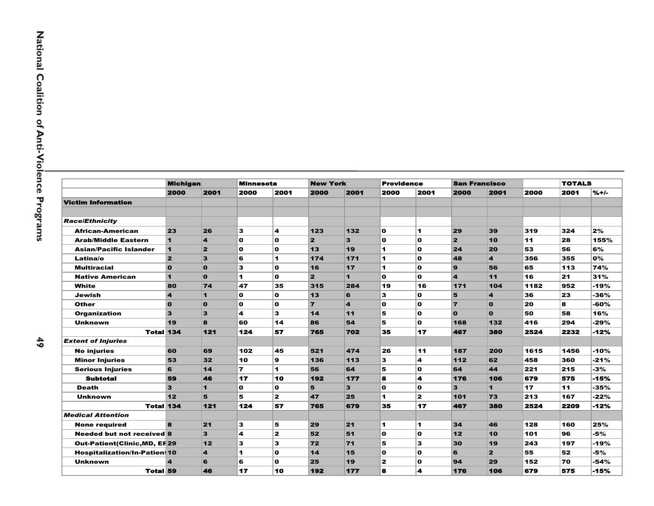|                                     | <b>Michigan</b>         |                         | <b>Minnesota</b> |                         | <b>New York</b>         |      | <b>Providence</b> |                  |                         | <b>San Francisco</b>    |      | <b>TOTALS</b> |         |
|-------------------------------------|-------------------------|-------------------------|------------------|-------------------------|-------------------------|------|-------------------|------------------|-------------------------|-------------------------|------|---------------|---------|
|                                     | 2000                    | 2001                    | 2000             | 2001                    | 2000                    | 2001 | 2000              | 2001             | 2000                    | 2001                    | 2000 | 2001          | $% + -$ |
| <b>Victim Information</b>           |                         |                         |                  |                         |                         |      |                   |                  |                         |                         |      |               |         |
|                                     |                         |                         |                  |                         |                         |      |                   |                  |                         |                         |      |               |         |
| <b>Race/Ethnicity</b>               |                         |                         |                  |                         |                         |      |                   |                  |                         |                         |      |               |         |
| African-American                    | 23                      | 26                      | 3                | 4                       | 123                     | 132  | $\mathbf{o}$      | 1                | 29                      | 39                      | 319  | 324           | 2%      |
| <b>Arab/Middle Eastern</b>          | $\mathbf{1}$            | $\overline{\mathbf{4}}$ | O                | $\mathbf o$             | $\mathbf{2}$            | 3    | O                 | $\mathbf{o}$     | $\overline{\mathbf{2}}$ | 10                      | 11   | 28            | 155%    |
| <b>Asian/Pacific Islander</b>       | $\blacksquare$          | $\overline{2}$          | O                | $\mathbf o$             | 13                      | 19   | 1                 | O                | 24                      | 20                      | 53   | 56            | 6%      |
| Latina/o                            | $\overline{\mathbf{2}}$ | $\overline{\mathbf{3}}$ | 6                | $\blacktriangleleft$    | 174                     | 171  | $\blacksquare$    | $\mathbf{o}$     | 48                      | $\overline{\mathbf{4}}$ | 356  | 355           | 0%      |
| <b>Multiracial</b>                  | $\mathbf{o}$            | $\mathbf{o}$            | 3                | $\mathbf o$             | 16                      | 17   | 1                 | O                | 9                       | 56                      | 65   | 113           | 74%     |
| <b>Native American</b>              | $\mathbf{1}$            | $\Omega$                | 1.               | O                       | $\overline{\mathbf{z}}$ | 1    | $\Omega$          | O                | $\boldsymbol{4}$        | 11                      | 16   | 21            | 31%     |
| White                               | 80                      | 74                      | 47               | 35                      | 315                     | 284  | 19                | 16               | 171                     | 104                     | 1182 | 952           | -19%    |
| Jewish                              | $\overline{\mathbf{4}}$ | $\blacksquare$          | O                | O                       | 13                      | 6    | 3                 | 0                | 5                       | $\overline{\mathbf{A}}$ | 36   | 23            | -36%    |
| Other                               | $\mathbf{o}$            | $\bf{0}$                | O                | $\mathbf o$             | $\overline{7}$          | 4    | O                 | O                | $\overline{7}$          | $\bf{0}$                | 20   | 8             | -60%    |
| <b>Organization</b>                 | 3                       | $\overline{\mathbf{3}}$ | 4                | 3                       | 14                      | 11   | 5                 | O                | $\Omega$                | $\Omega$                | 50   | 58            | 16%     |
| <b>Unknown</b>                      | 19                      | 8                       | 60               | 14                      | 86                      | 54   | 5                 | $\mathbf{o}$     | 168                     | 132                     | 416  | 294           | -29%    |
| <b>Total 134</b>                    |                         | 121                     | 124              | 57                      | 765                     | 702  | 35                | 17               | 467                     | 380                     | 2524 | 2232          | $-12%$  |
| <b>Extent of Injuries</b>           |                         |                         |                  |                         |                         |      |                   |                  |                         |                         |      |               |         |
| <b>No injuries</b>                  | 60                      | 69                      | 102              | 45                      | 521                     | 474  | 26                | 11               | 187                     | 200                     | 1615 | 1456          | -10%    |
| <b>Minor Injuries</b>               | 53                      | 32                      | 10               | 9                       | 136                     | 113  | 3                 | 4                | $112$                   | 62                      | 458  | 360           | $-21%$  |
| <b>Serious Injuries</b>             | 6                       | 14                      | 7                | 1                       | 56                      | 64   | 5                 | O                | 64                      | 44                      | 221  | 215           | -3%     |
| <b>Subtotal</b>                     | 59                      | 46                      | 17               | 10                      | 192                     | 177  | 8                 | 4                | 176                     | 106                     | 679  | 575           | -15%    |
| <b>Death</b>                        | $\mathbf{3}$            | $\blacksquare$          | O                | $\mathbf{o}$            | 5                       | 3    | O                 | $\mathbf{o}$     | 3                       | 1                       | 17   | 11            | -35%    |
| <b>Unknown</b>                      | 12                      | 5                       | 5                | $\mathbf{z}$            | 47                      | 25   | 1                 | $\mathbf{z}$     | 101                     | 73                      | 213  | 167           | $-22%$  |
| <b>Total 134</b>                    |                         | 121                     | 124              | 57                      | 765                     | 679  | 35                | 17               | 467                     | 380                     | 2524 | 2209          | $-12%$  |
| <b>Medical Attention</b>            |                         |                         |                  |                         |                         |      |                   |                  |                         |                         |      |               |         |
| <b>None required</b>                | <b>B</b>                | 21                      | 3                | 5                       | 29                      | 21   | 1                 | $\mathbf 1$      | 34                      | 46                      | 128  | 160           | 25%     |
| <b>Needed but not received 8</b>    |                         | $\overline{\mathbf{3}}$ | 4                | $\overline{\mathbf{z}}$ | 52                      | 51   | $\mathbf o$       | $\mathbf{o}$     | 12                      | 10                      | 101  | 96            | -5%     |
| <b>Out-Patient(Clinic,MD, EF29</b>  |                         | $12$                    | 3                | 3                       | 72                      | 71   | 5                 | 3                | 30                      | 19                      | 243  | 197           | -19%    |
| <b>Hospitalization/In-Patien 10</b> |                         | 4                       | 1                | O                       | 14                      | 15   | O                 | O                | 6                       | $\overline{2}$          | 55   | 52            | -5%     |
| <b>Unknown</b>                      | $\boldsymbol{4}$        | 6                       | 6                | O                       | 25                      | 19   | $\mathbf{z}$      | $\mathbf{o}$     | 94                      | 29                      | 152  | 70            | $-54%$  |
| <b>Total 59</b>                     |                         | 46                      | 17               | 10                      | 192                     | 177  | 8                 | $\blacktriangle$ | 176                     | 106                     | 679  | 575           | $-15%$  |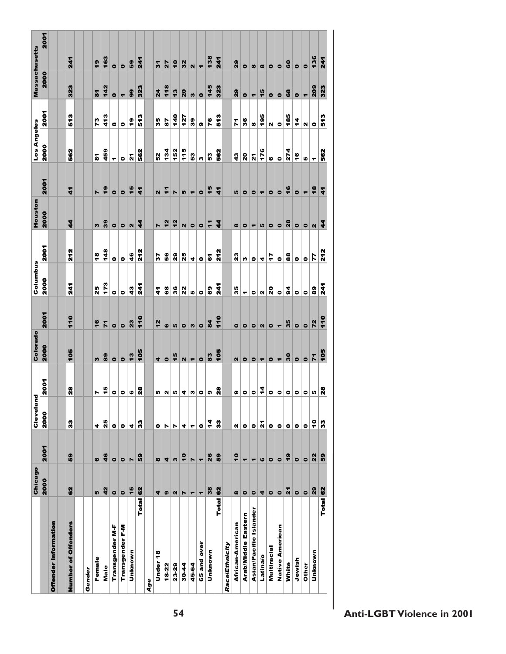|                        | Chicago              |                          | Cleveland |                  | Colorado             |                          | Columbus          |               | Houston          |                      | Los Angeles             |                       | <b>Massachusetts</b>    |                  |
|------------------------|----------------------|--------------------------|-----------|------------------|----------------------|--------------------------|-------------------|---------------|------------------|----------------------|-------------------------|-----------------------|-------------------------|------------------|
|                        | 2000                 | 2001                     | 2000      | 2001             | 2000                 | <b>2001</b>              | 2000              | <b>2007</b>   | 2000             | 2001                 | 2000                    | <b>2001</b>           | 2000                    | <b>2001</b>      |
| Offender Information   |                      |                          |           |                  |                      |                          |                   |               |                  |                      |                         |                       |                         |                  |
|                        |                      |                          |           |                  |                      |                          |                   |               |                  |                      |                         |                       |                         |                  |
| Number of Offenders    | 62                   | 6                        | 3         | 28               | 105                  | 110                      | $\overline{241}$  | 212           | 1                | 5                    | 562                     | 573                   | 323                     | 241              |
|                        |                      |                          |           |                  |                      |                          |                   |               |                  |                      |                         |                       |                         |                  |
| Gender                 |                      |                          |           |                  |                      |                          |                   |               |                  |                      |                         |                       |                         |                  |
| Female                 | LO,                  | ဖ                        | 4         | N                | w                    | 16                       | 25                | $\frac{8}{1}$ | w                | r                    | $\overline{\mathbf{3}}$ | 73                    | $\overline{\mathbf{3}}$ | $\frac{6}{1}$    |
| Male                   | 42                   | 46                       | 25        | 45               | 89                   | 71                       | 173               | 148           | 39               | $\frac{6}{5}$        | 459                     | 413                   | 142                     | 163              |
| Transgender M-F        | $\bullet$            | $\bullet$                | $\bullet$ | $\bullet$        | $\bullet$            | $\bullet$                | $\bullet$         | $\bullet$     | $\bullet$        | $\bullet$            | ۳                       | $\boldsymbol{\omega}$ | $\bullet$               | $\bullet$        |
| Transgender F-M        | $\bullet$            | $\bullet$                | $\bullet$ | $\bullet$        | $\bullet$            | $\bullet$                | $\bullet$         | $\bullet$     | $\bullet$        | $\bullet$            | ۰                       | $\bullet$             | $\blacktriangledown$    | $\bullet$        |
| Unknown                | $\frac{5}{3}$        | Z                        | 4         | ဖ                | 13                   | 23                       | $\boldsymbol{43}$ | 46            | $\mathbf N$      | $\frac{1}{6}$        | $\mathbf{z}$            | $\frac{6}{1}$         | 99                      | 59               |
| <b>Total</b>           | 62                   | 69                       | នី        | $\boldsymbol{a}$ | 105                  | 110                      | 741<br>7          | 212           | 4                | 4                    | 562<br>50               | 573                   | 323                     | 241              |
| Age                    |                      |                          |           |                  |                      |                          |                   |               |                  |                      |                         |                       |                         |                  |
| Under 18               | 4                    | $\pmb{\infty}$           | ۰         | r.               | 4                    | $\frac{2}{3}$            | 4                 | 25            | N                | 2                    | 52                      | 35                    | $\overline{2}$ 4        | 51               |
| 18-22                  | Ø                    | 4                        | N         | N                | $\bullet$            | ဖ                        | 68                | 56            | $\frac{2}{3}$    | $\mathbf{r}$         | 134                     | 57                    | 118                     | 27               |
| 23-29                  | $\mathbb{N}$         | S                        | N         | ທ∣               | $\frac{1}{5}$        | LO,                      | 36                | ನಿ            | $\frac{2}{3}$    | Z                    | 152                     | $rac{1}{4}$           | $\frac{3}{2}$           | $\ddot{\bullet}$ |
| $30 - 44$              | Z                    | $\frac{1}{2}$            | 4         | 4                | $\mathbf{N}$         | $\bullet$                | 22                | 25            | N                | LO,                  | 115                     | 127                   | 20                      | 32               |
| 45-64                  | ۳                    | N                        | ٣         |                  | ۳                    | S                        | IĄ                | 4             | $\bullet$        | ۳                    | 53                      | 39                    | w                       | $\mathbf{N}$     |
| 65 and over            | $\blacktriangledown$ | $\overline{\phantom{a}}$ | $\bullet$ | m 0 0            | $\bullet$            | $\bullet$                | $\bullet$         | $\bullet$     | $\bullet$        | $\bullet$            | n                       | G)                    | $\bullet$               | $\blacksquare$   |
| Unknown                | 38                   | 26                       | 4         |                  | 83                   | 84                       | 69                | 6             | $\ddot{r}$       | 15                   | 53                      | 76                    | 145                     | 138              |
| Total                  | 62                   | 6                        | 3         | $\boldsymbol{a}$ | $rac{6}{5}$          | $\frac{6}{1}$            | $\frac{1}{2}$     | 212           | $\boldsymbol{A}$ | $\ddot{\phantom{0}}$ | 562                     | 513                   | 323                     | 241              |
| Race/Ethnicity         |                      |                          |           |                  |                      |                          |                   |               |                  |                      |                         |                       |                         |                  |
| African-American       | $\pmb{\infty}$       | $\frac{1}{2}$            | N         | G)               | $\mathbf{N}$         | $\bullet$                | 35                | ្ល            | $\pmb{\infty}$   | LO,                  | $\frac{3}{4}$           | $\mathbf{r}$          | 29                      | 29               |
| Arab/Middle Eastern    | $\bullet$            | ۳                        | $\bullet$ | $\circ$ $\circ$  | $\bullet$            | $\bullet$                | ۳                 | w             | $\bullet$        | $\bullet$            | $\overline{a}$          | 36                    | $\bullet$               | $\bullet$        |
| Asian/Pacific Islander | $\bullet$            | ۳                        | $\bullet$ |                  | $\bullet$            | $\bullet$                | $\bullet$         | $\bullet$     | ٣                | $\bullet$            | 21                      | $\pmb{\infty}$        | $\blacktriangledown$    | $\pmb{\omega}$   |
| Latina/o               | 4                    | $\boldsymbol{\omega}$    | ř         | 4                | $\blacktriangledown$ | $\mathbf{N}$             | N                 | 4             | Iņ,              | ۳                    | 176                     | 195                   | $\frac{1}{5}$           | $\pmb{\infty}$   |
| Multiracial            | $\bullet$            | $\bullet$                | $\bullet$ | $\bullet$        | $\bullet$            | $\bullet$                | 20                | 47            | $\bullet$        | $\bullet$            | $\bullet$               | N                     | $\bullet$               | $\bullet$        |
| Native American        | $\bullet$            | $\bullet$                | ۰         | $\bullet$        | ۳                    | $\overline{\phantom{0}}$ | $\bullet$         | $\bullet$     | $\bullet$        | $\bullet$            | $\bullet$               | $\bullet$             | $\bullet$               | $\bullet$        |
| White                  | $\mathbf{z}$         | $\frac{1}{2}$            | $\bullet$ | $\bullet$        | 30                   | 35                       | $\overline{a}$    | 88            | 28               | 16                   | 274                     | 185                   | 68                      | <b>GO</b>        |
| Jewish                 | $\bullet$            | $\bullet$                | ۰         | 0                | $\bullet$            | $\bullet$                | $\bullet$         | $\bullet$     | $\bullet$        | $\bullet$            | $\frac{6}{1}$           | 4                     | $\bullet$               | $\bullet$        |
| Other                  | $\bullet$            | $\bullet$                | $\bullet$ | $\bullet$        | $\bullet$            | $\bullet$                | $\bullet$         | $\bullet$     | $\bullet$        | $\blacksquare$       | r)                      | И                     | $\overline{\mathbf{r}}$ | $\bullet$        |
| Unknown                | 29                   | 22                       | ę         | Iņ,              | $\mathbf{r}$         | 72                       | 89                | 77            | $\mathbf N$      | $\frac{8}{1}$        | ۳                       | $\bullet$             | 209                     | 136              |
| Total                  | 62                   | 6                        | 3         | 28               | 105                  | $\frac{1}{2}$            | $\frac{1}{2}$     | 212           | $\boldsymbol{4}$ | $\ddot{\bm{r}}$      | 562                     | 513                   | 323                     | $\overline{3}$   |
|                        |                      |                          |           |                  |                      |                          |                   |               |                  |                      |                         |                       |                         |                  |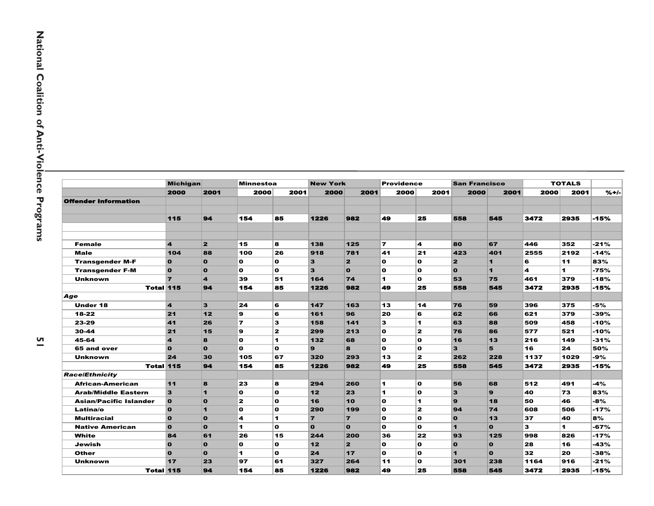|                               | <b>Michigan</b>         |                         | <b>Minnestoa</b> |             | <b>New York</b> |                         | <b>Providence</b> |             | <b>San Francisco</b>    |                      |      | <b>TOTALS</b> |         |
|-------------------------------|-------------------------|-------------------------|------------------|-------------|-----------------|-------------------------|-------------------|-------------|-------------------------|----------------------|------|---------------|---------|
|                               | 2000                    | 2001                    | 2000             | 2001        | 2000            | 2001                    | 2000              | 2001        | 2000                    | 2001                 | 2000 | 2001          | $% + -$ |
| Offender Information          |                         |                         |                  |             |                 |                         |                   |             |                         |                      |      |               |         |
|                               |                         |                         |                  |             |                 |                         |                   |             |                         |                      |      |               |         |
|                               | 115                     | 94                      | 154              | 85          | 1226            | 982                     | 49                | 25          | 558                     | 545                  | 3472 | 2935          | -15%    |
|                               |                         |                         |                  |             |                 |                         |                   |             |                         |                      |      |               |         |
|                               |                         |                         |                  |             |                 |                         |                   |             |                         |                      |      |               |         |
| <b>Female</b>                 | $\overline{\mathbf{4}}$ | $\overline{2}$          | 15               | 8l          | 138             | 125                     | 7                 | 4           | 80                      | 67                   | 446  | 352           | $-21%$  |
| <b>Male</b>                   | 104                     | 88                      | 100              | 26          | 918             | 781                     | 41                | 21          | 423                     | 401                  | 2555 | 2192          | $-14%$  |
| <b>Transgender M-F</b>        | $\mathbf{o}$            | $\mathbf{o}$            | O                | $\mathbf o$ | 3               | $\overline{\mathbf{z}}$ | $\mathbf{o}$      | $\mathbf o$ | $\overline{\mathbf{z}}$ | $\mathbf{1}$         | 6    | 11            | 83%     |
| <b>Transgender F-M</b>        | $\mathbf{o}$            | $\mathbf{o}$            | O                | $\mathbf o$ | 3               | $\mathbf{o}$            | $\mathbf{o}$      | O           | $\bullet$               | $\blacktriangleleft$ | 4    | 1             | $-75%$  |
| <b>Unknown</b>                | $\overline{7}$          | $\overline{\mathbf{4}}$ | 39               | 51          | 164             | 74                      | 1                 | O           | 53                      | 75                   | 461  | 379           | $-18%$  |
| <b>Total 115</b>              |                         | 94                      | 154              | 85          | 1226            | 982                     | 49                | 25          | 558                     | 545                  | 3472 | 2935          | -15%    |
| Age                           |                         |                         |                  |             |                 |                         |                   |             |                         |                      |      |               |         |
| <b>Under 18</b>               | $\overline{\mathbf{4}}$ | $\overline{\mathbf{3}}$ | 24               | 6           | 147             | 163                     | 13                | 14          | 76                      | 59                   | 396  | 375           | -5%     |
| 18-22                         | 21                      | $12$                    | 9                | 6           | 161             | 96                      | 20                | 6           | 62                      | 66                   | 621  | 379           | -39%    |
| 23-29                         | 41                      | 26                      | $\overline{ }$   | 3           | 158             | 141                     | 3                 | 1           | 63                      | 88                   | 509  | 458           | -10%    |
| $30 - 44$                     | 21                      | 15                      | 9                | 2           | 299             | 213                     | $\Omega$          | 2           | 76                      | 86                   | 577  | 521           | $-10%$  |
| 45-64                         | $\overline{\mathbf{4}}$ | $\bf{a}$                | O                | 1           | 132             | 68                      | $\mathbf{o}$      | O           | 16                      | 13                   | 216  | 149           | -31%    |
| 65 and over                   | $\mathbf{o}$            | $\mathbf{o}$            | O                | l O         | 9               | 8                       | $\mathbf{o}$      | O           | 3                       | 5                    | 16   | 24            | 50%     |
| <b>Unknown</b>                | 24                      | 30                      | 105              | 67          | 320             | 293                     | 13                | 2           | 262                     | 228                  | 1137 | 1029          | -9%     |
| <b>Total 115</b>              |                         | 94                      | 154              | 85          | 1226            | 982                     | 49                | 25          | 558                     | 545                  | 3472 | 2935          | -15%    |
| <b>Race/Ethnicity</b>         |                         |                         |                  |             |                 |                         |                   |             |                         |                      |      |               |         |
| African-American              | 11                      | 8                       | 23               | 8           | 294             | 260                     | 1                 | n.          | 56                      | 68                   | 512  | 491           | $-4%$   |
| <b>Arab/Middle Eastern</b>    | 3                       | $\blacksquare$          | O                | $\mathbf o$ | 12              | 23                      | 1                 | O           | 3                       | 9                    | 40   | 73            | 83%     |
| <b>Asian/Pacific Islander</b> | $\bullet$               | $\mathbf{o}$            | $\overline{2}$   | l O         | 16              | 10                      | $\mathbf{o}$      | 1           | 9                       | 18                   | 50   | 46            | -8%     |
| Latina/o                      | $\overline{\mathbf{o}}$ | $\blacksquare$          | O                | l O         | 290             | 199                     | $\mathbf{o}$      | 2           | 94                      | 74                   | 608  | 506           | $-17%$  |
| <b>Multiracial</b>            | $\mathbf{o}$            | $\mathbf{o}$            | 4                | 1           | $\overline{7}$  | $\overline{7}$          | $\Omega$          | $\Omega$    | $\mathbf{o}$            | 13                   | 37   | 40            | 8%      |
| <b>Native American</b>        | $\mathbf{o}$            | $\mathbf{o}$            | 1.               | l O         | $\Omega$        | $\mathbf{o}$            | $\mathbf{o}$      | n.          | $\blacksquare$          | $\Omega$             | 3    | 1             | -67%    |
| White                         | 84                      | 61                      | 26               | 15          | 244             | 200                     | 36                | 22          | 93                      | 125                  | 998  | 826           | $-17%$  |
| Jewish                        | $\mathbf{o}$            | $\mathbf{o}$            | O                | O           | 12              | $\overline{\mathbf{z}}$ | $\mathbf{o}$      | O           | $\mathbf{o}$            | $\mathbf{o}$         | 28   | 16            | $-43%$  |
| Other                         | $\mathbf{o}$            | $\mathbf{o}$            | 1                | O           | 24              | 17                      | $\mathbf{o}$      | O           | $\blacksquare$          | $\mathbf{o}$         | 32   | 20            | $-38%$  |
| <b>Unknown</b>                | 17                      | 23                      | 97               | 61          | 327             | 264                     | 11                | $\mathbf o$ | 301                     | 238                  | 1164 | 916           | $-21%$  |
| <b>Total 115</b>              |                         | 94                      | 154              | 85          | 1226            | 982                     | 49                | 25          | 558                     | 545                  | 3472 | 2935          | $-15%$  |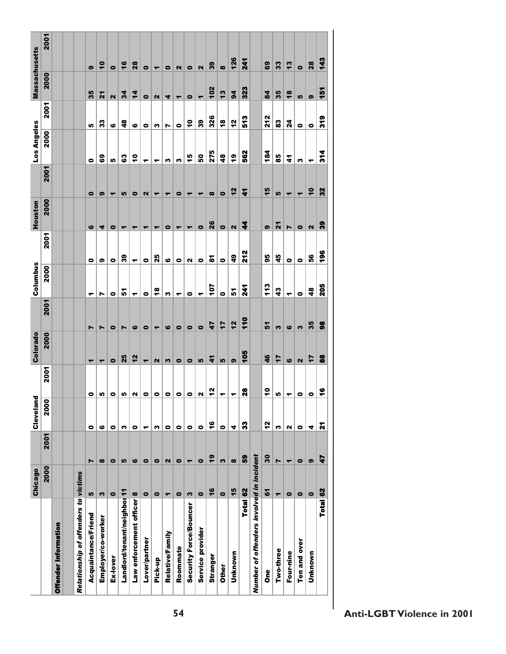| 2001<br>126<br>143<br>$\overline{241}$<br>28<br>$\frac{6}{5}$<br>13<br>$\overline{\phantom{0}}$<br>28<br>69<br>33<br>39<br>$\bullet$<br>$\bullet$<br>ශ<br>$\overline{\mathbf{r}}$<br>$\infty$<br>$\bullet$<br>$\bullet$<br>$\mathbf{z}$<br>$\bullet$<br>٠<br>2000<br>102<br>323<br><u>ie</u><br>13<br>94<br>84<br>35<br>$\frac{8}{3}$<br>35<br>34<br>4<br>$\mathbf{z}$<br>$\overline{\mathbf{N}}$<br>LO,<br>$\bullet$<br>$\mathbf{\Omega}$<br>4<br>$\bullet$<br>ඉ<br>$\overline{\phantom{0}}$<br>٣<br>2001<br>326<br><b>212</b><br>319<br>513<br>39<br>12<br>$\frac{1}{2}$<br>$\frac{8}{1}$<br>83<br>24<br>33<br>48<br>$\ddot{\circ}$<br>LO,<br>ဖ<br>$\bullet$<br>$\bullet$<br>$\bullet$<br>$\bullet$<br>w<br>N<br>2000<br>184<br>275<br>562<br>314<br>ę,<br>å<br>45<br>48<br>85<br>ශී<br>50<br>ෂී<br>4<br>In<br>$\bullet$<br>3<br>n<br>S<br>↽<br>ᡪ<br>↽<br>2001<br>15<br>32<br>12<br>$\ddot{\bullet}$<br>4<br>L,<br>$\infty$<br>$\bullet$<br>$\blacksquare$<br>$\bullet$<br>ග<br>L,<br>$\bullet$<br>2<br>$\bullet$<br>$\blacktriangledown$<br>٣<br>٠<br>٠<br>٣<br>٣<br>2000<br>26<br>8<br>4<br>24<br>$\mathbf{\Omega}$<br>$\bullet$<br>$\bullet$<br>$\overline{\mathbf{z}}$<br>$\bullet$<br>ග<br>Z<br>ဖ<br>4<br>$\bullet$<br>$\bullet$<br>٣<br>᠆<br>٠<br>٠<br>$\overline{\phantom{a}}$<br>٠<br>2001<br><b>\$6</b><br><b>212</b><br>56<br>25<br>$\frac{6}{4}$<br>95<br>39<br>45<br>$\overline{\bullet}$<br>ဖ<br>$\bullet$<br>$\bullet$<br>$\bullet$<br>$\bullet$<br>ග<br>$\bullet$<br>$\bullet$<br>0<br>и<br>$\bullet$<br>٣<br>2000<br>113<br>205<br>107<br>$\frac{241}{2}$<br>$\frac{8}{1}$<br>43<br>$\frac{4}{8}$<br>5<br>5<br>$\bullet$<br>$\bullet$<br>w<br>$\bullet$<br>$\bullet$<br>0<br>٣<br>٣<br>٣<br>↽<br>N<br>↽<br>2001<br>110<br>12<br>35<br>88<br>17<br>$\overline{47}$<br>5<br>$\bullet$<br>S<br>ဖ<br>ဖ<br>$\bullet$<br>$\bullet$<br>S<br>ဖ<br>Z<br>$\bullet$<br>N<br>$\bullet$<br>N<br>٠<br>2000<br>105<br>25<br>12<br>46<br>88<br>17<br>7<br>4<br>LO,<br>ශ<br>ဖ<br>$\mathbf{\Omega}$<br>$\bullet$<br>$\mathbf{a}$<br>w<br>$\bullet$<br>$\bullet$<br><b>In</b><br>$\overline{\phantom{a}}$<br>٠<br>$\blacktriangledown$<br>2001<br>Ş<br>$\bullet$<br>2<br>28<br>$\bullet$<br>$\bullet$<br>$\bullet$<br>$\bullet$<br>Z<br>Iņ,<br>$\bullet$<br>$\bullet$<br>$\bullet$<br>Ю<br>0<br>LO,<br>u<br>۰<br>٣<br>↽<br>٣<br>$\overline{\bullet}$<br>$\overline{200}$<br>$\frac{6}{1}$<br>5<br>3<br><b>Z</b><br>S<br>$\mathbf{N}$<br>$\bullet$<br>ဖ<br>$\bullet$<br>n<br>w<br>0<br>$\bullet$<br>$\bullet$<br>0<br>$\bullet$<br>4<br>$\bullet$<br>4<br>0<br>↽<br>2001<br>30<br>$\mathbf{6}$<br>8<br>47<br>$\infty$<br>$\bullet$<br>LO,<br>ဖ<br>$\bullet$<br>$\bullet$<br>$\mathbf{a}$<br>$\bullet$<br>$\bullet$<br>S<br>Z<br>$\bullet$<br>ග<br>Z<br>$\boldsymbol{\infty}$<br>$\overline{\phantom{a}}$<br>٣ |                                          | Chicago | Cleveland | Colorado | Columbus | Houston | Los Angeles | <b>Massachusetts</b> |  |
|-------------------------------------------------------------------------------------------------------------------------------------------------------------------------------------------------------------------------------------------------------------------------------------------------------------------------------------------------------------------------------------------------------------------------------------------------------------------------------------------------------------------------------------------------------------------------------------------------------------------------------------------------------------------------------------------------------------------------------------------------------------------------------------------------------------------------------------------------------------------------------------------------------------------------------------------------------------------------------------------------------------------------------------------------------------------------------------------------------------------------------------------------------------------------------------------------------------------------------------------------------------------------------------------------------------------------------------------------------------------------------------------------------------------------------------------------------------------------------------------------------------------------------------------------------------------------------------------------------------------------------------------------------------------------------------------------------------------------------------------------------------------------------------------------------------------------------------------------------------------------------------------------------------------------------------------------------------------------------------------------------------------------------------------------------------------------------------------------------------------------------------------------------------------------------------------------------------------------------------------------------------------------------------------------------------------------------------------------------------------------------------------------------------------------------------------------------------------------------------------------------------------------------------------------------------------------------------------------------------------------------------------------------------------------------------------------------------------------------------------------------------------------------------------------------------|------------------------------------------|---------|-----------|----------|----------|---------|-------------|----------------------|--|
|                                                                                                                                                                                                                                                                                                                                                                                                                                                                                                                                                                                                                                                                                                                                                                                                                                                                                                                                                                                                                                                                                                                                                                                                                                                                                                                                                                                                                                                                                                                                                                                                                                                                                                                                                                                                                                                                                                                                                                                                                                                                                                                                                                                                                                                                                                                                                                                                                                                                                                                                                                                                                                                                                                                                                                                                             | 2000                                     |         |           |          |          |         |             |                      |  |
|                                                                                                                                                                                                                                                                                                                                                                                                                                                                                                                                                                                                                                                                                                                                                                                                                                                                                                                                                                                                                                                                                                                                                                                                                                                                                                                                                                                                                                                                                                                                                                                                                                                                                                                                                                                                                                                                                                                                                                                                                                                                                                                                                                                                                                                                                                                                                                                                                                                                                                                                                                                                                                                                                                                                                                                                             |                                          |         |           |          |          |         |             |                      |  |
|                                                                                                                                                                                                                                                                                                                                                                                                                                                                                                                                                                                                                                                                                                                                                                                                                                                                                                                                                                                                                                                                                                                                                                                                                                                                                                                                                                                                                                                                                                                                                                                                                                                                                                                                                                                                                                                                                                                                                                                                                                                                                                                                                                                                                                                                                                                                                                                                                                                                                                                                                                                                                                                                                                                                                                                                             |                                          |         |           |          |          |         |             |                      |  |
|                                                                                                                                                                                                                                                                                                                                                                                                                                                                                                                                                                                                                                                                                                                                                                                                                                                                                                                                                                                                                                                                                                                                                                                                                                                                                                                                                                                                                                                                                                                                                                                                                                                                                                                                                                                                                                                                                                                                                                                                                                                                                                                                                                                                                                                                                                                                                                                                                                                                                                                                                                                                                                                                                                                                                                                                             | Relationship of offenders to victims     |         |           |          |          |         |             |                      |  |
|                                                                                                                                                                                                                                                                                                                                                                                                                                                                                                                                                                                                                                                                                                                                                                                                                                                                                                                                                                                                                                                                                                                                                                                                                                                                                                                                                                                                                                                                                                                                                                                                                                                                                                                                                                                                                                                                                                                                                                                                                                                                                                                                                                                                                                                                                                                                                                                                                                                                                                                                                                                                                                                                                                                                                                                                             | <b>In</b>                                |         |           |          |          |         |             |                      |  |
|                                                                                                                                                                                                                                                                                                                                                                                                                                                                                                                                                                                                                                                                                                                                                                                                                                                                                                                                                                                                                                                                                                                                                                                                                                                                                                                                                                                                                                                                                                                                                                                                                                                                                                                                                                                                                                                                                                                                                                                                                                                                                                                                                                                                                                                                                                                                                                                                                                                                                                                                                                                                                                                                                                                                                                                                             | S                                        |         |           |          |          |         |             |                      |  |
|                                                                                                                                                                                                                                                                                                                                                                                                                                                                                                                                                                                                                                                                                                                                                                                                                                                                                                                                                                                                                                                                                                                                                                                                                                                                                                                                                                                                                                                                                                                                                                                                                                                                                                                                                                                                                                                                                                                                                                                                                                                                                                                                                                                                                                                                                                                                                                                                                                                                                                                                                                                                                                                                                                                                                                                                             | $\bullet$                                |         |           |          |          |         |             |                      |  |
|                                                                                                                                                                                                                                                                                                                                                                                                                                                                                                                                                                                                                                                                                                                                                                                                                                                                                                                                                                                                                                                                                                                                                                                                                                                                                                                                                                                                                                                                                                                                                                                                                                                                                                                                                                                                                                                                                                                                                                                                                                                                                                                                                                                                                                                                                                                                                                                                                                                                                                                                                                                                                                                                                                                                                                                                             | Landlord/tenant/neighbor 11              |         |           |          |          |         |             |                      |  |
|                                                                                                                                                                                                                                                                                                                                                                                                                                                                                                                                                                                                                                                                                                                                                                                                                                                                                                                                                                                                                                                                                                                                                                                                                                                                                                                                                                                                                                                                                                                                                                                                                                                                                                                                                                                                                                                                                                                                                                                                                                                                                                                                                                                                                                                                                                                                                                                                                                                                                                                                                                                                                                                                                                                                                                                                             | Law enforcement officer 8                |         |           |          |          |         |             |                      |  |
|                                                                                                                                                                                                                                                                                                                                                                                                                                                                                                                                                                                                                                                                                                                                                                                                                                                                                                                                                                                                                                                                                                                                                                                                                                                                                                                                                                                                                                                                                                                                                                                                                                                                                                                                                                                                                                                                                                                                                                                                                                                                                                                                                                                                                                                                                                                                                                                                                                                                                                                                                                                                                                                                                                                                                                                                             | $\bullet$                                |         |           |          |          |         |             |                      |  |
|                                                                                                                                                                                                                                                                                                                                                                                                                                                                                                                                                                                                                                                                                                                                                                                                                                                                                                                                                                                                                                                                                                                                                                                                                                                                                                                                                                                                                                                                                                                                                                                                                                                                                                                                                                                                                                                                                                                                                                                                                                                                                                                                                                                                                                                                                                                                                                                                                                                                                                                                                                                                                                                                                                                                                                                                             | $\bullet$                                |         |           |          |          |         |             |                      |  |
|                                                                                                                                                                                                                                                                                                                                                                                                                                                                                                                                                                                                                                                                                                                                                                                                                                                                                                                                                                                                                                                                                                                                                                                                                                                                                                                                                                                                                                                                                                                                                                                                                                                                                                                                                                                                                                                                                                                                                                                                                                                                                                                                                                                                                                                                                                                                                                                                                                                                                                                                                                                                                                                                                                                                                                                                             | ٠                                        |         |           |          |          |         |             |                      |  |
|                                                                                                                                                                                                                                                                                                                                                                                                                                                                                                                                                                                                                                                                                                                                                                                                                                                                                                                                                                                                                                                                                                                                                                                                                                                                                                                                                                                                                                                                                                                                                                                                                                                                                                                                                                                                                                                                                                                                                                                                                                                                                                                                                                                                                                                                                                                                                                                                                                                                                                                                                                                                                                                                                                                                                                                                             | $\bullet$                                |         |           |          |          |         |             |                      |  |
|                                                                                                                                                                                                                                                                                                                                                                                                                                                                                                                                                                                                                                                                                                                                                                                                                                                                                                                                                                                                                                                                                                                                                                                                                                                                                                                                                                                                                                                                                                                                                                                                                                                                                                                                                                                                                                                                                                                                                                                                                                                                                                                                                                                                                                                                                                                                                                                                                                                                                                                                                                                                                                                                                                                                                                                                             | S                                        |         |           |          |          |         |             |                      |  |
|                                                                                                                                                                                                                                                                                                                                                                                                                                                                                                                                                                                                                                                                                                                                                                                                                                                                                                                                                                                                                                                                                                                                                                                                                                                                                                                                                                                                                                                                                                                                                                                                                                                                                                                                                                                                                                                                                                                                                                                                                                                                                                                                                                                                                                                                                                                                                                                                                                                                                                                                                                                                                                                                                                                                                                                                             | $\bullet$                                |         |           |          |          |         |             |                      |  |
|                                                                                                                                                                                                                                                                                                                                                                                                                                                                                                                                                                                                                                                                                                                                                                                                                                                                                                                                                                                                                                                                                                                                                                                                                                                                                                                                                                                                                                                                                                                                                                                                                                                                                                                                                                                                                                                                                                                                                                                                                                                                                                                                                                                                                                                                                                                                                                                                                                                                                                                                                                                                                                                                                                                                                                                                             | $\frac{6}{5}$                            |         |           |          |          |         |             |                      |  |
|                                                                                                                                                                                                                                                                                                                                                                                                                                                                                                                                                                                                                                                                                                                                                                                                                                                                                                                                                                                                                                                                                                                                                                                                                                                                                                                                                                                                                                                                                                                                                                                                                                                                                                                                                                                                                                                                                                                                                                                                                                                                                                                                                                                                                                                                                                                                                                                                                                                                                                                                                                                                                                                                                                                                                                                                             | $\bullet$                                |         |           |          |          |         |             |                      |  |
|                                                                                                                                                                                                                                                                                                                                                                                                                                                                                                                                                                                                                                                                                                                                                                                                                                                                                                                                                                                                                                                                                                                                                                                                                                                                                                                                                                                                                                                                                                                                                                                                                                                                                                                                                                                                                                                                                                                                                                                                                                                                                                                                                                                                                                                                                                                                                                                                                                                                                                                                                                                                                                                                                                                                                                                                             | 15                                       |         |           |          |          |         |             |                      |  |
|                                                                                                                                                                                                                                                                                                                                                                                                                                                                                                                                                                                                                                                                                                                                                                                                                                                                                                                                                                                                                                                                                                                                                                                                                                                                                                                                                                                                                                                                                                                                                                                                                                                                                                                                                                                                                                                                                                                                                                                                                                                                                                                                                                                                                                                                                                                                                                                                                                                                                                                                                                                                                                                                                                                                                                                                             | Total 62                                 |         |           |          |          |         |             |                      |  |
|                                                                                                                                                                                                                                                                                                                                                                                                                                                                                                                                                                                                                                                                                                                                                                                                                                                                                                                                                                                                                                                                                                                                                                                                                                                                                                                                                                                                                                                                                                                                                                                                                                                                                                                                                                                                                                                                                                                                                                                                                                                                                                                                                                                                                                                                                                                                                                                                                                                                                                                                                                                                                                                                                                                                                                                                             | Number of offenders involved in incident |         |           |          |          |         |             |                      |  |
|                                                                                                                                                                                                                                                                                                                                                                                                                                                                                                                                                                                                                                                                                                                                                                                                                                                                                                                                                                                                                                                                                                                                                                                                                                                                                                                                                                                                                                                                                                                                                                                                                                                                                                                                                                                                                                                                                                                                                                                                                                                                                                                                                                                                                                                                                                                                                                                                                                                                                                                                                                                                                                                                                                                                                                                                             | 51                                       |         |           |          |          |         |             |                      |  |
|                                                                                                                                                                                                                                                                                                                                                                                                                                                                                                                                                                                                                                                                                                                                                                                                                                                                                                                                                                                                                                                                                                                                                                                                                                                                                                                                                                                                                                                                                                                                                                                                                                                                                                                                                                                                                                                                                                                                                                                                                                                                                                                                                                                                                                                                                                                                                                                                                                                                                                                                                                                                                                                                                                                                                                                                             | $\overline{ }$                           |         |           |          |          |         |             |                      |  |
|                                                                                                                                                                                                                                                                                                                                                                                                                                                                                                                                                                                                                                                                                                                                                                                                                                                                                                                                                                                                                                                                                                                                                                                                                                                                                                                                                                                                                                                                                                                                                                                                                                                                                                                                                                                                                                                                                                                                                                                                                                                                                                                                                                                                                                                                                                                                                                                                                                                                                                                                                                                                                                                                                                                                                                                                             | $\bullet$                                |         |           |          |          |         |             |                      |  |
|                                                                                                                                                                                                                                                                                                                                                                                                                                                                                                                                                                                                                                                                                                                                                                                                                                                                                                                                                                                                                                                                                                                                                                                                                                                                                                                                                                                                                                                                                                                                                                                                                                                                                                                                                                                                                                                                                                                                                                                                                                                                                                                                                                                                                                                                                                                                                                                                                                                                                                                                                                                                                                                                                                                                                                                                             | $\bullet$                                |         |           |          |          |         |             |                      |  |
|                                                                                                                                                                                                                                                                                                                                                                                                                                                                                                                                                                                                                                                                                                                                                                                                                                                                                                                                                                                                                                                                                                                                                                                                                                                                                                                                                                                                                                                                                                                                                                                                                                                                                                                                                                                                                                                                                                                                                                                                                                                                                                                                                                                                                                                                                                                                                                                                                                                                                                                                                                                                                                                                                                                                                                                                             | $\bullet$                                |         |           |          |          |         |             |                      |  |
|                                                                                                                                                                                                                                                                                                                                                                                                                                                                                                                                                                                                                                                                                                                                                                                                                                                                                                                                                                                                                                                                                                                                                                                                                                                                                                                                                                                                                                                                                                                                                                                                                                                                                                                                                                                                                                                                                                                                                                                                                                                                                                                                                                                                                                                                                                                                                                                                                                                                                                                                                                                                                                                                                                                                                                                                             | Total 62                                 |         |           |          |          |         |             |                      |  |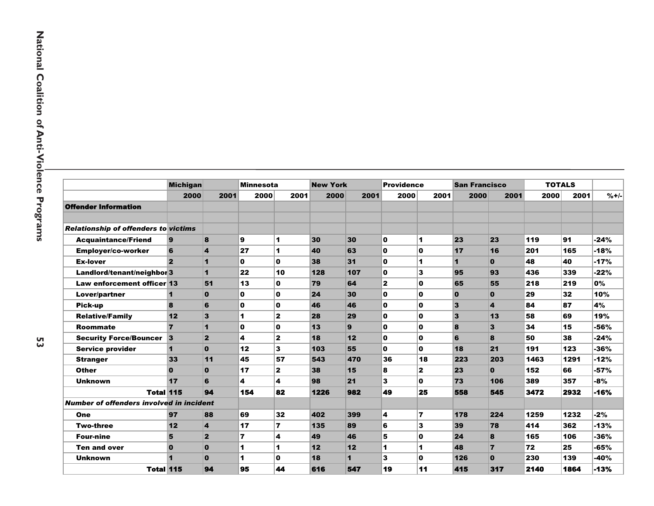|                                                 | <b>Michigan</b>         |                | <b>Minnesota</b> |                         | <b>New York</b> |      | <b>Providence</b> |                | <b>San Francisco</b> |                         | <b>TOTALS</b> |      |        |
|-------------------------------------------------|-------------------------|----------------|------------------|-------------------------|-----------------|------|-------------------|----------------|----------------------|-------------------------|---------------|------|--------|
|                                                 | 2000                    | 2001           | 2000             | 2001                    | 2000            | 2001 | 2000              | 2001           | 2000                 | 2001                    | 2000          | 2001 | $%+/-$ |
| <b>Offender Information</b>                     |                         |                |                  |                         |                 |      |                   |                |                      |                         |               |      |        |
|                                                 |                         |                |                  |                         |                 |      |                   |                |                      |                         |               |      |        |
| <b>Relationship of offenders to victims</b>     |                         |                |                  |                         |                 |      |                   |                |                      |                         |               |      |        |
| <b>Acquaintance/Friend</b>                      | 9                       | 8              | 9                | 1                       | 30              | 30   | 0                 | 1              | 23                   | 23                      | 119           | 91   | $-24%$ |
| Employer/co-worker                              | 6                       | 4              | 27               | $\blacktriangleleft$    | 40              | 63   | O                 | 0              | 17                   | 16                      | 201           | 165  | $-18%$ |
| <b>Ex-lover</b>                                 | $\overline{2}$          | 1              | 0                | $\mathbf{0}$            | 38              | 31   | O                 | 1              | $\blacktriangleleft$ | $\mathbf{0}$            | 48            | 40   | $-17%$ |
| Landlord/tenant/neighbol 3                      |                         | 1              | 22               | 10                      | 128             | 107  | O                 | 3              | 95                   | 93                      | 436           | 339  | $-22%$ |
| Law enforcement officer 13                      |                         | 51             | 13               | $\mathbf{0}$            | 79              | 64   | $\overline{2}$    | 0              | 65                   | 55                      | 218           | 219  | 0%     |
| Lover/partner                                   | 1                       | 0              | 0                | $\mathbf{0}$            | 24              | 30   | 0                 | 0              | $\bf{0}$             | $\mathbf{0}$            | 29            | 32   | 10%    |
| Pick-up                                         | 8                       | 6              | 0                | $\mathbf{0}$            | 46              | 46   | O                 | $\mathbf{0}$   | 3                    | $\overline{\mathbf{A}}$ | 84            | 87   | 4%     |
| <b>Relative/Family</b>                          | 12                      | 3              | 1                | $\mathbf{2}$            | 28              | 29   | 0                 | 0              | 3                    | 13                      | 58            | 69   | 19%    |
| <b>Roommate</b>                                 | $\overline{7}$          | 1              | $\mathbf{0}$     | $\mathbf 0$             | 13              | 9    | O                 | $\mathbf 0$    | 8                    | 3                       | 34            | 15   | -56%   |
| <b>Security Force/Bouncer</b>                   | 3                       | $\overline{2}$ | 4                | $\mathbf{2}$            | 18              | 12   | O                 | $\mathbf{0}$   | 6                    | 8                       | 50            | 38   | $-24%$ |
| <b>Service provider</b>                         | 1                       | $\mathbf{0}$   | 12               | 3                       | 103             | 55   | 0                 | 0              | 18                   | 21                      | 191           | 123  | -36%   |
| <b>Stranger</b>                                 | 33                      | 11             | 45               | 57                      | 543             | 470  | 36                | 18             | 223                  | 203                     | 1463          | 1291 | $-12%$ |
| <b>Other</b>                                    | $\Omega$                | $\mathbf{0}$   | 17               | $\mathbf{2}$            | 38              | 15   | 8                 | $\mathbf{z}$   | 23                   | $\mathbf{0}$            | 152           | 66   | $-57%$ |
| <b>Unknown</b>                                  | 17                      | 6              | 4                | 4                       | 98              | 21   | 3                 | 0              | 73                   | 106                     | 389           | 357  | -8%    |
| <b>Total 115</b>                                |                         | 94             | 154              | 82                      | 1226            | 982  | 49                | 25             | 558                  | 545                     | 3472          | 2932 | $-16%$ |
| <b>Number of offenders involved in incident</b> |                         |                |                  |                         |                 |      |                   |                |                      |                         |               |      |        |
| One                                             | 97                      | 88             | 69               | 32                      | 402             | 399  | 4                 | $\overline{7}$ | 178                  | 224                     | 1259          | 1232 | $-2%$  |
| <b>Two-three</b>                                | 12                      | 4              | 17               | $\overline{\mathbf{z}}$ | 135             | 89   | 6                 | 3              | 39                   | 78                      | 414           | 362  | $-13%$ |
| <b>Four-nine</b>                                | 5                       | $\overline{2}$ | 7                | 4                       | 49              | 46   | 5                 | 0              | 24                   | 8                       | 165           | 106  | -36%   |
| <b>Ten and over</b>                             | $\bf{0}$                | $\bf{0}$       | 1                | $\blacktriangleleft$    | 12              | 12   | 1                 | 1              | 48                   | $\overline{7}$          | 72            | 25   | $-65%$ |
| <b>Unknown</b>                                  | $\overline{\mathbf{I}}$ | $\mathbf{0}$   | 1                | $\mathbf{0}$            | 18              | 1    | 3                 | $\mathbf 0$    | 126                  | $\mathbf{0}$            | 230           | 139  | -40%   |
| <b>Total 115</b>                                |                         | 94             | 95               | 44                      | 616             | 547  | 19                | 11             | 415                  | 317                     | 2140          | 1864 | -13%   |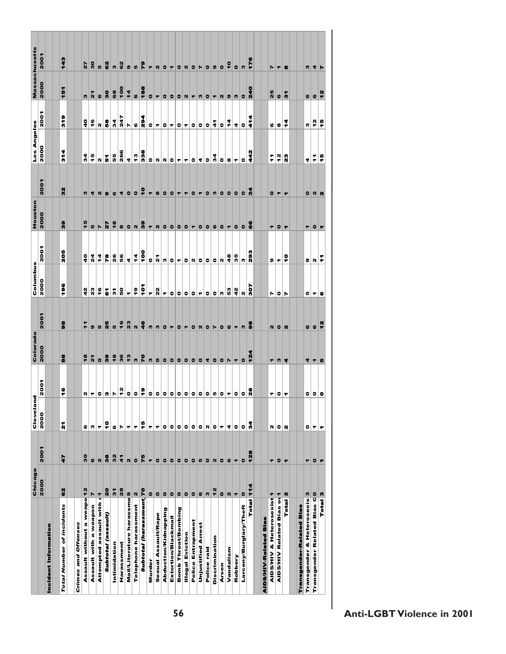|                                      | Chicago               |                           | Cleveland |           | Colorado       |                           | Columbus                        |                | Houston                  |                          | Los Angeles          |                                             | Massachusetts         |                         |
|--------------------------------------|-----------------------|---------------------------|-----------|-----------|----------------|---------------------------|---------------------------------|----------------|--------------------------|--------------------------|----------------------|---------------------------------------------|-----------------------|-------------------------|
|                                      | 2000                  | 2001                      | 2000      | 2001      | 2000           | 2001                      | 2000                            | 2001           | 2000                     | 2001                     | 2000                 | 2001                                        | 2000                  | 2001                    |
| Incident Information                 |                       |                           |           |           |                |                           |                                 |                |                          |                          |                      |                                             |                       |                         |
|                                      |                       |                           |           |           |                |                           |                                 |                |                          |                          |                      |                                             |                       |                         |
| Total Number of incidents            | 8                     | 47                        | Ñ         | ÷         | 88             | 8                         | 196                             | 205            | 8                        | 32                       | <b>ST4</b>           | <b>SLS</b>                                  | 151                   | 143                     |
|                                      |                       |                           |           |           |                |                           |                                 |                |                          |                          |                      |                                             |                       |                         |
| Crimes and Offenses                  |                       |                           |           |           |                |                           |                                 |                |                          |                          |                      |                                             |                       |                         |
| Assault without a weapo 12           |                       | $\overline{\mathbf{3}}$   | 0         | N         | $\frac{8}{3}$  | 두                         | 42                              | $\frac{1}{4}$  | 45                       | n                        | 24                   | å                                           | W                     | $\overline{2}$          |
| Assault with a weapon                | N                     | $\boldsymbol{\omega}$     | w         | ۳         | $\mathbf{z}$   | Ø)                        | 23                              | $\overline{a}$ | Iņ                       | 4                        | 45                   | ٩e                                          | $\tilde{\mathbf{a}}$  | $\overline{\mathbf{3}}$ |
| Attempted assault with               | $\frac{1}{N}$         | $\mathbf{\mathsf{N}}$     | ۳         | $\bullet$ | $\bullet$      | LO,                       | $\ddot{\bullet}$                | 4              | Z                        | $\mathbf{N}$             | N                    | $\mathbf{N}$                                | $\ddot{\circ}$        | IĄ                      |
| Subtotal (assault)                   | 20                    | $\frac{8}{3}$             | ÷         | n         | 8              | ä                         | $\overline{\bullet}$            | re             | 27                       | ۰                        | Б                    | 8                                           | 8                     | 82                      |
| Intimidation                         | 51                    | 32                        | 0         | N         | $\frac{8}{3}$  | Iņ,                       | 5                               | 26             | $\frac{8}{3}$            | $\pmb{\omega}$           | 55                   | 34                                          | 68                    | n                       |
| Harassment                           | 28                    | $\frac{4}{1}$             | N         | å.        | 36             | 16                        | 50                              | 56             | $\pmb{\omega}$           | 4                        | 266                  | 247                                         | 001                   | 62                      |
| Mail/Literature harassme 9           |                       | $\boldsymbol{\mathsf{N}}$ | ۳         | $\bullet$ | $\frac{3}{2}$  | 23                        | ۳                               | 4              |                          | $\bullet$                | 4                    | N                                           | $\frac{4}{4}$         | $\bullet$               |
| Telephone harassment                 | N                     | $\bullet$                 | ۳         | o         | n              | $\boldsymbol{\mathsf{N}}$ | $\frac{9}{7}$                   | $\frac{4}{4}$  | O <sub>N</sub>           | $\bullet$                | $\frac{3}{2}$        | $\bullet$                                   | $\bullet$             | In                      |
| Subtotal (harassment 70              |                       | 75                        | ë         | ¦°        | $\overline{r}$ | $\frac{6}{10}$            | ě                               | oor            | $\frac{9}{9}$            | ę                        | 338                  | 294                                         | 188                   | $\frac{9}{2}$           |
| Murder                               | $\bullet$             | $\overline{\phantom{a}}$  | ۳         | $\circ$   | w              | w                         | $\blacktriangledown$            | $\bullet$      | ۳                        | $\blacktriangledown$     |                      | $\circ$ $\circ$                             | $\bullet$             | $\blacktriangledown$    |
| Sexual Assault/Rape                  | $\bullet$             | $\bullet$                 | ۳         |           | o              | n                         | $\overline{2}$                  | <u>ីត</u>      | N                        | $\pmb{\omega}$           | O <sub>N</sub>       |                                             | ∣▼                    | N                       |
| Abduction/Kidnapping                 | $\bullet$             | $\bullet$                 | ۰         | 0         | 0 0            | $\bullet$                 | ۳                               | n              | 0                        | $\bullet$                |                      | $\vert \bullet \vert$ $\vert \bullet \vert$ | $\bullet$             | $\bullet$               |
| Extortion/Blackmail                  | $\bullet$             | $\bullet$                 | ۰         | ۰         |                | ۳                         |                                 | ۰              | $\bullet$                | $\bullet$                | $ N $ 0 $ \tau $     |                                             | $\bullet$             | ۳                       |
| Bomb Threat/Bombing                  | $\bullet$             | 0                         | $\bullet$ | o         | o              | $\bullet$                 |                                 | ۳              |                          | $\overline{\phantom{a}}$ |                      | $\bullet$                                   | 0                     | O <sub>N</sub>          |
| <b>Illegal Eviction</b>              | $\bullet$             | $\circ$                   | $\bullet$ | ۰         | $\bullet$      | ↽                         | $\circ$ $\circ$ $\circ$ $\circ$ | $\bullet$      | 0 0                      | ۳                        | ۳                    | $\blacktriangledown$                        | $N$ $\tau$            |                         |
| Police Entrapment                    | $\bullet$             |                           | $\bullet$ | 0         | $\bullet$      | $\bullet$                 |                                 | N              |                          | $\bullet$                | ۱o                   | $\bullet$                                   |                       | $\bullet$               |
| <b>Unjustified Arrest</b>            | $\boldsymbol{\omega}$ | $\mathfrak{g}$            | $\bullet$ | $\bullet$ | $\bullet$      | $\vert$ N                 | $\blacktriangledown$            | $\bullet$      | 0                        | $\blacktriangledown$     | 4                    | $ {\tt o} {\tt o}$                          | $\mathsf{m}$          | $\blacksquare$          |
| Police raid                          | n                     | $\bullet$                 | N         | ۰         | 4              | $\bullet$                 | $\bullet$                       | ۰              | $\bullet$                | $\bullet$                | $\bullet$            |                                             | $\bullet$             | $\bullet$               |
| Discrimination                       | $\frac{2}{3}$         | $\vert \mathsf{N} \vert$  | $\bullet$ | ŋ         | $\bullet$      | ∣N                        | ۱۰                              | $\bullet$      | $\vert \mathbf{0} \vert$ | n                        | $\frac{9}{4}$        | 2                                           | ∣٣                    | Q                       |
| Arson                                | $\bullet$             | $\bullet$                 | ۳         | $\bullet$ | O <sub>n</sub> | $\bullet$                 | w                               | N              | O <sub>T</sub>           |                          | $\bullet$            | $\bullet$                                   | $\mathbf{N}$          | $\bullet$               |
| Vandalism                            | $\mathbf N$           | ဖ                         | 4         | ۳         |                | $\boldsymbol{\omega}$     | 53                              | $\frac{4}{3}$  |                          | $\circ$ $\circ$          | ø                    | ʻ4                                          | ၈                     | $\frac{1}{2}$           |
| Robbery                              | ٣                     | ۳                         | $\bullet$ | ۰         | ۳              | ۳                         | $\frac{2}{3}$                   | 35             | $\bullet$                | $\bullet$                | $\blacktriangledown$ | 40                                          | n                     | $\bullet$               |
| Larceny/Burglary/Theft               | $\bullet$             | $\bullet$                 | $\bullet$ | ۰         | $\bullet$      | W                         | $\mathbf{N}$                    | n              | $\bullet$                | $\bullet$                | $\bullet$            |                                             | $\bullet$             | S                       |
| Total 114                            |                       | 128                       | ž         | å         | 124            | $\frac{8}{9}$             | 202                             | <b>293</b>     | ő                        | 2                        | 442                  | ŧ                                           | 240                   | 176                     |
|                                      |                       |                           |           |           |                |                           |                                 |                |                          |                          |                      |                                             |                       |                         |
| AIDS/HIV-Related Blas                |                       |                           |           |           |                |                           |                                 |                |                          |                          |                      |                                             |                       |                         |
| <b>AIDS/HIV &amp; Heterosexist</b> 1 |                       | ٣                         | N         | ٣         | ┯┆             |                           | N                               | o              |                          | $\bullet$                | F                    | 6                                           | 25                    | N                       |
| <b>AIDS/HIV Related Bias or 1</b>    |                       | ۰                         | 0   N     | ۰         | n              | $N$ $\circ$ $N$           | O  <sub>N</sub>                 | ۳              | - 이 -                    | ▏┯▕▝                     | 2                    | $\pmb{\omega}$                              | $\boldsymbol{\omega}$ | ۳                       |
| Total 2                              |                       | E                         |           | I٣        | R              |                           |                                 | ę              |                          |                          | 23                   | ‡                                           | l 5                   | $\bullet$               |
|                                      |                       |                           |           |           |                |                           |                                 |                |                          |                          |                      |                                             |                       |                         |
| ender-Related Blas<br>Transg         |                       |                           |           |           |                |                           |                                 |                |                          |                          |                      |                                             |                       |                         |
| Transgender & Heterosexis 3          |                       | ٣                         | ۰         | ۰         | 4 4            | $\pmb{\omega}$            | 10   T                          | 0   N          |                          |                          | 4 =                  | $\frac{1}{2}$                               | $\boldsymbol{\omega}$ | n                       |
| Transgender Related Bias OO          |                       | $\bullet$                 | ۳         | 0         |                | ဖ                         |                                 |                | 至▏◎▏▼                    | O N                      |                      |                                             | $\pmb{\omega}$        | 4                       |
| Total <sup>3</sup>                   |                       | r                         | ▼         | 0         | D              | $\frac{1}{2}$             | 10                              | F              |                          |                          | F                    | 45                                          | t,                    | Ռ                       |
|                                      |                       |                           |           |           |                |                           |                                 |                |                          |                          |                      |                                             |                       |                         |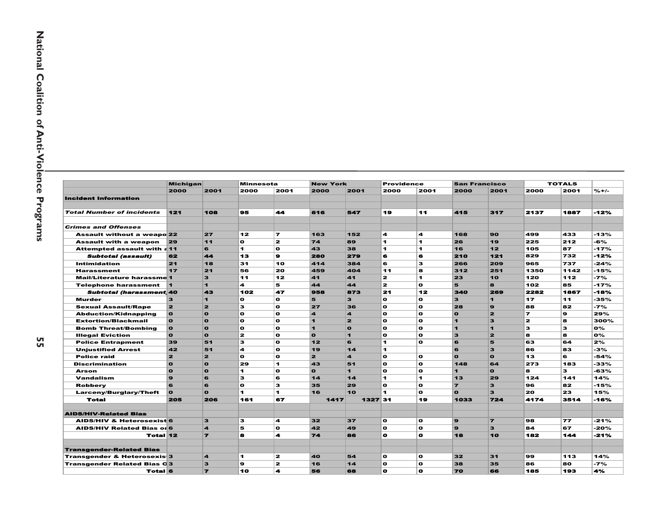|                                        | <b>Michigan</b>         |                         | <b>Minnesota</b> |                          | <b>New York</b> |                | <b>Providence</b> |              | <b>San Francisco</b> |                |                | <b>TOTALS</b> |         |
|----------------------------------------|-------------------------|-------------------------|------------------|--------------------------|-----------------|----------------|-------------------|--------------|----------------------|----------------|----------------|---------------|---------|
|                                        | 2000                    | 2001                    | 2000             | 2001                     | 2000            | 2001           | 2000              | 2001         | 2000                 | 2001           | 2000           | 2001          | $% +/-$ |
| <b>Incident Information</b>            |                         |                         |                  |                          |                 |                |                   |              |                      |                |                |               |         |
|                                        |                         |                         |                  |                          |                 |                |                   |              |                      |                |                |               |         |
| <b>Total Number of incidents</b>       | $121$                   | 108                     | 95               | 44                       | 616             | 547            | 19                | 11           | 415                  | 317            | 2137           | 1887          | $-12%$  |
|                                        |                         |                         |                  |                          |                 |                |                   |              |                      |                |                |               |         |
| <b>Crimes and Offenses</b>             |                         |                         |                  |                          |                 |                |                   |              |                      |                |                |               |         |
| <b>Assault without a weapo 22</b>      |                         | 27                      | 12               | $\overline{\phantom{a}}$ | 163             | 152            | 4                 | 4            | 168                  | 90             | 499            | 433           | -13%    |
| <b>Assault with a weapon</b>           | 29                      | 11                      | O                | $\mathbf{z}$             | 74              | 89             | 1.                | 1            | 26                   | 19             | 225            | 212           | -6%     |
| Attempted assault with $\epsilon$ 11   |                         | 6                       | 1.               | $\mathbf o$              | 43              | 38             | 1.                | 1            | 16                   | 12             | 105            | 87            | -17%    |
| <b>Subtotal (assault)</b>              | 62                      | 44                      | 13               | ø                        | 280             | 279            | 6                 | G            | 210                  | 121            | 829            | 732           | -12%    |
| Intimidation                           | 21                      | 18                      | 31               | 10                       | 414             | 384            | 6                 | 3            | 266                  | 209            | 965            | 737           | $-24%$  |
| <b>Harassment</b>                      | 17                      | 21                      | 56               | 20                       | 459             | 404            | 11                | 8            | 312                  | 251            | 1350           | 1142          | -15%    |
| <b>Mail/Literature harassme 1</b>      |                         | 3                       | 11               | 12                       | 41              | 41             | $\mathbf{z}$      | 1            | 23                   | 10             | 120            | 112           | -7%     |
| <b>Telephone harassment</b>            | 11                      | $\blacksquare$          | 4                | 5                        | 44              | 44             | $\mathbf{z}$      | $\mathbf{o}$ | 5                    | 8              | 102            | 85            | $-17%$  |
| <b>Subtotal (harassment 40</b>         |                         | 43                      | 102              | 47                       | 958             | 873            | 21                | 12           | 340                  | 269            | 2282           | 1867          | -18%    |
| <b>Murder</b>                          | 3                       | $\blacksquare$          | O                | $\mathbf{o}$             | 5               | 3              | $\mathbf{o}$      | $\mathbf{o}$ | 3                    | $\blacksquare$ | 17             | 11            | -35%    |
| <b>Sexual Assault/Rape</b>             | 2                       | $\overline{\mathbf{z}}$ | 3                | $\Omega$                 | 27              | 36             | $\mathbf{o}$      | $\mathbf o$  | 28                   | $\mathbf{9}$   | 88             | 82            | -7%     |
| <b>Abduction/Kidnapping</b>            | $\mathbf{o}$            | $\mathbf{o}$            | $\mathbf{o}$     | $\mathbf{o}$             | 4               | 4              | $\mathbf{o}$      | $\mathbf{o}$ | $\mathbf{o}$         | $\overline{2}$ | $\overline{ }$ | 9             | 29%     |
| <b>Extortion/Blackmail</b>             | $\mathbf{o}$            | $\Omega$                | O                | $\mathbf o$              | 1               | $\mathbf{z}$   | $\mathbf o$       | $\mathbf o$  | $\mathbf{I}$         | 3              | $\mathbf{z}$   | 8             | 300%    |
| <b>Bomb Threat/Bombing</b>             | $\bullet$               | $\mathbf{o}$            | $\mathbf{o}$     | $\Omega$                 | 1               | $\mathbf{o}$   | $\mathbf{o}$      | $\mathbf o$  | $\blacksquare$       | $\blacksquare$ | 3              | з             | O%      |
| <b>Illegal Eviction</b>                | $\mathbf{o}$            | $\mathbf{o}$            | 2                | $\mathbf{o}$             | $\mathbf{o}$    | 1              | $\mathbf{o}$      | $\mathbf{o}$ | $\mathbf{3}$         | $\mathbf{z}$   | 8              | 8             | 0%      |
| <b>Police Entrapment</b>               | 39                      | 51                      | 3                | $\mathbf{o}$             | 12              | 6              | 1                 | $\mathbf o$  | 6                    | 5              | 63             | 64            | 2%      |
| <b>Unjustified Arrest</b>              | 42                      | 51                      | 4                | $\Omega$                 | 19              | 14             | 1.                |              | 6                    | $\mathbf{3}$   | 86             | 83            | -3%     |
| <b>Police raid</b>                     | $\overline{\mathbf{z}}$ | $\overline{2}$          | O                | $\Omega$                 | $\mathbf{z}$    | 4              | $\mathbf{o}$      | $\mathbf o$  | $\mathbf{o}$         | $\Omega$       | 13             | 6             | -54%    |
| <b>Discrimination</b>                  | $\Omega$                | $\Omega$                | 29               | Ł.                       | 43              | 51             | $\mathbf{o}$      | $\mathbf o$  | 148                  | 64             | 273            | 183           | -33%    |
| <b>Arson</b>                           | $\Omega$                | $\mathbf{o}$            | 1.               | $\mathbf o$              | $\mathbf{o}$    | $\blacksquare$ | O                 | $\mathbf o$  | $\mathbf{I}$         | $\mathbf{o}$   | 8              | 3             | -63%    |
| <b>Vandalism</b>                       | 9                       | 6                       | з                | 6                        | 14              | 14             | 1                 | 1            | 13                   | 29             | 124            | 141           | 14%     |
| <b>Robberv</b>                         | 6                       | 6                       | $\mathbf{o}$     | з                        | 35              | 29             | $\mathbf{o}$      | $\bullet$    | $\overline{z}$       | 3              | 96             | 82            | -15%    |
| Larceny/Burglary/Theft                 | $\Omega$                | $\Omega$                | 1.               | 1                        | 16              | 10             | 1.                | $\mathbf o$  | $\mathbf{o}$         | $\mathbf{3}$   | 20             | 23            | 15%     |
| <b>Total</b>                           | 205                     | 206                     | 161              | 67                       | 1417            | 1327 31        |                   | 19           | 1033                 | 724            | 4174           | 3514          | -16%    |
|                                        |                         |                         |                  |                          |                 |                |                   |              |                      |                |                |               |         |
| <b>AIDS/HIV-Related Blas</b>           |                         |                         |                  |                          |                 |                |                   |              |                      |                |                |               |         |
| <b>AIDS/HIV &amp; Heterosexist 6</b>   |                         | 3                       | з                | 4                        | 32              | 37             | $\mathbf{o}$      | $\mathbf{o}$ | $\mathbf{9}$         | $\overline{ }$ | 98             | 77            | $-21%$  |
| <b>AIDS/HIV Related Bias or 6</b>      |                         | $\boldsymbol{A}$        | 5                | $\Omega$                 | 42              | 49             | $\mathbf o$       | $\mathbf o$  | $\mathbf{9}$         | 3              | 84             | 67            | -20%    |
| Total 12                               |                         | $\overline{\mathbf{r}}$ | 8                | 4                        | 74              | 86             | $\bullet$         | $\bullet$    | 18                   | 10             | 182            | 144           | -21%    |
|                                        |                         |                         |                  |                          |                 |                |                   |              |                      |                |                |               |         |
| <b>Transgender-Related Blas</b>        |                         |                         |                  |                          |                 |                |                   |              |                      |                |                |               |         |
| <b>Transgender &amp; Heterosexis 3</b> |                         | 4                       | 1.               | 2                        | 40              | 54             | $\mathbf{o}$      | $\bullet$    | 32                   | 31             | 99             | 113           | 14%     |
| <b>Transgender Related Bias 03</b>     |                         | з                       | 9                | $\mathbf{z}$             | 16              | 14             | $\mathbf{o}$      | $\mathbf{o}$ | 38                   | 35             | 86             | 80            | -7%     |
| Total 6                                |                         | $\overline{ }$          | 10               | 4                        | 56              | 68             | O                 | $\bullet$    | 70                   | 66             | 185            | 193           | 4%      |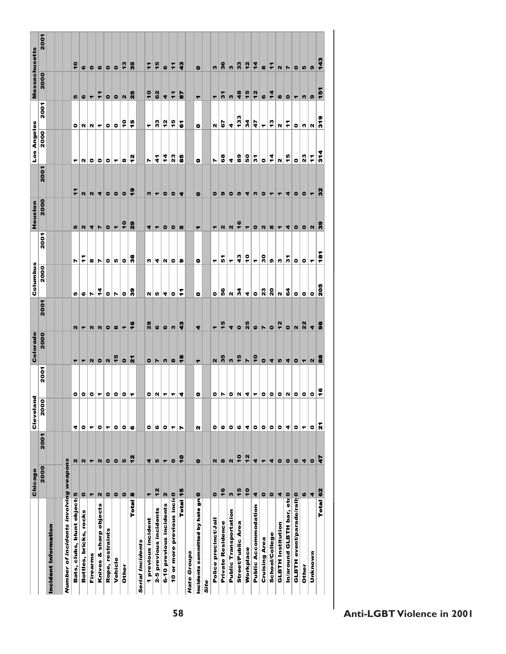|                                              | Chicago       |                           |                   |                                   | Colorado                 |                             | Columbus                |                      | Houston              |                          | Los Angeles            |                      | <b>Massachusetts</b>     |                       |
|----------------------------------------------|---------------|---------------------------|-------------------|-----------------------------------|--------------------------|-----------------------------|-------------------------|----------------------|----------------------|--------------------------|------------------------|----------------------|--------------------------|-----------------------|
|                                              | 2000          | 2001                      | Cleveland<br>2000 | 2001                              | 2000                     | 2001                        | 2000                    | 2001                 | 2000                 | 2001                     | 2000                   | 2001                 | 2000                     | 2001                  |
| Incident Information                         |               |                           |                   |                                   |                          |                             |                         |                      |                      |                          |                        |                      |                          |                       |
|                                              |               |                           |                   |                                   |                          |                             |                         |                      |                      |                          |                        |                      |                          |                       |
| Number of incidents involving weapons        |               |                           |                   |                                   |                          |                             |                         |                      |                      |                          |                        |                      |                          |                       |
| Bats, clubs, blunt object 5                  |               | N                         | 4                 |                                   | ۳                        |                             | In I                    | r                    | In                   | $\frac{1}{2}$            | ۳                      |                      | ທ∣                       | $\frac{1}{2}$         |
| Bottles, bricks, rocks                       | $\bullet$     | $\mathbb{N}$              | ۰                 | $\bullet$ $\circ$ $\circ$ $\circ$ | $\overline{\phantom{a}}$ | $N = N$ $N = 0$             |                         | ÷                    | N                    | $\mathbf{N}$             |                        | O(N)                 | $\circ$                  | $\boldsymbol{\omega}$ |
| Firearms                                     | ٣             | ۳                         | ۳                 |                                   | $\mathbf{N}$             |                             | $\circ \rhd$            | œ                    |                      | $\mathbb{N}$             | N O O                  |                      | $\overline{\phantom{a}}$ | $\bullet$             |
| Knives & sharp objects                       | N             | $\mathbf{N}$              | ۰                 |                                   | $\bullet$                |                             | 4                       | N                    | 4 V                  | ◥                        |                        |                      | ÷                        | $\mathbf 6$           |
| Rope, restraints                             | $\bullet$     | $\bullet$                 | ۳                 | $\bullet$                         | $\mathbb{N}$             |                             | $\bullet$               | ۰                    | $\bullet$            | $\bullet$                | $\bullet$              | $\bullet$            | $\bullet$                | $\bullet$             |
| Vehicle                                      | $\bullet$     | $\bullet$                 | ۰                 | $\bullet$                         | $\frac{1}{2}$            |                             | r                       | $\mathfrak{g}$       | $\blacktriangledown$ | $\bullet$                | $\blacksquare$         | $\bullet$            | $\bullet$                | $\bullet$             |
| Other                                        | $\bullet$     | LO,                       | $\bullet$         | ۰                                 | $\bullet$                | $\blacksquare$              | $\bullet$               | $\bullet$            | ٩                    | $\bullet$                | $\pmb{\omega}$         | ٥ŗ                   | $\mathbf{N}$             | $\frac{3}{2}$         |
| Total                                        | $\bullet$     | $\frac{2}{3}$             | ۰                 | ▼                                 | ត                        | $\ddot{\bullet}$            | န                       | 3                    | ନ୍ଧ                  | ÷                        | ʻ5                     | ٩                    | 25                       | 35                    |
| <b>Serial Incidents</b>                      |               |                           |                   |                                   |                          |                             |                         |                      |                      |                          |                        |                      |                          |                       |
| 1 previous incident                          | ۳             | 4                         | ۰                 |                                   |                          | 28                          |                         | m                    |                      |                          | N                      | ٠                    | $\frac{1}{2}$            | $\mathbf{r}$          |
| 2-5 previous incidents                       | 12            | $\mathfrak{g}$            | ဖ                 | O N                               | $\sim$ $\sim$            | $\circ$                     |                         | $\blacktriangleleft$ | $\frac{1}{2}$        |                          | $\boldsymbol{\dot{4}}$ | 33                   | 62                       | 15                    |
| 6-10 previous incidents                      | N             | ۳                         | ۰                 | ۳                                 |                          |                             | $\frac{a a a c}{r}$     |                      | $\bullet$            | $m \mid r \mid o \mid$   | $\frac{4}{4}$          | $\frac{2}{3}$        |                          |                       |
| 10 or more previous incid                    |               | $\bullet$                 | ۳                 | ↽                                 | $m \omega $              | ຜ $ n $                     |                         | N 0 0                | $\bullet$            | O <sub>1</sub>           | $\frac{3}{2}$          | 45                   | $\frac{4}{7}$            | $\frac{1}{7}$         |
| Total 15                                     |               | ÷                         | N                 | ▏₹                                | $\frac{8}{1}$            | श्च                         |                         |                      | Ю                    |                          | 8                      | ā                    | 5                        | 3                     |
| <b>Hate Groups</b>                           |               |                           |                   |                                   |                          |                             |                         |                      |                      |                          |                        |                      |                          |                       |
| Incidents committed by hate gro <sup>0</sup> |               | $\bullet$                 | N                 | ۰                                 | ۳                        | 4                           | $\bullet$               | ۰                    | ۳                    | $\bullet$                | ۰                      | ۰                    | ۳                        | $\bullet$             |
| Site                                         |               |                           |                   |                                   |                          |                             |                         |                      |                      |                          |                        |                      |                          |                       |
| Police precinct/Jail                         | $\bullet$     | N                         | ۰                 |                                   | N                        |                             | $\bullet$               | ۳                    | ┯┆                   | ۰                        | N                      | N                    | ۳                        | n                     |
| <b>Private Residence</b>                     | 16            | æ                         | ٥                 |                                   | 35                       | $\frac{a}{7}$               | 56                      | 5                    | $\mathbb{N}$         | $  \circ  $              | 68                     | 55                   | $\frac{1}{2}$            | 36                    |
| <b>Public Transportation</b>                 | M             | $\boldsymbol{\mathsf{N}}$ | ۰                 | Q V Q V 4 L                       | w                        | 4                           | $\frac{9}{4}$           | ٠                    | $\mathbf N$          | $\bullet$                | $\frac{a}{2}$          | 4                    | s.                       | n                     |
| Street/Public Area                           | 15            | $\frac{1}{2}$             | ဖ                 |                                   | $\frac{15}{1}$           | $\bullet$                   |                         | 43                   | $\frac{6}{1}$        | $\bullet$                |                        | 33                   | 48                       | 33                    |
| Workplace                                    | $\frac{1}{2}$ | 12                        | 4                 |                                   | $\blacktriangleright$    | 25                          | 4                       | ٩                    | ₹.                   | 4                        | នី                     | 34                   | $\frac{1}{5}$            | $rac{1}{2}$           |
| <b>Public Accommodation</b>                  | 4             | 4                         | ۰                 |                                   | $\frac{1}{2}$            | $\circ$                     | $\bullet$               | ۳                    | $\bullet$            | n                        | 5                      | 47                   | 12                       | $\frac{4}{4}$         |
| Cruising Area                                | $\bullet$     | ۳                         | ۰                 | $\bullet$                         | $\bullet$                | R                           | $\frac{3}{2}$           | ន្ល                  | N <sub>0</sub>       | $\bullet$                | $\bullet$              | $\blacktriangledown$ | $\pmb{\omega}$           | $\pmb{\omega}$        |
| <b>School/College</b>                        | $\bullet$     | 4                         | ۰                 | $\bullet$                         | 4                        |                             | $\overline{\mathbf{a}}$ | Ø.                   |                      | $\overline{\phantom{a}}$ | $\ddot{\bf{4}}$        | $\frac{3}{2}$        | $\frac{1}{4}$            | ÷                     |
| <b>GLBTH Institution</b>                     | 4             | $\bullet$                 | ۰                 | $\bullet$                         | LO,                      | $\frac{2}{3}$               | $\mathbf N$             | w                    | −                    | $\overline{\phantom{a}}$ | N                      | u                    | $\pmb{\infty}$           | $\mathbf{N}$          |
| In/around GLBTH bar, etc 0                   |               | $\bullet$                 | 4                 | $\vert$ N                         | 4                        | $\bullet$                   | $\mathbf{c}$            | 7                    | 4                    | 4                        | $\frac{1}{2}$          | F                    | $\bullet$                | Z                     |
| <b>GLBTH event/parade/rall 0</b>             |               | $\bullet$                 | ۰                 |                                   |                          |                             | $\bullet$               | $\bullet$            | $\bullet$            | $\bullet$                | $\bullet$              | $\bullet$            | $\blacktriangledown$     | $\bullet$             |
| Other                                        | $\bullet$     | 4                         | ۳                 | $\circ$ $\circ$ $\circ$ $\approx$ | $\circ$ $\cdot$          | $\frac{2}{N}$ $\frac{3}{N}$ | $\bullet$               | $\bullet$            | 0                    | $\bullet$                | ន                      | <u>៉ូត្តូ</u>        | $\frac{1}{2}$            | In                    |
| Unknown                                      | 4             | $\bullet$                 | ۰                 |                                   | $\mathbb{N}$             |                             | $\frac{1}{205}$         | $\frac{1}{2}$        | $\frac{8}{3}$        | $\overline{\phantom{a}}$ | Ξ                      |                      |                          | G)                    |
| Total 62                                     |               | 47                        | Ñ                 |                                   | 8                        |                             |                         |                      |                      |                          | $\frac{4}{5}$          |                      |                          | $\frac{3}{1}$         |
|                                              |               |                           |                   |                                   |                          |                             |                         |                      |                      |                          |                        |                      |                          |                       |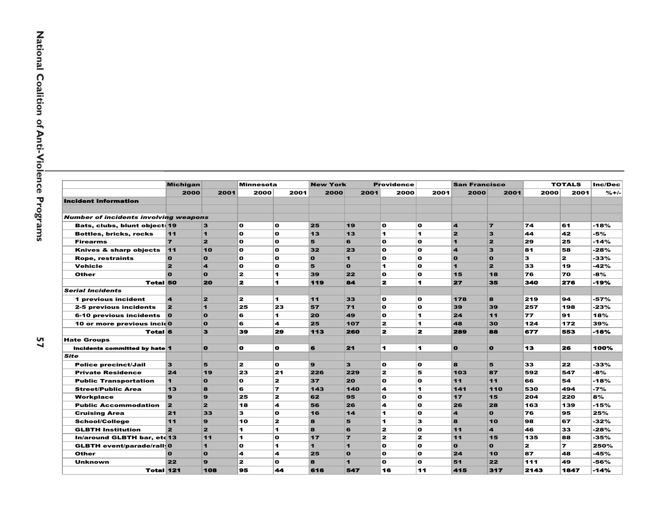|                                              | <b>Michigan</b>         |                         | <b>Minnesota</b> |                | <b>New York</b> |                         | <b>Providence</b>    |                | <b>San Francisco</b>    |                |      | <b>TOTALS</b> | Inc/Dec |
|----------------------------------------------|-------------------------|-------------------------|------------------|----------------|-----------------|-------------------------|----------------------|----------------|-------------------------|----------------|------|---------------|---------|
|                                              | 2000                    | 2001                    | 2000             | 2001           | 2000            | 2001                    | 2000                 | 2001           | 2000                    | 2001           | 2000 | 2001          | $% +/-$ |
| <b>Incident Information</b>                  |                         |                         |                  |                |                 |                         |                      |                |                         |                |      |               |         |
| <b>Number of incidents involving weapons</b> |                         |                         |                  |                |                 |                         |                      |                |                         |                |      |               |         |
| Bats, clubs, blunt object: 19                |                         | $\mathbf{3}$            | o.               | <b>O</b>       | 25              | 19                      | $\mathbf{o}$         | $\mathbf{o}$   | $\mathbf{A}$            | $\overline{7}$ | 74   | 61            | $-18%$  |
| <b>Bottles, bricks, rocks</b>                | 11                      | $\blacktriangleleft$    | O                | <b>O</b>       | 13              | 13                      | $\blacktriangleleft$ | 1              | 2                       | 3              | 44   | 42            | -5%     |
| <b>Firearms</b>                              | $\overline{z}$          | $\overline{2}$          | O                | $\mathbf{o}$   | 5               | 6                       | O                    | $\mathbf{o}$   | $\blacksquare$          | $\overline{2}$ | 29   | 25            | $-14%$  |
| Knives & sharp objects                       | 11                      | 10                      | O                | $\mathbf{o}$   | 32              | 23                      | O                    | $\mathbf{o}$   | $\overline{\mathbf{A}}$ | 3              | 81   | 58            | $-28%$  |
| <b>Rope, restraints</b>                      | $\mathbf{o}$            | $\mathbf{o}$            | O                | o              | $\mathbf{o}$    | $\overline{\mathbf{1}}$ | $\mathbf{o}$         | $\mathbf{o}$   | $\mathbf{o}$            | $\mathbf{o}$   | 3    | $\mathbf{z}$  | $-33%$  |
| <b>Vehicle</b>                               | 2                       | $\overline{\mathbf{A}}$ | O                | $\mathbf{o}$   | 5               | $\Omega$                | $\blacktriangleleft$ | $\Omega$       | 1                       | $\overline{2}$ | 33   | 19            | $-42%$  |
| Other                                        | n                       | $\Omega$                | $\mathbf{z}$     | 1              | 39              | 22                      | O                    | $\mathbf{o}$   | 15                      | 18             | 76   | 70            | -8%     |
| <b>Total 50</b>                              |                         | 20                      | 2                | 4              | 119             | 84                      | 2                    | 1              | 27                      | 35             | 340  | 276           | -19%    |
| <b>Serial Incidents</b>                      |                         |                         |                  |                |                 |                         |                      |                |                         |                |      |               |         |
| 1 previous incident                          | $\overline{\mathbf{4}}$ | $\overline{2}$          | $\mathbf{z}$     | 1.             | 11              | 33                      | $\mathbf{o}$         | $\mathbf{o}$   | 178                     | 8              | 219  | 94            | $-57%$  |
| 2-5 previous incidents                       | 2                       | $\blacktriangleleft$    | 25               | 23             | 57              | 71                      | $\mathbf{o}$         | $\mathbf{o}$   | 39                      | 39             | 257  | 198           | $-23%$  |
| 6-10 previous incidents                      | $\overline{\mathbf{o}}$ | $\mathbf{o}$            | 6                | 1              | 20              | 49                      | O                    | 1              | 24                      | 11             | 77   | 91            | 18%     |
| 10 or more previous incid0                   |                         | $\mathbf{o}$            | 6                | 4              | 25              | 107                     | 2                    | 1              | 48                      | 30             | 124  | 172           | 39%     |
| <b>Total 6</b>                               |                         | з                       | 39               | 29             | 113             | 260                     | 2                    | $\mathbf{z}$   | 289                     | 88             | 677  | 553           | -18%    |
| <b>Hate Groups</b>                           |                         |                         |                  |                |                 |                         |                      |                |                         |                |      |               |         |
| Incidents committed by hate 1                |                         | $\bullet$               | o.               | o              | 6               | 21                      | 4.                   | $\blacksquare$ | $\bullet$               | $\Omega$       | 13   | 26            | 100%    |
| Site                                         |                         |                         |                  |                |                 |                         |                      |                |                         |                |      |               |         |
| <b>Police precinct/Jail</b>                  | 3                       | 5                       | $\mathbf{z}$     | o              | $\mathbf{9}$    | 3                       | $\mathbf{o}$         | $\mathbf{o}$   | 8                       | 5              | 33   | 22            | -33%    |
| <b>Private Residence</b>                     | 24                      | 19                      | 23               | 21             | 226             | 229                     | $\mathbf{z}$         | 5              | 103                     | 87             | 592  | 547           | -8%     |
| <b>Public Transportation</b>                 | $\blacksquare$          | $\mathbf{o}$            | $\mathbf{o}$     | $\overline{2}$ | 37              | 20                      | O                    | $\mathbf{o}$   | 11                      | 11             | 66   | 54            | $-18%$  |
| <b>Street/Public Area</b>                    | 13                      | 8                       | 6                | $\overline{ }$ | 143             | 140                     | 4                    | 1              | 141                     | 110            | 530  | 494           | $-7%$   |
| Workplace                                    | $\mathbf{Q}$            | $\mathbf{9}$            | 25               | 2              | 62              | 95                      | O                    | $\mathbf{o}$   | 17                      | 15             | 204  | 220           | 8%      |
| <b>Public Accommodation</b>                  | 2                       | $\overline{2}$          | 18               | 4              | 56              | 26                      | 4                    | $\Omega$       | 26                      | 28             | 163  | 139           | $-15%$  |

|                                              | 2000                    | 2001                    | 2000         | 2001                     | 2000                  | 2001           | 2000                    | 2001         | 2000                    | 2001                    | 2000 | 2001                     | $% +$  |
|----------------------------------------------|-------------------------|-------------------------|--------------|--------------------------|-----------------------|----------------|-------------------------|--------------|-------------------------|-------------------------|------|--------------------------|--------|
| <b>Incident Information</b>                  |                         |                         |              |                          |                       |                |                         |              |                         |                         |      |                          |        |
|                                              |                         |                         |              |                          |                       |                |                         |              |                         |                         |      |                          |        |
| <b>Number of incidents involving weapons</b> |                         |                         |              |                          |                       |                |                         |              |                         |                         |      |                          |        |
| Bats, clubs, blunt object: 19                |                         | 3                       | O            | $\mathbf{o}$             | 25                    | 19             | $\mathbf{o}$            | $\mathbf{o}$ | $\overline{\mathbf{4}}$ | $\overline{ }$          | 74   | 61                       | $-18%$ |
| <b>Bottles, bricks, rocks</b>                | 11                      | $\mathbf{1}$            | $\mathbf o$  | $\mathbf{o}$             | 13                    | 13             | $\blacksquare$          | 1            | $\overline{\mathbf{z}}$ | 3                       | 44   | 42                       | -5%    |
| <b>Firearms</b>                              | $\overline{z}$          | $\overline{2}$          | O            | $\mathbf{o}$             | 5                     | 6              | $\mathbf{o}$            | O            | 1                       | $\overline{2}$          | 29   | 25                       | -14%   |
| Knives & sharp objects                       | 11                      | 10                      | O            | $\mathbf{o}$             | 32                    | 23             | $\mathbf{o}$            | O            | $\overline{\mathbf{A}}$ | 3                       | 81   | 58                       | $-28%$ |
| <b>Rope, restraints</b>                      | $\mathbf{o}$            | $\mathbf{o}$            | O            | $\mathbf{o}$             | $\Omega$              | $\mathbf{1}$   | $\mathbf o$             | O            | $\mathbf{o}$            | $\mathbf{o}$            | 3    | 2                        | -33%   |
| <b>Vehicle</b>                               | 2                       | $\overline{\mathbf{A}}$ | O            | $\mathbf{o}$             | 5                     | $\mathbf{o}$   | 1                       | O            | 1                       | $\overline{2}$          | 33   | 19                       | -42%   |
| Other                                        | $\Omega$                | $\mathbf{o}$            | $\mathbf{z}$ | 1                        | 39                    | 22             | $\mathbf o$             | O            | 15                      | 18                      | 76   | 70                       | -8%    |
| <b>Total 50</b>                              |                         | 20                      | 2            | 1                        | 119                   | 84             | $\overline{\mathbf{z}}$ | 1            | 27                      | 35                      | 340  | 276                      | $-19%$ |
| <b>Serial Incidents</b>                      |                         |                         |              |                          |                       |                |                         |              |                         |                         |      |                          |        |
| 1 previous incident                          | $\overline{\mathbf{4}}$ | $\mathbf{z}$            | 2            | 1.                       | 11                    | 33             | $\mathbf{o}$            | O            | 178                     | 8                       | 219  | 94                       | -57%   |
| 2-5 previous incidents                       | $\overline{\mathbf{2}}$ | $\blacksquare$          | 25           | 23                       | 57                    | 71             | $\mathbf o$             | O            | 39                      | 39                      | 257  | 198                      | -23%   |
| 6-10 previous incidents                      | $\overline{\mathbf{o}}$ | $\mathbf{o}$            | 6            | 1.                       | 20                    | 49             | $\mathbf{o}$            | 1.           | 24                      | 11                      | 77   | 91                       | 18%    |
| 10 or more previous incid0                   |                         | $\mathbf{o}$            | 6            | 4                        | 25                    | 107            | $\mathbf{z}$            | 1            | 48                      | 30                      | 124  | 172                      | 39%    |
| <b>Total 6</b>                               |                         | з                       | 39           | 29                       | 113                   | 260            | $\mathbf{z}$            | $\mathbf{z}$ | 289                     | 88                      | 677  | 553                      | -18%   |
| <b>Hate Groups</b>                           |                         |                         |              |                          |                       |                |                         |              |                         |                         |      |                          |        |
| Incidents committed by hate 1                |                         | $\bullet$               | O            | o                        | 6                     | 21             | $\blacksquare$          | 1            | $\bullet$               | $\bullet$               | 13   | 26                       | 100%   |
| <b>Site</b>                                  |                         |                         |              |                          |                       |                |                         |              |                         |                         |      |                          |        |
| <b>Police precinct/Jail</b>                  | 3                       | 5                       | $\mathbf{z}$ | $\mathbf{o}$             | $\boldsymbol{\Omega}$ | 3              | $\mathbf{o}$            | O            | 8                       | 5                       | 33   | 22                       | -33%   |
| <b>Private Residence</b>                     | 24                      | 19                      | 23           | 21                       | 226                   | 229            | $\mathbf{z}$            | 5            | 103                     | 87                      | 592  | 547                      | -8%    |
| <b>Public Transportation</b>                 | 1                       | $\mathbf{o}$            | $\mathbf{o}$ | 2                        | 37                    | 20             | $\mathbf{o}$            | $\mathbf{o}$ | 11                      | 11                      | 66   | 54                       | -18%   |
| <b>Street/Public Area</b>                    | 13                      | 8                       | 6            | $\overline{\phantom{a}}$ | 143                   | 140            | 4                       | 1            | 141                     | 110                     | 530  | 494                      | $-7%$  |
| Workplace                                    | $\mathbf{9}$            | $\mathbf{9}$            | 25           | $\mathbf{z}$             | 62                    | 95             | $\mathbf{o}$            | O            | 17                      | 15                      | 204  | 220                      | 8%     |
| <b>Public Accommodation</b>                  | $\overline{\mathbf{2}}$ | $\overline{2}$          | 18           | 4                        | 56                    | 26             | 4                       | $\mathbf{o}$ | 26                      | 28                      | 163  | 139                      | -15%   |
| <b>Cruising Area</b>                         | 21                      | 33                      | 3            | $\mathbf{o}$             | 16                    | 14             | 1                       | O            | $\boldsymbol{A}$        | $\Omega$                | 76   | 95                       | 25%    |
| <b>School/College</b>                        | 11                      | 9                       | 10           | $\mathbf{z}$             | 8                     | 5              | $\blacksquare$          | 3            | 8                       | 10                      | 98   | 67                       | $-32%$ |
| <b>GLBTH Institution</b>                     | $\overline{2}$          | $\overline{2}$          | 1            | 1.                       | 8                     | 6              | $\mathbf{z}$            | $\mathbf{o}$ | 11                      | $\overline{\mathbf{A}}$ | 46   | 33                       | -28%   |
| In/around GLBTH bar, etc 13                  |                         | 11                      | 1            | $\mathbf o$              | 17                    | $\overline{ }$ | $\mathbf{z}$            | $\mathbf{z}$ | 11                      | 15                      | 135  | 88                       | -35%   |
| <b>GLBTH event/parade/rall 0</b>             |                         | $\blacksquare$          | O            | 1.                       | 1                     | 1              | $\mathbf{o}$            | $\Omega$     | $\Omega$                | $\Omega$                | 2    | $\overline{\phantom{a}}$ | 250%   |

Other 0 0 4 4 25 0 0 0 24 10 87 48

9 2 0 8 1 0 0 51 22 111 49 -56%

108 95 44 616 547 16 11 415 317 2143 1847 -14%

8 |-45%

 $-56%$ 

 $-14%$ 

Unknown 22

Total 121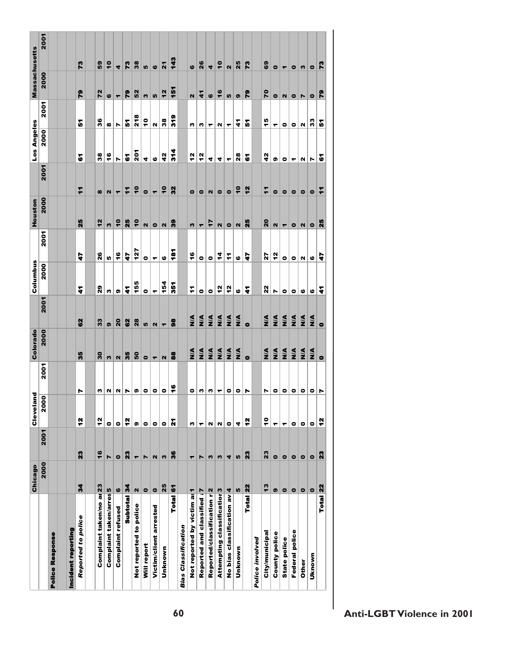|                                        | Chicago       |                       | g<br><b>Clevela</b>            |                 | Colorado                |                          | Columbus         |                      | Houston                   |                          | Los Angeles          |                   | <b>Massachusetts</b>     |                          |
|----------------------------------------|---------------|-----------------------|--------------------------------|-----------------|-------------------------|--------------------------|------------------|----------------------|---------------------------|--------------------------|----------------------|-------------------|--------------------------|--------------------------|
|                                        | 2000          | 2001                  | $\overline{\mathsf{e}}$<br>ត្ត | 2001            | 2000                    | 2001                     | 2000             | 2001                 | 2000                      | 2001                     | 2000                 | 2001              | 2000                     | 2001                     |
| Police Response                        |               |                       |                                |                 |                         |                          |                  |                      |                           |                          |                      |                   |                          |                          |
|                                        |               |                       |                                |                 |                         |                          |                  |                      |                           |                          |                      |                   |                          |                          |
| Incident reporting                     |               |                       |                                |                 |                         |                          |                  |                      |                           |                          |                      |                   |                          |                          |
| Reported to police                     | 34            | 23                    | <u>연</u>                       | N               | 35                      | $\boldsymbol{S}$         | 7                | 4                    | 25                        | F                        | 5                    | 。                 | ဇွ                       | 73                       |
|                                        |               |                       |                                |                 |                         |                          |                  |                      |                           |                          |                      |                   |                          |                          |
| Complaint taken/no ar 23               |               | 16                    | $\frac{5}{2}$                  | n               | 30                      | 33                       | $\boldsymbol{5}$ | 26                   | 12                        | $\boldsymbol{\omega}$    | 38                   | 36                | 72                       | S9                       |
| Complaint taken/arres <sup>5</sup>     |               | N                     | $\bullet$                      | $\sim$          | w                       | G)                       | w                | Iņ,                  | w                         | N                        | $\ddot{\bullet}$     | œ                 | $\bullet$                | $\ddot{\bullet}$         |
| Complaint refused                      | $\bullet$     | $\bullet$             | $\bullet$                      |                 | $\mathbf{N}$            | $\overline{\mathbf{20}}$ | G)               | $\frac{6}{1}$        | $\frac{1}{2}$             | ۳                        | r                    | r                 | $\overline{\phantom{0}}$ | $\blacktriangleleft$     |
| Subtotal                               | $\frac{3}{4}$ | 23                    | $\frac{2}{3}$                  | N N             | 35                      | 62                       | $\ddot{ }$       | 47                   | 25                        | F                        | δ,                   | <u>ស្គ</u><br>ស្គ | 79                       | 2                        |
| Not reported to police                 | $\mathbf{N}$  | $\blacktriangledown$  | ශ                              | G)              | 50                      | 28                       | 155              | 127                  | $\overline{\phantom{a}}$  | $\overline{\phantom{a}}$ | 201                  |                   | 52                       | 38                       |
| Will report                            | $\bullet$     | $\blacktriangleright$ | $\bullet$                      | $\bullet$       | $\bullet$               | LO,                      | ۰                | $\bullet$            | $\mathbf{N}$              | $\bullet$                | 4                    | ÷                 | w                        | <u>၊ </u>                |
| Victim/client arrested                 | $\bullet$     | $\mathbf{N}$          | $\bullet$                      | $\bullet$       | $\blacksquare$          | $\mathbf{N}$             | ٣                | ٠                    | $\bullet$                 | $\overline{\phantom{0}}$ | $\bullet$            | N                 | 10                       | $\bullet$                |
| Unknown                                | 25            | w                     | $\bullet$                      | $\bullet$       | $\overline{\mathbf{N}}$ | ٣                        | 154              | ဖ                    | $\mathbf{N}$              | $\ddot{\bullet}$         | $\frac{2}{3}$        | $38\,$            | 12                       | $\mathbf{z}$             |
| <b>Total</b>                           | $\epsilon$    | 36                    | ř                              | $\bullet$       | 88                      | 88                       | $\overline{5}$   | $\mathbf{\tilde{e}}$ | 3                         | 32                       | $\frac{4}{5}$        | 319               | έ                        | <b>92</b>                |
| <b>Bias Classification</b>             |               |                       |                                |                 |                         |                          |                  |                      |                           |                          |                      |                   |                          |                          |
| Not reported by victim as 1            |               | ٣                     | w                              | $\bullet$       | $\frac{4}{2}$           | $\frac{4}{2}$            | $\mathbf{r}$     | $\frac{6}{1}$        | w                         | $\bullet$                | ź,                   | w                 | N                        | $\bullet$                |
| Reported and classified                | $\frac{1}{2}$ | $\blacktriangleright$ | ٣                              | ຕ∣              | $\frac{4}{2}$           | $\frac{4}{2}$            | ۰                | $\bullet$            | $\overline{\phantom{a}}$  | $\bullet$                | $\frac{2}{3}$        | n                 | $\boldsymbol{A}$         | 26                       |
| Reported/classification r2             |               | w                     | N                              | m               | $\frac{4}{2}$           | $\frac{4}{2}$            | $\bullet$        | $\bullet$            | 17                        | Z                        | 4                    | ۳                 | $\bullet$                | 4                        |
| Attempting classificatior <sup>3</sup> |               | w                     | N                              | ┯┆              | $\frac{4}{2}$           | $\frac{4}{2}$            | $\frac{2}{3}$    | 4                    | $\mathbf{N}$              | $\bullet$                | 4                    | N                 | 16                       | $\overline{\phantom{a}}$ |
| No bias classification av 4            |               | 4                     | $\bullet$                      | $\bullet$       | $\frac{4}{2}$           | $\frac{4}{2}$            | $\frac{2}{3}$    | $\mathbf{r}$         | $\bullet$                 | $\bullet$                | ۳                    | ۳                 | L,                       | $\mathbf{\Omega}$        |
| Unknown                                | LO,           | LO,                   | 4                              | $\circ$ $\sim$  | $\frac{4}{2}$           | $\frac{4}{2}$            | ဖ                | ဖ                    | $\boldsymbol{\mathsf{N}}$ | ٩                        | $\frac{8}{28}$       | $\boldsymbol{A}$  | $\bullet$                | 25                       |
| <b>Total</b>                           | <u>22</u>     | $\boldsymbol{z}$      | $\frac{2}{3}$                  |                 | $\bullet$               | $\bullet$                | ÷                | 4                    | 25                        | 12                       | δ                    | 。                 | 64                       | 73                       |
| Police involved                        |               |                       |                                |                 |                         |                          |                  |                      |                           |                          |                      |                   |                          |                          |
| City/municipal                         | $\frac{3}{2}$ | 23                    | °                              | N               | $\frac{4}{2}$           | $\frac{4}{2}$            | 22               | 27                   | $\overline{\mathbf{20}}$  | $\mathbf{r}$             | $\frac{2}{3}$        | 15                | 20                       | ශ                        |
| <b>County police</b>                   | G             | $\bullet$             | ٣                              | $\bullet$       | $\frac{4}{2}$           | $\frac{4}{2}$            | r                | $\frac{2}{3}$        | $\mathbf{N}$              | $\bullet$                | G)                   | ۳                 | $\bullet$                | $\bullet$                |
| State police                           | $\bullet$     | $\bullet$             | ٣                              | $\bullet$       | $\frac{4}{2}$           | $\frac{4}{2}$            | $\bullet$        | $\bullet$            | $\overline{\phantom{a}}$  | $\bullet$                | $\bullet$            | $\bullet$         | $\mathbf N$              | $\blacktriangledown$     |
| <b>Federal police</b>                  | $\bullet$     | $\bullet$             | $\bullet$                      | $\bullet$       | $\frac{4}{2}$           | $\frac{4}{2}$            | $\bullet$        | $\bullet$            | $\bullet$                 | $\bullet$                | $\blacktriangledown$ | $\bullet$         | $\bullet$                | $\bullet$                |
| Other                                  | $\bullet$     | $\bullet$             | $\bullet$                      | $\bullet$       | $\frac{4}{2}$           | $\frac{4}{2}$            | 6                | u                    | $\mathbf{N}$              | $\bullet$                | N                    | $\mathsf{N}$      | Z                        | w                        |
| Uknown                                 | $\bullet$     | $\bullet$             | $\bullet$                      | O  <sub>N</sub> | $\frac{4}{2}$           | $\frac{4}{2}$            | ဖ                | ဖ                    | $\bullet$                 | $\bullet$                | N                    | 33                | $\bullet$                | $\bullet$                |
| Total 22                               |               | ដ                     | 연                              |                 | $\bullet$               | $\bullet$                | 4                | 47                   | ដី                        | F                        | δ                    | 5                 | ဇူ                       | 73                       |
|                                        |               |                       |                                |                 |                         |                          |                  |                      |                           |                          |                      |                   |                          |                          |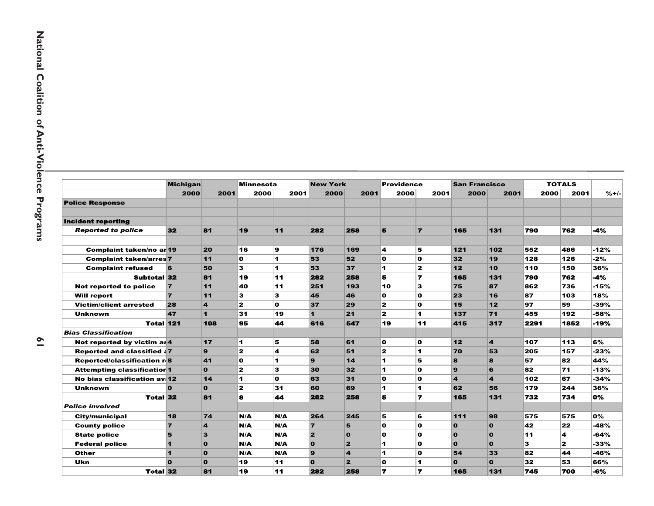|                                    | <b>Michigan</b>      |                | <b>Minnesota</b> |      | <b>New York</b>         |                         | Providence     |                | <b>San Francisco</b>    |              |      | <b>TOTALS</b>           |         |
|------------------------------------|----------------------|----------------|------------------|------|-------------------------|-------------------------|----------------|----------------|-------------------------|--------------|------|-------------------------|---------|
|                                    | 2000                 | 2001           | 2000             | 2001 | 2000                    | 2001                    | 2000           | 2001           | 2000                    | 2001         | 2000 | 2001                    | $% +/-$ |
| <b>Police Response</b>             |                      |                |                  |      |                         |                         |                |                |                         |              |      |                         |         |
|                                    |                      |                |                  |      |                         |                         |                |                |                         |              |      |                         |         |
| <b>Incident reporting</b>          |                      |                |                  |      |                         |                         |                |                |                         |              |      |                         |         |
| <b>Reported to police</b>          | 32                   | 81             | 19               | 11   | 282                     | 258                     | 5              | $\overline{ }$ | 165                     | 131          | 790  | 762                     | -4%     |
|                                    |                      |                |                  |      |                         |                         |                |                |                         |              |      |                         |         |
| <b>Complaint taken/no ar 19</b>    |                      | 20             | 16               | 9    | 176                     | 169                     | 4              | 5              | $121$                   | 102          | 552  | 486                     | $-12%$  |
| <b>Complaint taken/arres 7</b>     |                      | 11             | $\mathbf{o}$     | 1.   | 53                      | 52                      | O              | 0              | 32                      | 19           | 128  | 126                     | $-2%$   |
| <b>Complaint refused</b>           | 6                    | 50             | 3                | 1.   | 53                      | 37                      | 1              | $\mathbf{z}$   | 12                      | 10           | 110  | 150                     | 36%     |
| <b>Subtotal 32</b>                 |                      | 81             | 19               | 11   | 282                     | 258                     | 5              | 7              | 165                     | 131          | 790  | 762                     | $-4%$   |
| Not reported to police             | $\overline{7}$       | 11             | 40               | 11   | 251                     | 193                     | 10             | 3              | 75                      | 87           | 862  | 736                     | $-15%$  |
| <b>Will report</b>                 | $\overline{7}$       | 11             | 3                | 3    | 45                      | 46                      | O              | O              | 23                      | 16           | 87   | 103                     | 18%     |
| <b>Victim/client arrested</b>      | 28                   | 4              | $\mathbf{z}$     | O    | 37                      | 29                      | $\mathbf{z}$   | O              | 15                      | 12           | 97   | 59                      | -39%    |
| Unknown                            | 47                   | $\blacksquare$ | 31               | 19   | 1                       | 21                      | $\mathbf{z}$   | 1              | 137                     | 71           | 455  | 192                     | -58%    |
| <b>Total 121</b>                   |                      | 108            | 95               | 44   | 616                     | 547                     | 19             | 11             | 415                     | 317          | 2291 | 1852                    | $-19%$  |
| <b>Bias Classification</b>         |                      |                |                  |      |                         |                         |                |                |                         |              |      |                         |         |
| Not reported by victim as $4$      |                      | $17$           | 1                | 5    | 58                      | 61                      | O              | O              | 12                      | 4            | 107  | 113                     | 6%      |
| <b>Reported and classified: 7</b>  |                      | 9              | $\mathbf{z}$     | 4    | 62                      | 51                      | $\mathbf{z}$   | 1              | 70                      | 53           | 205  | 157                     | $-23%$  |
| <b>Reported/classification r8</b>  |                      | 41             | O                | 1    | $\mathbf{Q}$            | 14                      | 1              | 5              | 8                       | 8            | 57   | 82                      | 44%     |
| <b>Attempting classificatior 1</b> |                      | $\mathbf{o}$   | $\mathbf{z}$     | 3    | 30                      | 32                      | $\blacksquare$ | O              | 9                       | 6            | 82   | 71                      | $-13%$  |
| No bias classification av 12       |                      | 14             | 1                | O    | 63                      | 31                      | O              | O              | $\overline{\mathbf{A}}$ | 4            | 102  | 67                      | $-34%$  |
| <b>Unknown</b>                     | $\Omega$             | $\mathbf{o}$   | $\mathbf{z}$     | 31   | 60                      | 69                      | 1              | 1              | 62                      | 56           | 179  | 244                     | 36%     |
| <b>Total 32</b>                    |                      | 81             | 8                | 44   | 282                     | 258                     | 5              | 7              | 165                     | 131          | 732  | 734                     | 0%      |
| <b>Police involved</b>             |                      |                |                  |      |                         |                         |                |                |                         |              |      |                         |         |
| <b>City/municipal</b>              | 18                   | 74             | N/A              | N/A  | 264                     | 245                     | 5              | 6              | 111                     | 98           | 575  | 575                     | 0%      |
| <b>County police</b>               | $\overline{7}$       | 4              | N/A              | N/A  | $\overline{7}$          | 5                       | O              | O              | $\Omega$                | $\mathbf{o}$ | 42   | 22                      | -48%    |
| <b>State police</b>                | 5                    | 3              | N/A              | N/A  | $\overline{\mathbf{2}}$ | $\mathbf 0$             | O              | O              | $\Omega$                | $\mathbf{0}$ | 11   | 4                       | -64%    |
| <b>Federal police</b>              | $\mathbf{1}$         | $\mathbf{o}$   | N/A              | N/A  | $\Omega$                | $\mathbf{z}$            | 1              | O              | $\Omega$                | $\mathbf{o}$ | 3    | $\overline{\mathbf{z}}$ | $-33%$  |
| <b>Other</b>                       | $\blacktriangleleft$ | $\mathbf{o}$   | N/A              | N/A  | $\mathbf{Q}$            | $\overline{\mathbf{4}}$ | $\blacksquare$ | O              | 54                      | 33           | 82   | 44                      | $-46%$  |
| Ukn                                | $\Omega$             | $\mathbf{o}$   | 19               | 11   | $\mathbf{o}$            | $\overline{2}$          | O              | 1              | $\mathbf{o}$            | $\mathbf{0}$ | 32   | 53                      | 66%     |
| <b>Total 32</b>                    |                      | 81             | 19               | 11   | 282                     | 258                     | 7              | $\overline{r}$ | 165                     | 131          | 745  | 700                     | $-6%$   |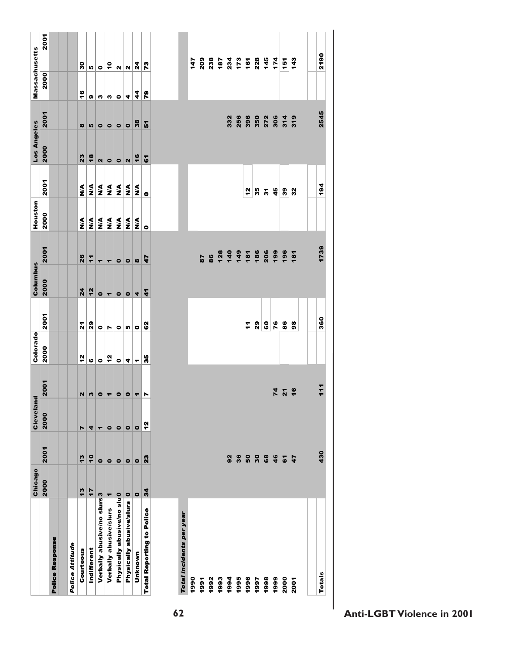|                                  | Chicago          |                  | ē<br>Clevelar |                          | Colorado              |           | Columbus             |                | Houston       |                  | Los Angeles    |                       | Massachusetts |               |
|----------------------------------|------------------|------------------|---------------|--------------------------|-----------------------|-----------|----------------------|----------------|---------------|------------------|----------------|-----------------------|---------------|---------------|
|                                  | 2000             | 2001             | 2000          | 2001                     | 2000                  | 2001      | 2000                 | 2001           | 2000          | 2001             | 2000           | 2001                  | 2000          | 2001          |
| <b>Police Response</b>           |                  |                  |               |                          |                       |           |                      |                |               |                  |                |                       |               |               |
|                                  |                  |                  |               |                          |                       |           |                      |                |               |                  |                |                       |               |               |
| Police Attitude                  |                  |                  |               |                          |                       |           |                      |                |               |                  |                |                       |               |               |
| Courteous                        | $\frac{3}{2}$    | $\frac{3}{2}$    | Z             | N                        | $\frac{2}{3}$         | ៱         | $\overline{a}$       | 26             | ≸             | $\frac{4}{2}$    | 23             | $\boldsymbol{\omega}$ | $\frac{6}{1}$ | ន             |
| Indifferent                      | 17               | $\frac{1}{2}$    | 4             | w                        | $\boldsymbol{\omega}$ | 29        | 12                   | $\vec{r}$      | ş             | $\frac{4}{2}$    | $\frac{8}{3}$  | L,                    | o,            | Iņ,           |
| Verbally abusive/no slurs 3      |                  | $\bullet$        | ٠             | $\bullet$                | $\bullet$             | $\bullet$ | $\bullet$            | ۳              | ⋚             | $\frac{4}{2}$    | $\mathbf{N}$   | $\bullet$             | w             | $\bullet$     |
| Verbally abusive/slurs           | ۳                | $\bullet$        | $\bullet$     | $\overline{\phantom{a}}$ | $\frac{2}{3}$         | N         | $\blacktriangledown$ | ۳              | ⋚             | $\sum_{i=1}^{n}$ | $\bullet$      | $\bullet$             | w             | ę             |
| Physically abusive/no slu0       |                  | $\bullet$        | $\bullet$     | $\bullet$                | $\bullet$             | $\bullet$ | $\bullet$            | $\bullet$      | ≸             | $\frac{4}{2}$    | $\bullet$      | $\bullet$             | $\bullet$     | N             |
| Physically abusive/slurs         | $\bullet$        | $\bullet$        | $\bullet$     | $\bullet$                | 4                     | Iņ        | $\bullet$            | $\bullet$      | $\frac{4}{2}$ | $\frac{4}{2}$    | $\mathbf{N}$   | $\bullet$             | 4             | $\mathbf{N}$  |
| Unknown                          | $\bullet$        | $\bullet$        | $\bullet$     | ٣                        | ۳                     | $\bullet$ | 4                    | $\infty$       | ≸             | $\sum_{i=1}^{n}$ | 16             | 38                    | 4             | 24            |
| <b>Total Reporting to Police</b> | $\boldsymbol{z}$ | $\boldsymbol{z}$ | $\frac{2}{3}$ | N                        | 55                    | 8         | $\ddot{\bullet}$     | 47             | $\bullet$     | $\bullet$        | $\overline{6}$ | 5                     | ဇူ            | r.            |
|                                  |                  |                  |               |                          |                       |           |                      |                |               |                  |                |                       |               |               |
| Total incidents per year         |                  |                  |               |                          |                       |           |                      |                |               |                  |                |                       |               |               |
| 1990                             |                  |                  |               |                          |                       |           |                      |                |               |                  |                |                       |               | 147           |
| 1991                             |                  |                  |               |                          |                       |           |                      | 87             |               |                  |                |                       |               | 209           |
| 1992                             |                  |                  |               |                          |                       |           |                      | 86             |               |                  |                |                       |               | 238           |
| 1993                             |                  |                  |               |                          |                       |           |                      | 128            |               |                  |                |                       |               | 187           |
| 1994                             |                  | 92               |               |                          |                       |           |                      | $140$<br>$149$ |               |                  |                | 332                   |               | 234<br>173    |
| 1995                             |                  | 36               |               |                          |                       |           |                      |                |               |                  |                | 256                   |               |               |
| 1996                             |                  |                  |               |                          |                       | ż         |                      | 181            |               | 2                |                | 396                   |               | 161           |
| 1997                             |                  |                  |               |                          |                       | 29        |                      | 186            |               | 35               |                | 350                   |               | 228           |
| 1998                             |                  | <b>888</b>       |               |                          |                       | GO        |                      | 206            |               | $\tilde{5}$      |                | 272                   |               | 145           |
| 1999                             |                  | 46               |               |                          |                       | 76        |                      | 199            |               | 45               |                | 306                   |               | 174           |
| 2000                             |                  | $\mathbf{6}$     |               | <b>226</b>               |                       | 86        |                      | 196            |               | 39               |                | 314                   |               | $\frac{1}{2}$ |
| 2001                             |                  | $\frac{1}{4}$    |               |                          |                       | 98        |                      | 181            |               | 32               |                | 319                   |               | 143           |
|                                  |                  |                  |               |                          |                       |           |                      |                |               |                  |                |                       |               |               |
| <b>Totals</b>                    |                  | 430              |               | $\frac{1}{11}$           |                       | 360       |                      | 1739           |               | 194              |                | 2545                  |               | 2190          |
|                                  |                  |                  |               |                          |                       |           |                      |                |               |                  |                |                       |               |               |